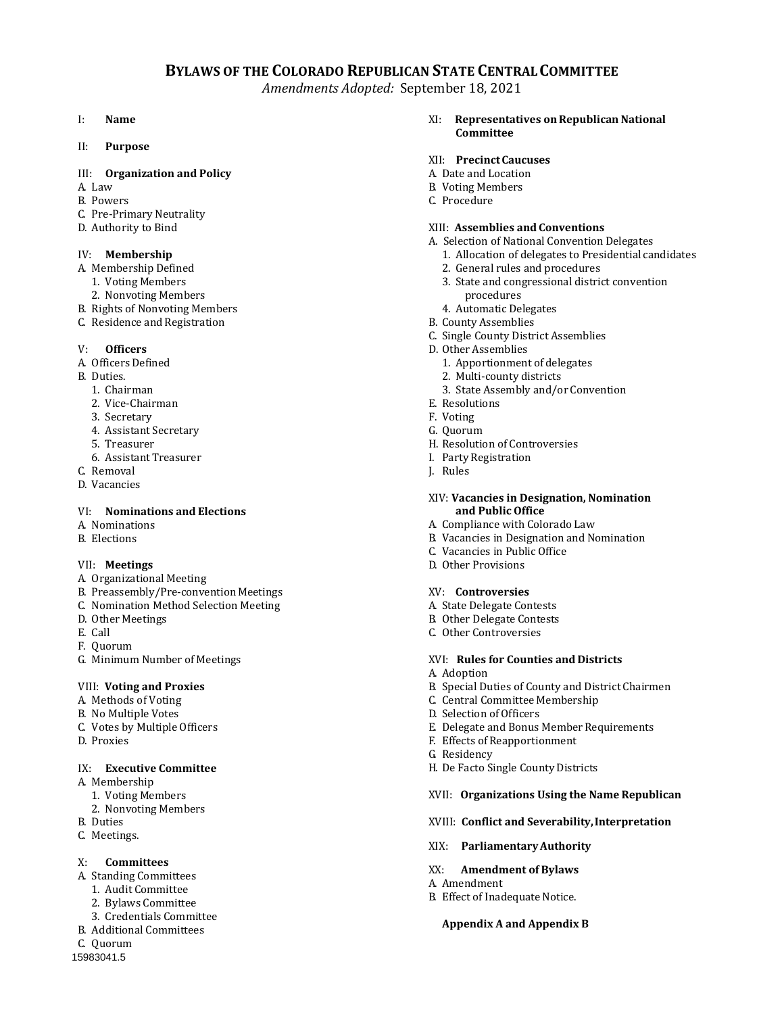## **BYLAWS OF THE COLORADO REPUBLICAN STATE CENTRALCOMMITTEE**

*Amendments Adopted:* September 18, 2021

#### I: **Name**

II: **Purpose**

#### III: **Organization and Policy**

- A. Law
- B. Powers
- C. Pre-Primary Neutrality
- D. Authority to Bind

#### IV: **Membership**

- A. Membership Defined
- 1. Voting Members
- 2. Nonvoting Members
- B. Rights of Nonvoting Members
- C. Residence and Registration

#### V: **Officers**

- A. Officers Defined
- B. Duties.
	- 1. Chairman
	- 2. Vice-Chairman
	- 3. Secretary
	- 4. Assistant Secretary
	- 5. Treasurer
	- 6. Assistant Treasurer
- C. Removal
- D. Vacancies

#### VI: **Nominations and Elections**

- A. Nominations
- B. Elections

#### VII: **Meetings**

- A. Organizational Meeting
- B. Preassembly/Pre-convention Meetings
- C. Nomination Method Selection Meeting
- D. Other Meetings
- E. Call
- F. Quorum
- G. Minimum Number of Meetings

#### VIII: **Voting and Proxies**

- A. Methods of Voting
- B. No Multiple Votes
- C. Votes by Multiple Officers
- D. Proxies

#### IX: **Executive Committee**

- A. Membership
	- 1. Voting Members
	- 2. Nonvoting Members
- B. Duties
- C. Meetings.

#### X: **Committees**

- A. Standing Committees
	- 1. Audit Committee
	- 2. Bylaws Committee
	- 3. Credentials Committee
- B. Additional Committees
- C. Quorum
- 15983041.5

XI: **Representatives onRepublican National Committee**

#### XII: **PrecinctCaucuses**

- A. Date and Location
- B. Voting Members
- C. Procedure

#### XIII: **Assemblies and Conventions**

- A. Selection of National Convention Delegates
	- 1. Allocation of delegates to Presidential candidates
	- 2. General rules and procedures
	- 3. State and congressional district convention procedures
	- 4. Automatic Delegates
- B. County Assemblies
- C. Single County District Assemblies
- D. Other Assemblies
	- 1. Apportionment of delegates
	- 2. Multi-county districts
	- 3. State Assembly and/or Convention
- E. Resolutions
- F. Voting
- G. Quorum
- H. Resolution of Controversies
- I. Party Registration
- J. Rules

#### XIV: **Vacancies in Designation, Nomination and Public Office**

- A. Compliance with Colorado Law
- B. Vacancies in Designation and Nomination
- C. Vacancies in Public Office
- D. Other Provisions

#### XV: **Controversies**

- A. State Delegate Contests
- B. Other Delegate Contests
- C. Other Controversies

#### XVI: **Rules for Counties and Districts**

- A. Adoption
- B. Special Duties of County and District Chairmen
- C. Central Committee Membership
- D. Selection of Officers
- E. Delegate and Bonus Member Requirements
- F. Effects of Reapportionment
- G. Residency

A. Amendment

H. De Facto Single County Districts

#### XVII: **Organizations Using the Name Republican**

- XVIII: **Conflict and Severability,Interpretation**
- XIX: **ParliamentaryAuthority**

XX: **Amendment of Bylaws**

B. Effect of Inadequate Notice.

**Appendix A and Appendix B**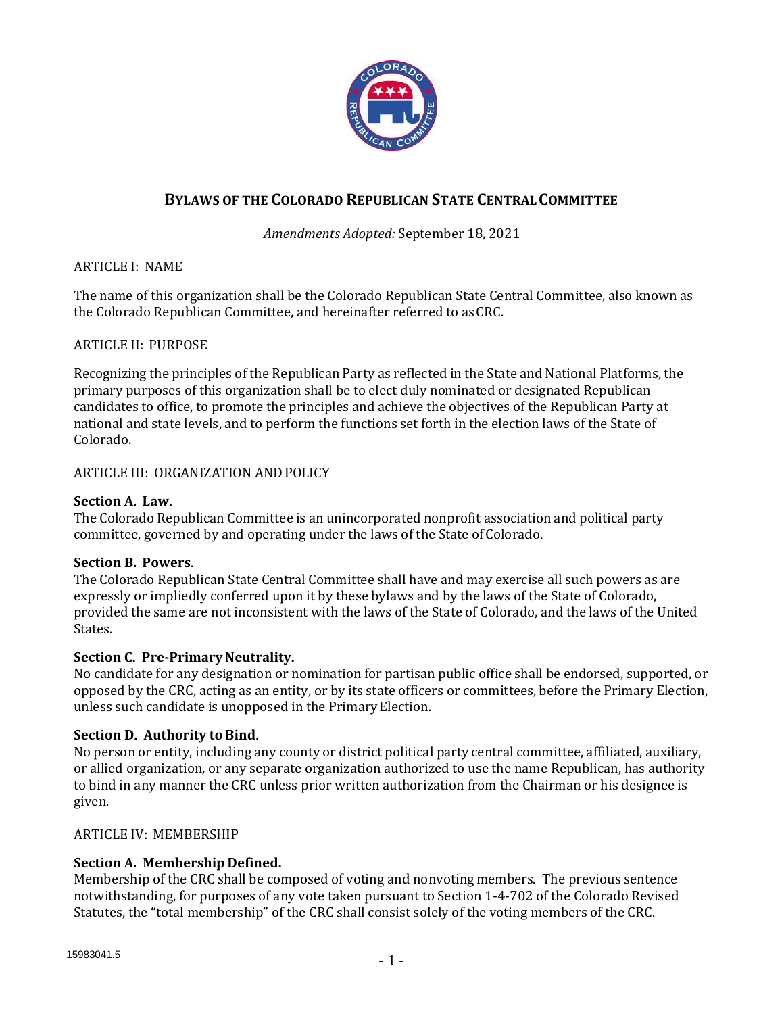

# **BYLAWS OF THE COLORADO REPUBLICAN STATE CENTRALCOMMITTEE**

# *Amendments Adopted:* September 18, 2021

ARTICLE I: NAME

The name of this organization shall be the Colorado Republican State Central Committee, also known as the Colorado Republican Committee, and hereinafter referred to asCRC.

# ARTICLE II: PURPOSE

Recognizing the principles of the Republican Party as reflected in the State and National Platforms, the primary purposes of this organization shall be to elect duly nominated or designated Republican candidates to office, to promote the principles and achieve the objectives of the Republican Party at national and state levels, and to perform the functions set forth in the election laws of the State of Colorado.

ARTICLE III: ORGANIZATION ANDPOLICY

## **Section A. Law.**

The Colorado Republican Committee is an unincorporated nonprofit association and political party committee, governed by and operating under the laws of the State ofColorado.

#### **Section B. Powers**.

The Colorado Republican State Central Committee shall have and may exercise all such powers as are expressly or impliedly conferred upon it by these bylaws and by the laws of the State of Colorado, provided the same are not inconsistent with the laws of the State of Colorado, and the laws of the United States.

# **Section C. Pre-Primary Neutrality.**

No candidate for any designation or nomination for partisan public office shall be endorsed, supported, or opposed by the CRC, acting as an entity, or by its state officers or committees, before the Primary Election, unless such candidate is unopposed in the PrimaryElection.

# **Section D. Authority to Bind.**

No person or entity, including any county or district political party central committee, affiliated, auxiliary, or allied organization, or any separate organization authorized to use the name Republican, has authority to bind in any manner the CRC unless prior written authorization from the Chairman or his designee is given.

# ARTICLE IV: MEMBERSHIP

# **Section A. Membership Defined.**

Membership of the CRC shall be composed of voting and nonvoting members. The previous sentence notwithstanding, for purposes of any vote taken pursuant to Section 1-4-702 of the Colorado Revised Statutes, the "total membership" of the CRC shall consist solely of the voting members of the CRC.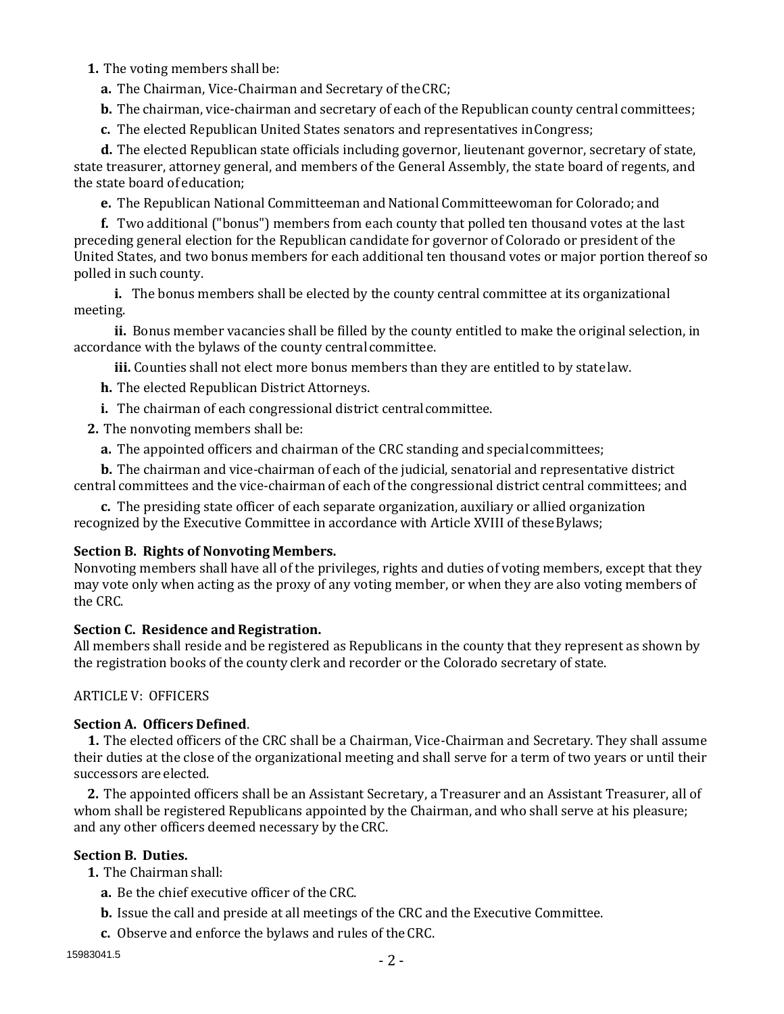## **1.** The voting members shall be:

**a.** The Chairman, Vice-Chairman and Secretary of theCRC;

**b.** The chairman, vice-chairman and secretary of each of the Republican county central committees;

**c.** The elected Republican United States senators and representatives inCongress;

**d.** The elected Republican state officials including governor, lieutenant governor, secretary of state, state treasurer, attorney general, and members of the General Assembly, the state board of regents, and the state board of education;

**e.** The Republican National Committeeman and National Committeewoman for Colorado; and

**f.** Two additional ("bonus") members from each county that polled ten thousand votes at the last preceding general election for the Republican candidate for governor of Colorado or president of the United States, and two bonus members for each additional ten thousand votes or major portion thereof so polled in such county.

**i.** The bonus members shall be elected by the county central committee at its organizational meeting.

**ii.** Bonus member vacancies shall be filled by the county entitled to make the original selection, in accordance with the bylaws of the county central committee.

**iii.** Counties shall not elect more bonus members than they are entitled to by statelaw.

**h.** The elected Republican District Attorneys.

**i.** The chairman of each congressional district central committee.

**2.** The nonvoting members shall be:

**a.** The appointed officers and chairman of the CRC standing and specialcommittees;

**b.** The chairman and vice-chairman of each of the judicial, senatorial and representative district central committees and the vice-chairman of each of the congressional district central committees; and

**c.** The presiding state officer of each separate organization, auxiliary or allied organization recognized by the Executive Committee in accordance with Article XVIII of theseBylaws;

# **Section B. Rights of Nonvoting Members.**

Nonvoting members shall have all of the privileges, rights and duties of voting members, except that they may vote only when acting as the proxy of any voting member, or when they are also voting members of the CRC.

# **Section C. Residence and Registration.**

All members shall reside and be registered as Republicans in the county that they represent as shown by the registration books of the county clerk and recorder or the Colorado secretary of state.

# ARTICLE V: OFFICERS

# **Section A. Officers Defined**.

**1.** The elected officers of the CRC shall be a Chairman, Vice-Chairman and Secretary. They shall assume their duties at the close of the organizational meeting and shall serve for a term of two years or until their successors are elected.

**2.** The appointed officers shall be an Assistant Secretary, a Treasurer and an Assistant Treasurer, all of whom shall be registered Republicans appointed by the Chairman, and who shall serve at his pleasure; and any other officers deemed necessary by theCRC.

# **Section B. Duties.**

**1.** The Chairman shall:

- **a.** Be the chief executive officer of the CRC.
- **b.** Issue the call and preside at all meetings of the CRC and the Executive Committee.
- **c.** Observe and enforce the bylaws and rules of theCRC.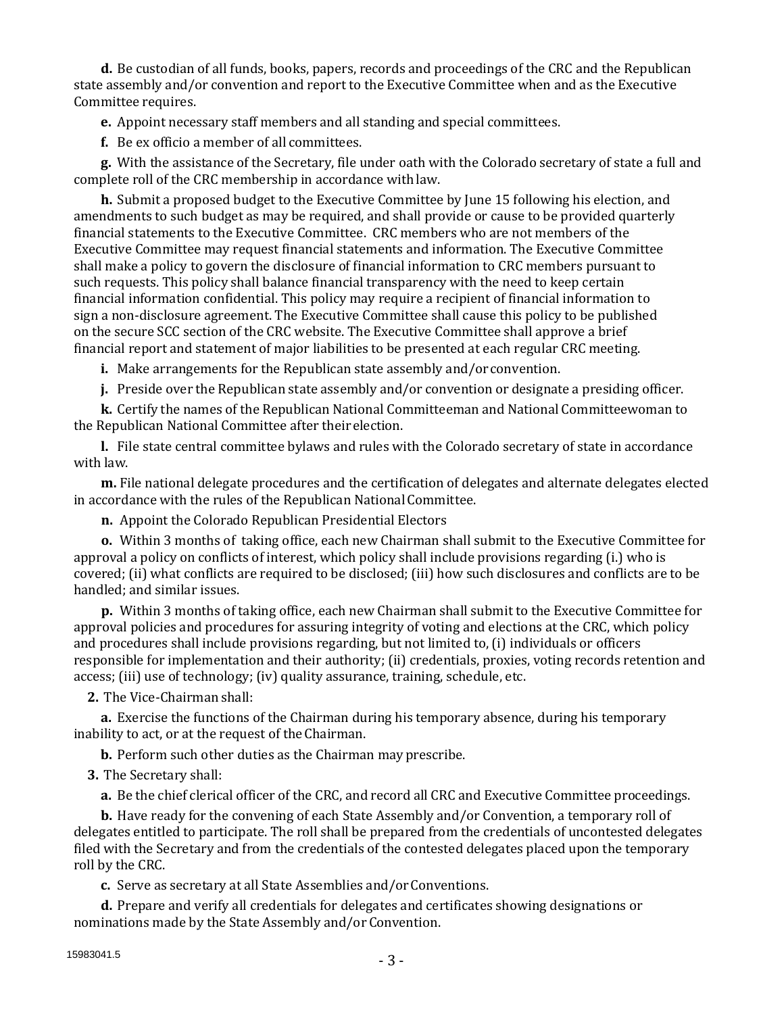**d.** Be custodian of all funds, books, papers, records and proceedings of the CRC and the Republican state assembly and/or convention and report to the Executive Committee when and as the Executive Committee requires.

**e.** Appoint necessary staff members and all standing and special committees.

**f.** Be ex officio a member of all committees.

**g.** With the assistance of the Secretary, file under oath with the Colorado secretary of state a full and complete roll of the CRC membership in accordance withlaw.

**h.** Submit a proposed budget to the Executive Committee by June 15 following his election, and amendments to such budget as may be required, and shall provide or cause to be provided quarterly financial statements to the Executive Committee. CRC members who are not members of the Executive Committee may request financial statements and information. The Executive Committee shall make a policy to govern the disclosure of financial information to CRC members pursuant to such requests. This policy shall balance financial transparency with the need to keep certain financial information confidential. This policy may require a recipient of financial information to sign a non-disclosure agreement. The Executive Committee shall cause this policy to be published on the secure SCC section of the CRC website. The Executive Committee shall approve a brief financial report and statement of major liabilities to be presented at each regular CRC meeting.

**i.** Make arrangements for the Republican state assembly and/orconvention.

**j.** Preside over the Republican state assembly and/or convention or designate a presiding officer.

**k.** Certify the names of the Republican National Committeeman and National Committeewoman to the Republican National Committee after their election.

**l.** File state central committee bylaws and rules with the Colorado secretary of state in accordance with law.

**m.** File national delegate procedures and the certification of delegates and alternate delegates elected in accordance with the rules of the Republican National Committee.

**n.** Appoint the Colorado Republican Presidential Electors

**o.** Within 3 months of taking office, each new Chairman shall submit to the Executive Committee for approval a policy on conflicts of interest, which policy shall include provisions regarding (i.) who is covered; (ii) what conflicts are required to be disclosed; (iii) how such disclosures and conflicts are to be handled; and similar issues.

**p.** Within 3 months of taking office, each new Chairman shall submit to the Executive Committee for approval policies and procedures for assuring integrity of voting and elections at the CRC, which policy and procedures shall include provisions regarding, but not limited to, (i) individuals or officers responsible for implementation and their authority; (ii) credentials, proxies, voting records retention and access; (iii) use of technology; (iv) quality assurance, training, schedule, etc.

**2.** The Vice-Chairman shall:

**a.** Exercise the functions of the Chairman during his temporary absence, during his temporary inability to act, or at the request of theChairman.

**b.** Perform such other duties as the Chairman may prescribe.

**3.** The Secretary shall:

**a.** Be the chief clerical officer of the CRC, and record all CRC and Executive Committee proceedings.

**b.** Have ready for the convening of each State Assembly and/or Convention, a temporary roll of delegates entitled to participate. The roll shall be prepared from the credentials of uncontested delegates filed with the Secretary and from the credentials of the contested delegates placed upon the temporary roll by the CRC.

**c.** Serve as secretary at all State Assemblies and/orConventions.

**d.** Prepare and verify all credentials for delegates and certificates showing designations or nominations made by the State Assembly and/or Convention.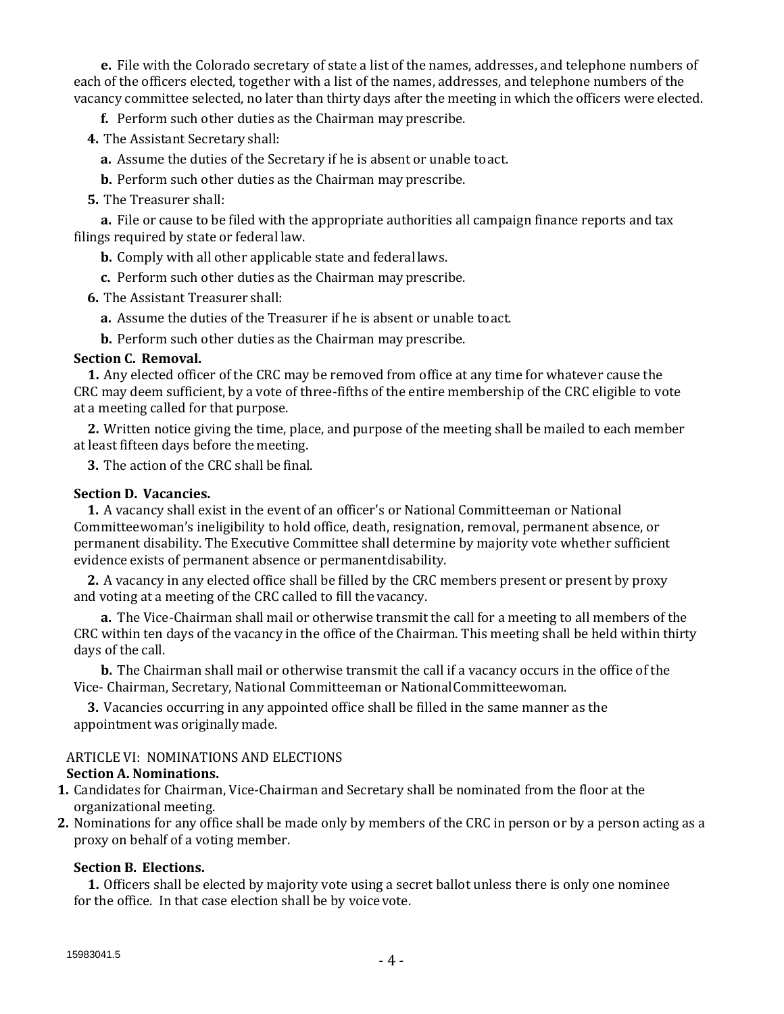**e.** File with the Colorado secretary of state a list of the names, addresses, and telephone numbers of each of the officers elected, together with a list of the names, addresses, and telephone numbers of the vacancy committee selected, no later than thirty days after the meeting in which the officers were elected.

**f.** Perform such other duties as the Chairman mayprescribe.

**4.** The Assistant Secretary shall:

**a.** Assume the duties of the Secretary if he is absent or unable toact.

**b.** Perform such other duties as the Chairman mayprescribe.

**5.** The Treasurer shall:

**a.** File or cause to be filed with the appropriate authorities all campaign finance reports and tax filings required by state or federal law.

**b.** Comply with all other applicable state and federallaws.

**c.** Perform such other duties as the Chairman mayprescribe.

**6.** The Assistant Treasurer shall:

**a.** Assume the duties of the Treasurer if he is absent or unable toact.

**b.** Perform such other duties as the Chairman mayprescribe.

#### **Section C. Removal.**

**1.** Any elected officer of the CRC may be removed from office at any time for whatever cause the CRC may deem sufficient, by a vote of three-fifths of the entire membership of the CRC eligible to vote at a meeting called for that purpose.

**2.** Written notice giving the time, place, and purpose of the meeting shall be mailed to each member at least fifteen days before the meeting.

**3.** The action of the CRC shall be final.

## **Section D. Vacancies.**

**1.** A vacancy shall exist in the event of an officer's or National Committeeman or National Committeewoman's ineligibility to hold office, death, resignation, removal, permanent absence, or permanent disability. The Executive Committee shall determine by majority vote whether sufficient evidence exists of permanent absence or permanentdisability.

**2.** A vacancy in any elected office shall be filled by the CRC members present or present by proxy and voting at a meeting of the CRC called to fill the vacancy.

**a.** The Vice-Chairman shall mail or otherwise transmit the call for a meeting to all members of the CRC within ten days of the vacancy in the office of the Chairman. This meeting shall be held within thirty days of the call.

**b.** The Chairman shall mail or otherwise transmit the call if a vacancy occurs in the office of the Vice- Chairman, Secretary, National Committeeman or NationalCommitteewoman.

**3.** Vacancies occurring in any appointed office shall be filled in the same manner as the appointment was originally made.

# ARTICLE VI: NOMINATIONS AND ELECTIONS

#### **Section A. Nominations.**

- **1.** Candidates for Chairman, Vice-Chairman and Secretary shall be nominated from the floor at the organizational meeting.
- **2.** Nominations for any office shall be made only by members of the CRC in person or by a person acting as a proxy on behalf of a voting member.

#### **Section B. Elections.**

**1.** Officers shall be elected by majority vote using a secret ballot unless there is only one nominee for the office. In that case election shall be by voicevote.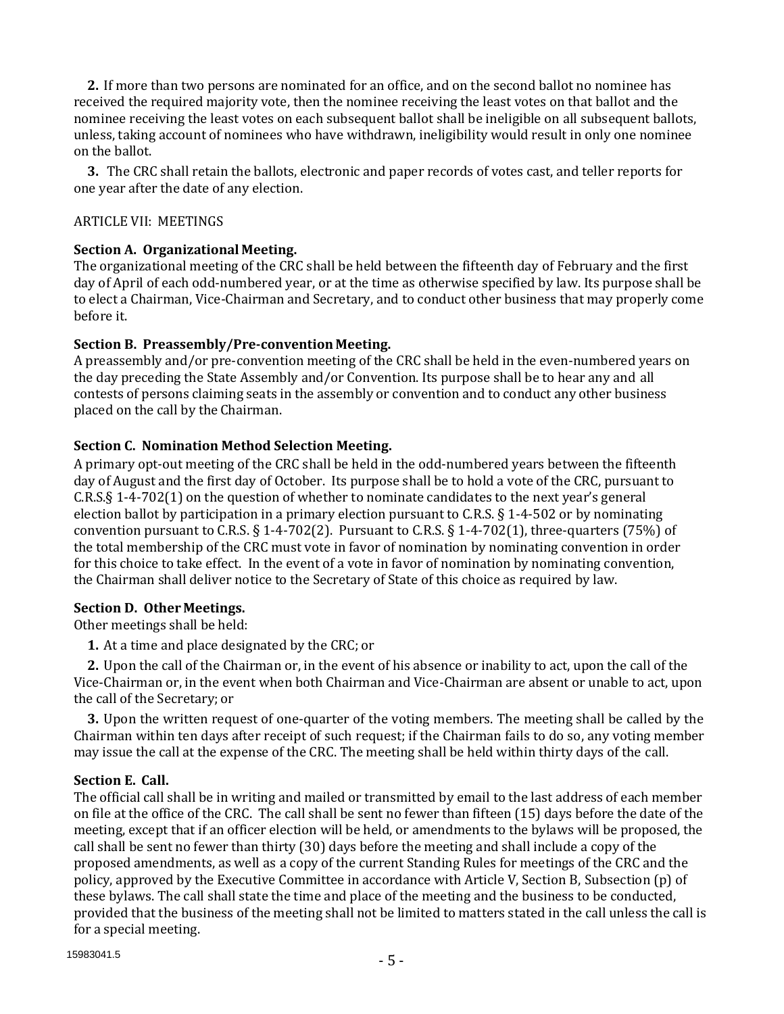**2.** If more than two persons are nominated for an office, and on the second ballot no nominee has received the required majority vote, then the nominee receiving the least votes on that ballot and the nominee receiving the least votes on each subsequent ballot shall be ineligible on all subsequent ballots, unless, taking account of nominees who have withdrawn, ineligibility would result in only one nominee on the ballot.

**3.** The CRC shall retain the ballots, electronic and paper records of votes cast, and teller reports for one year after the date of any election.

# ARTICLE VII: MEETINGS

## **Section A. Organizational Meeting.**

The organizational meeting of the CRC shall be held between the fifteenth day of February and the first day of April of each odd-numbered year, or at the time as otherwise specified by law. Its purpose shall be to elect a Chairman, Vice-Chairman and Secretary, and to conduct other business that may properly come before it.

## **Section B. Preassembly/Pre-convention Meeting.**

A preassembly and/or pre-convention meeting of the CRC shall be held in the even-numbered years on the day preceding the State Assembly and/or Convention. Its purpose shall be to hear any and all contests of persons claiming seats in the assembly or convention and to conduct any other business placed on the call by the Chairman.

## **Section C. Nomination Method Selection Meeting.**

A primary opt-out meeting of the CRC shall be held in the odd-numbered years between the fifteenth day of August and the first day of October. Its purpose shall be to hold a vote of the CRC, pursuant to C.R.S.§ 1-4-702(1) on the question of whether to nominate candidates to the next year's general election ballot by participation in a primary election pursuant to C.R.S. § 1-4-502 or by nominating convention pursuant to C.R.S.  $\S$  1-4-702(2). Pursuant to C.R.S.  $\S$  1-4-702(1), three-quarters (75%) of the total membership of the CRC must vote in favor of nomination by nominating convention in order for this choice to take effect. In the event of a vote in favor of nomination by nominating convention, the Chairman shall deliver notice to the Secretary of State of this choice as required by law.

#### **Section D. Other Meetings.**

Other meetings shall be held:

**1.** At a time and place designated by the CRC; or

**2.** Upon the call of the Chairman or, in the event of his absence or inability to act, upon the call of the Vice-Chairman or, in the event when both Chairman and Vice-Chairman are absent or unable to act, upon the call of the Secretary; or

**3.** Upon the written request of one-quarter of the voting members. The meeting shall be called by the Chairman within ten days after receipt of such request; if the Chairman fails to do so, any voting member may issue the call at the expense of the CRC. The meeting shall be held within thirty days of the call.

# **Section E. Call.**

The official call shall be in writing and mailed or transmitted by email to the last address of each member on file at the office of the CRC. The call shall be sent no fewer than fifteen (15) days before the date of the meeting, except that if an officer election will be held, or amendments to the bylaws will be proposed, the call shall be sent no fewer than thirty (30) days before the meeting and shall include a copy of the proposed amendments, as well as a copy of the current Standing Rules for meetings of the CRC and the policy, approved by the Executive Committee in accordance with Article V, Section B, Subsection (p) of these bylaws. The call shall state the time and place of the meeting and the business to be conducted, provided that the business of the meeting shall not be limited to matters stated in the call unless the call is for a special meeting.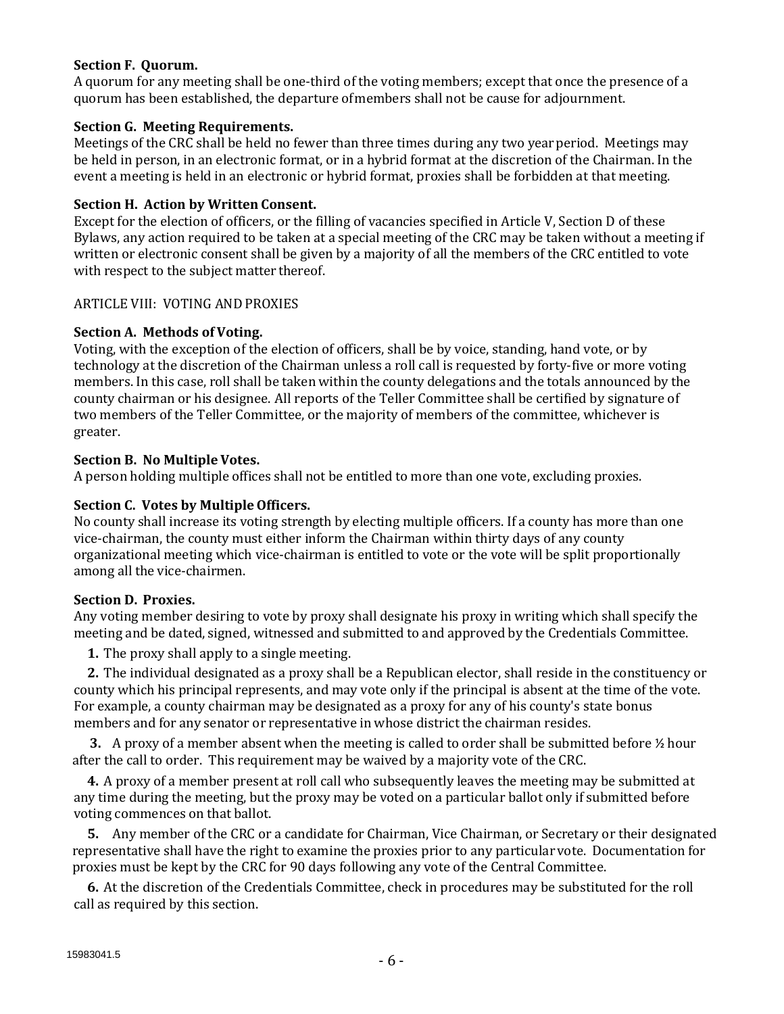## **Section F. Quorum.**

A quorum for any meeting shall be one-third of the voting members; except that once the presence of a quorum has been established, the departure ofmembers shall not be cause for adjournment.

## **Section G. Meeting Requirements.**

Meetings of the CRC shall be held no fewer than three times during any two yearperiod. Meetings may be held in person, in an electronic format, or in a hybrid format at the discretion of the Chairman. In the event a meeting is held in an electronic or hybrid format, proxies shall be forbidden at that meeting.

## **Section H. Action by Written Consent.**

Except for the election of officers, or the filling of vacancies specified in Article V, Section D of these Bylaws, any action required to be taken at a special meeting of the CRC may be taken without a meeting if written or electronic consent shall be given by a majority of all the members of the CRC entitled to vote with respect to the subject matter thereof.

## ARTICLE VIII: VOTING ANDPROXIES

## **Section A. Methods of Voting.**

Voting, with the exception of the election of officers, shall be by voice, standing, hand vote, or by technology at the discretion of the Chairman unless a roll call is requested by forty-five or more voting members. In this case, roll shall be taken within the county delegations and the totals announced by the county chairman or his designee. All reports of the Teller Committee shall be certified by signature of two members of the Teller Committee, or the majority of members of the committee, whichever is greater.

## **Section B. No Multiple Votes.**

A person holding multiple offices shall not be entitled to more than one vote, excluding proxies.

## **Section C. Votes by MultipleOfficers.**

No county shall increase its voting strength by electing multiple officers. If a county has more than one vice-chairman, the county must either inform the Chairman within thirty days of any county organizational meeting which vice-chairman is entitled to vote or the vote will be split proportionally among all the vice-chairmen.

#### **Section D. Proxies.**

Any voting member desiring to vote by proxy shall designate his proxy in writing which shall specify the meeting and be dated, signed, witnessed and submitted to and approved by the Credentials Committee.

**1.** The proxy shall apply to a single meeting.

**2.** The individual designated as a proxy shall be a Republican elector, shall reside in the constituency or county which his principal represents, and may vote only if the principal is absent at the time of the vote. For example, a county chairman may be designated as a proxy for any of his county's state bonus members and for any senator or representative in whose district the chairman resides.

**3.** A proxy of a member absent when the meeting is called to order shall be submitted before ½ hour after the call to order. This requirement may be waived by a majority vote of the CRC.

**4.** A proxy of a member present at roll call who subsequently leaves the meeting may be submitted at any time during the meeting, but the proxy may be voted on a particular ballot only if submitted before voting commences on that ballot.

**5.** Any member of the CRC or a candidate for Chairman, Vice Chairman, or Secretary or their designated representative shall have the right to examine the proxies prior to any particularvote. Documentation for proxies must be kept by the CRC for 90 days following any vote of the Central Committee.

**6.** At the discretion of the Credentials Committee, check in procedures may be substituted for the roll call as required by this section.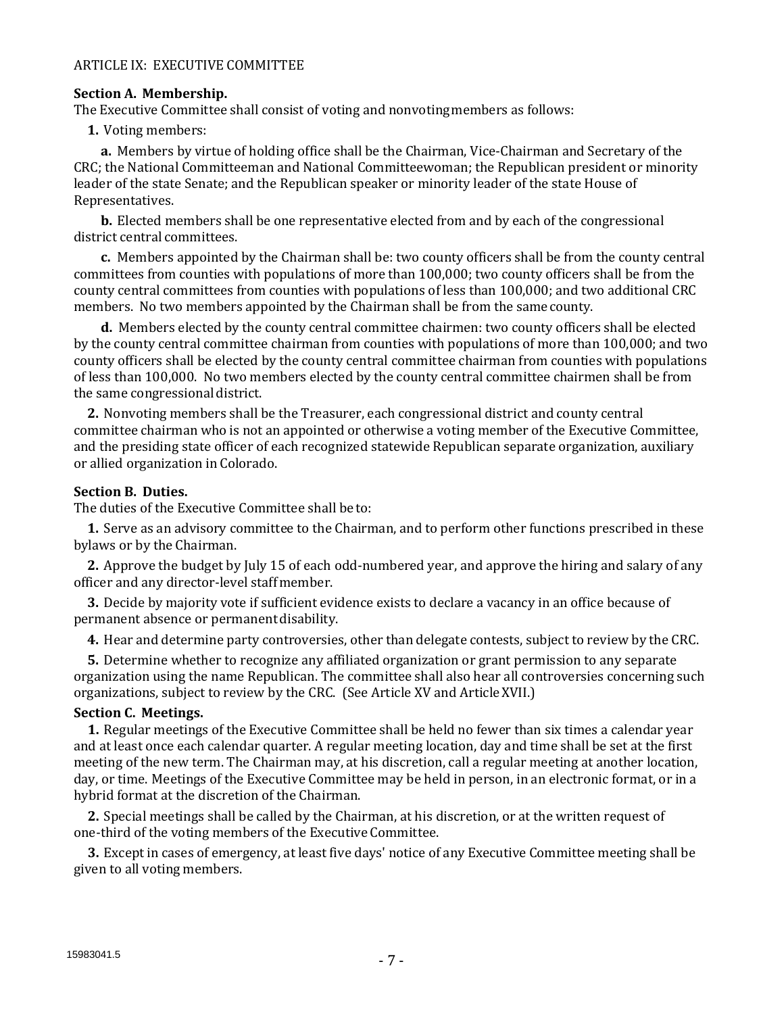#### ARTICLE IX: EXECUTIVE COMMITTEE

#### **Section A. Membership.**

The Executive Committee shall consist of voting and nonvotingmembers as follows:

**1.** Voting members:

**a.** Members by virtue of holding office shall be the Chairman, Vice-Chairman and Secretary of the CRC; the National Committeeman and National Committeewoman; the Republican president or minority leader of the state Senate; and the Republican speaker or minority leader of the state House of Representatives.

**b.** Elected members shall be one representative elected from and by each of the congressional district central committees.

**c.** Members appointed by the Chairman shall be: two county officers shall be from the county central committees from counties with populations of more than 100,000; two county officers shall be from the county central committees from counties with populations of less than 100,000; and two additional CRC members. No two members appointed by the Chairman shall be from the samecounty.

**d.** Members elected by the county central committee chairmen: two county officers shall be elected by the county central committee chairman from counties with populations of more than 100,000; and two county officers shall be elected by the county central committee chairman from counties with populations of less than 100,000. No two members elected by the county central committee chairmen shall be from the same congressional district.

**2.** Nonvoting members shall be the Treasurer, each congressional district and county central committee chairman who is not an appointed or otherwise a voting member of the Executive Committee, and the presiding state officer of each recognized statewide Republican separate organization, auxiliary or allied organization in Colorado.

#### **Section B. Duties.**

The duties of the Executive Committee shall be to:

**1.** Serve as an advisory committee to the Chairman, and to perform other functions prescribed in these bylaws or by the Chairman.

**2.** Approve the budget by July 15 of each odd-numbered year, and approve the hiring and salary of any officer and any director-level staffmember.

**3.** Decide by majority vote if sufficient evidence exists to declare a vacancy in an office because of permanent absence or permanent disability.

**4.** Hear and determine party controversies, other than delegate contests, subject to review by the CRC.

**5.** Determine whether to recognize any affiliated organization or grant permission to any separate organization using the name Republican. The committee shall also hear all controversies concerning such organizations, subject to review by the CRC. (See Article XV and ArticleXVII.)

#### **Section C. Meetings.**

**1.** Regular meetings of the Executive Committee shall be held no fewer than six times a calendar year and at least once each calendar quarter. A regular meeting location, day and time shall be set at the first meeting of the new term. The Chairman may, at his discretion, call a regular meeting at another location, day, or time. Meetings of the Executive Committee may be held in person, in an electronic format, or in a hybrid format at the discretion of the Chairman.

**2.** Special meetings shall be called by the Chairman, at his discretion, or at the written request of one-third of the voting members of the Executive Committee.

**3.** Except in cases of emergency, at least five days' notice of any Executive Committee meeting shall be given to all voting members.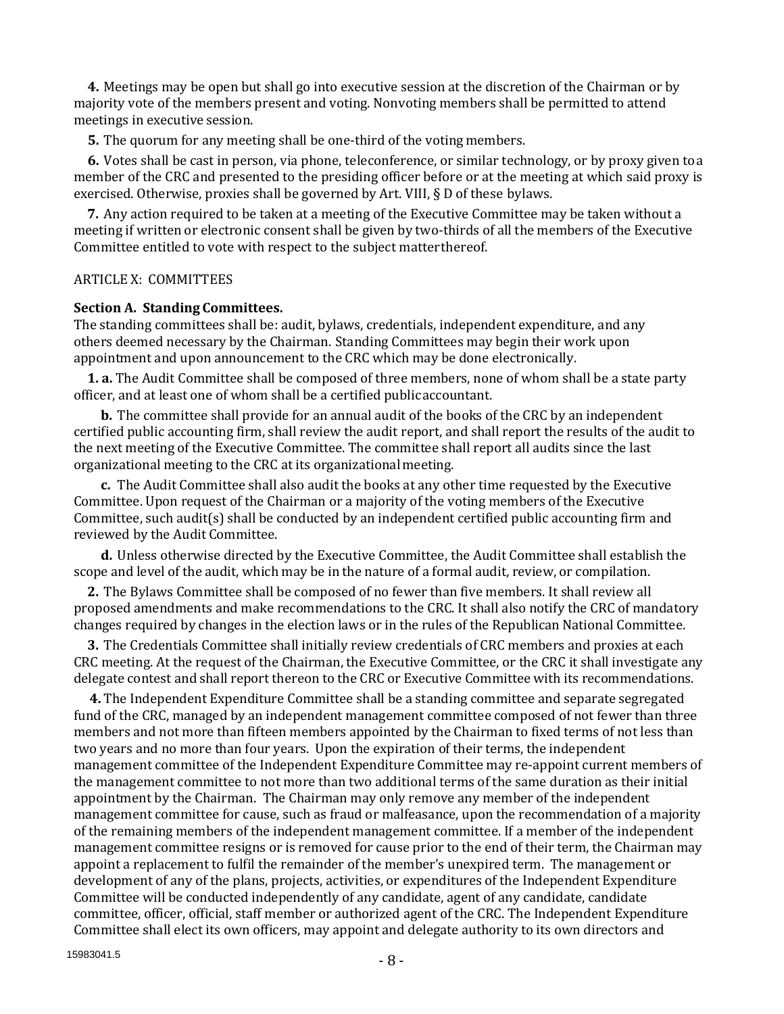**4.** Meetings may be open but shall go into executive session at the discretion of the Chairman or by majority vote of the members present and voting. Nonvoting members shall be permitted to attend meetings in executive session.

**5.** The quorum for any meeting shall be one-third of the voting members.

**6.** Votes shall be cast in person, via phone, teleconference, or similar technology, or by proxy given toa member of the CRC and presented to the presiding officer before or at the meeting at which said proxy is exercised. Otherwise, proxies shall be governed by Art. VIII, § D of these bylaws.

**7.** Any action required to be taken at a meeting of the Executive Committee may be taken without a meeting if written or electronic consent shall be given by two-thirds of all the members of the Executive Committee entitled to vote with respect to the subject matterthereof.

#### ARTICLE X: COMMITTEES

#### **Section A. Standing Committees.**

The standing committees shall be: audit, bylaws, credentials, independent expenditure, and any others deemed necessary by the Chairman. Standing Committees may begin their work upon appointment and upon announcement to the CRC which may be done electronically.

**1. a.** The Audit Committee shall be composed of three members, none of whom shall be a state party officer, and at least one of whom shall be a certified publicaccountant.

**b.** The committee shall provide for an annual audit of the books of the CRC by an independent certified public accounting firm, shall review the audit report, and shall report the results of the audit to the next meeting of the Executive Committee. The committee shall report all audits since the last organizational meeting to the CRC at its organizationalmeeting.

**c.** The Audit Committee shall also audit the books at any other time requested by the Executive Committee. Upon request of the Chairman or a majority of the voting members of the Executive Committee, such audit(s) shall be conducted by an independent certified public accounting firm and reviewed by the Audit Committee.

**d.** Unless otherwise directed by the Executive Committee, the Audit Committee shall establish the scope and level of the audit, which may be in the nature of a formal audit, review, or compilation.

**2.** The Bylaws Committee shall be composed of no fewer than five members. It shall review all proposed amendments and make recommendations to the CRC. It shall also notify the CRC of mandatory changes required by changes in the election laws or in the rules of the Republican National Committee.

**3.** The Credentials Committee shall initially review credentials of CRC members and proxies at each CRC meeting. At the request of the Chairman, the Executive Committee, or the CRC it shall investigate any delegate contest and shall report thereon to the CRC or Executive Committee with its recommendations.

**4.** The Independent Expenditure Committee shall be a standing committee and separate segregated fund of the CRC, managed by an independent management committee composed of not fewer than three members and not more than fifteen members appointed by the Chairman to fixed terms of not less than two years and no more than four years. Upon the expiration of their terms, the independent management committee of the Independent Expenditure Committee may re-appoint current members of the management committee to not more than two additional terms of the same duration as their initial appointment by the Chairman. The Chairman may only remove any member of the independent management committee for cause, such as fraud or malfeasance, upon the recommendation of a majority of the remaining members of the independent management committee. If a member of the independent management committee resigns or is removed for cause prior to the end of their term, the Chairman may appoint a replacement to fulfil the remainder of the member's unexpired term. The management or development of any of the plans, projects, activities, or expenditures of the Independent Expenditure Committee will be conducted independently of any candidate, agent of any candidate, candidate committee, officer, official, staff member or authorized agent of the CRC. The Independent Expenditure Committee shall elect its own officers, may appoint and delegate authority to its own directors and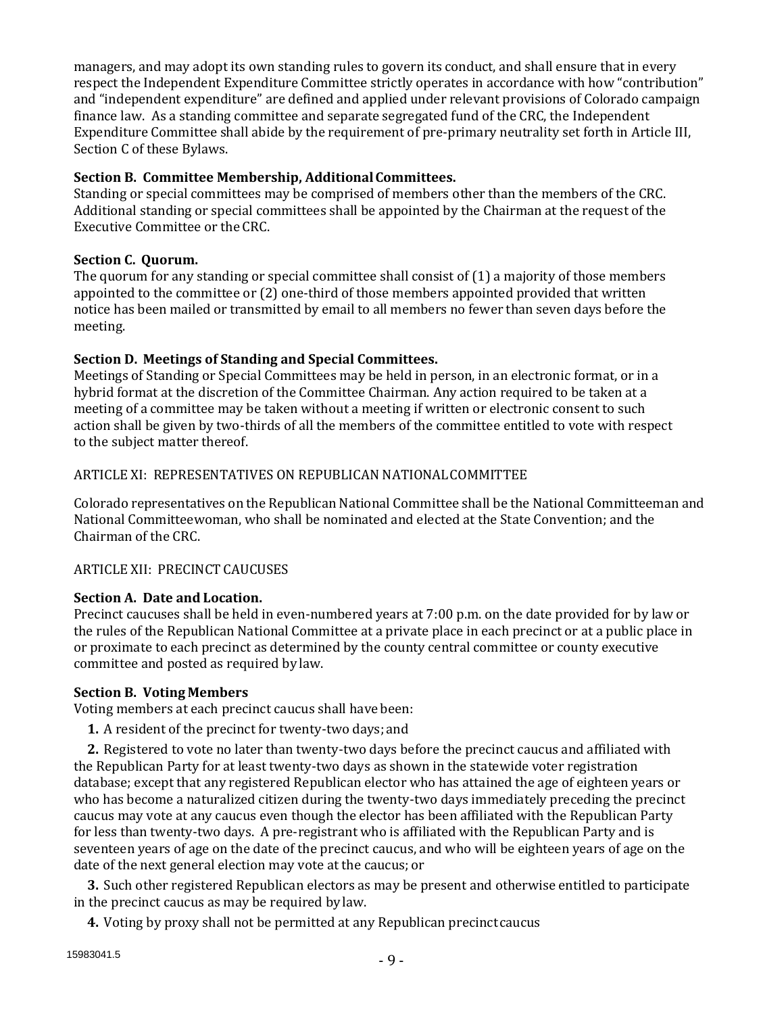managers, and may adopt its own standing rules to govern its conduct, and shall ensure that in every respect the Independent Expenditure Committee strictly operates in accordance with how "contribution" and "independent expenditure" are defined and applied under relevant provisions of Colorado campaign finance law. As a standing committee and separate segregated fund of the CRC, the Independent Expenditure Committee shall abide by the requirement of pre-primary neutrality set forth in Article III, Section C of these Bylaws.

# **Section B. Committee Membership, AdditionalCommittees.**

Standing or special committees may be comprised of members other than the members of the CRC. Additional standing or special committees shall be appointed by the Chairman at the request of the Executive Committee or the CRC.

# **Section C. Quorum.**

The quorum for any standing or special committee shall consist of (1) a majority of those members appointed to the committee or (2) one-third of those members appointed provided that written notice has been mailed or transmitted by email to all members no fewer than seven days before the meeting.

# **Section D. Meetings of Standing and Special Committees.**

Meetings of Standing or Special Committees may be held in person, in an electronic format, or in a hybrid format at the discretion of the Committee Chairman. Any action required to be taken at a meeting of a committee may be taken without a meeting if written or electronic consent to such action shall be given by two-thirds of all the members of the committee entitled to vote with respect to the subject matter thereof.

# ARTICLE XI: REPRESENTATIVES ON REPUBLICAN NATIONALCOMMITTEE

Colorado representatives on the Republican National Committee shall be the National Committeeman and National Committeewoman, who shall be nominated and elected at the State Convention; and the Chairman of the CRC.

# ARTICLE XII: PRECINCT CAUCUSES

# **Section A. Date and Location.**

Precinct caucuses shall be held in even-numbered years at 7:00 p.m. on the date provided for by law or the rules of the Republican National Committee at a private place in each precinct or at a public place in or proximate to each precinct as determined by the county central committee or county executive committee and posted as required by law.

# **Section B. Voting Members**

Voting members at each precinct caucus shall have been:

**1.** A resident of the precinct for twenty-two days; and

**2.** Registered to vote no later than twenty-two days before the precinct caucus and affiliated with the Republican Party for at least twenty-two days as shown in the statewide voter registration database; except that any registered Republican elector who has attained the age of eighteen years or who has become a naturalized citizen during the twenty-two days immediately preceding the precinct caucus may vote at any caucus even though the elector has been affiliated with the Republican Party for less than twenty-two days. A pre-registrant who is affiliated with the Republican Party and is seventeen years of age on the date of the precinct caucus, and who will be eighteen years of age on the date of the next general election may vote at the caucus; or

**3.** Such other registered Republican electors as may be present and otherwise entitled to participate in the precinct caucus as may be required by law.

**4.** Voting by proxy shall not be permitted at any Republican precinctcaucus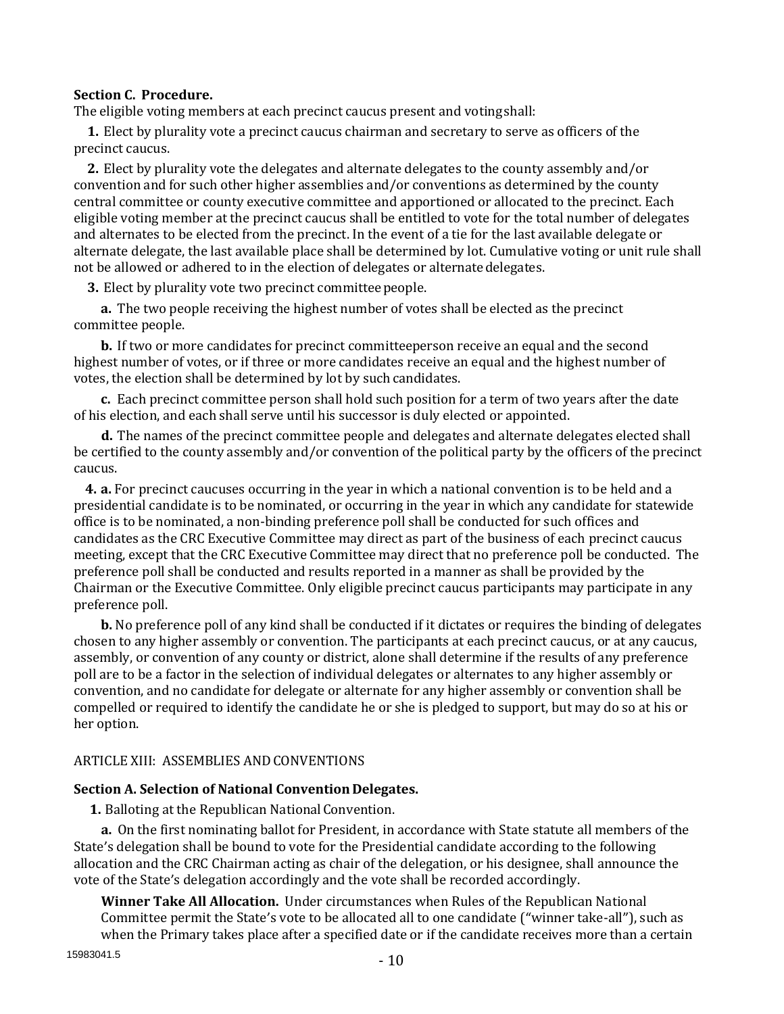#### **Section C. Procedure.**

The eligible voting members at each precinct caucus present and votingshall:

**1.** Elect by plurality vote a precinct caucus chairman and secretary to serve as officers of the precinct caucus.

**2.** Elect by plurality vote the delegates and alternate delegates to the county assembly and/or convention and for such other higher assemblies and/or conventions as determined by the county central committee or county executive committee and apportioned or allocated to the precinct. Each eligible voting member at the precinct caucus shall be entitled to vote for the total number of delegates and alternates to be elected from the precinct. In the event of a tie for the last available delegate or alternate delegate, the last available place shall be determined by lot. Cumulative voting or unit rule shall not be allowed or adhered to in the election of delegates or alternatedelegates.

**3.** Elect by plurality vote two precinct committeepeople.

**a.** The two people receiving the highest number of votes shall be elected as the precinct committee people.

**b.** If two or more candidates for precinct committeeperson receive an equal and the second highest number of votes, or if three or more candidates receive an equal and the highest number of votes, the election shall be determined by lot by such candidates.

**c.** Each precinct committee person shall hold such position for a term of two years after the date of his election, and each shall serve until his successor is duly elected or appointed.

**d.** The names of the precinct committee people and delegates and alternate delegates elected shall be certified to the county assembly and/or convention of the political party by the officers of the precinct caucus.

**4. a.** For precinct caucuses occurring in the year in which a national convention is to be held and a presidential candidate is to be nominated, or occurring in the year in which any candidate for statewide office is to be nominated, a non-binding preference poll shall be conducted for such offices and candidates as the CRC Executive Committee may direct as part of the business of each precinct caucus meeting, except that the CRC Executive Committee may direct that no preference poll be conducted. The preference poll shall be conducted and results reported in a manner as shall be provided by the Chairman or the Executive Committee. Only eligible precinct caucus participants may participate in any preference poll.

**b.** No preference poll of any kind shall be conducted if it dictates or requires the binding of delegates chosen to any higher assembly or convention. The participants at each precinct caucus, or at any caucus, assembly, or convention of any county or district, alone shall determine if the results of any preference poll are to be a factor in the selection of individual delegates or alternates to any higher assembly or convention, and no candidate for delegate or alternate for any higher assembly or convention shall be compelled or required to identify the candidate he or she is pledged to support, but may do so at his or her option.

#### ARTICLE XIII: ASSEMBLIES ANDCONVENTIONS

#### **Section A. Selection of National Convention Delegates.**

1. Balloting at the Republican National Convention.

**a.** On the first nominating ballot for President, in accordance with State statute all members of the State's delegation shall be bound to vote for the Presidential candidate according to the following allocation and the CRC Chairman acting as chair of the delegation, or his designee, shall announce the vote of the State's delegation accordingly and the vote shall be recorded accordingly.

**Winner Take All Allocation.** Under circumstances when Rules of the Republican National Committee permit the State's vote to be allocated all to one candidate ("winner take-all"), such as when the Primary takes place after a specified date or if the candidate receives more than a certain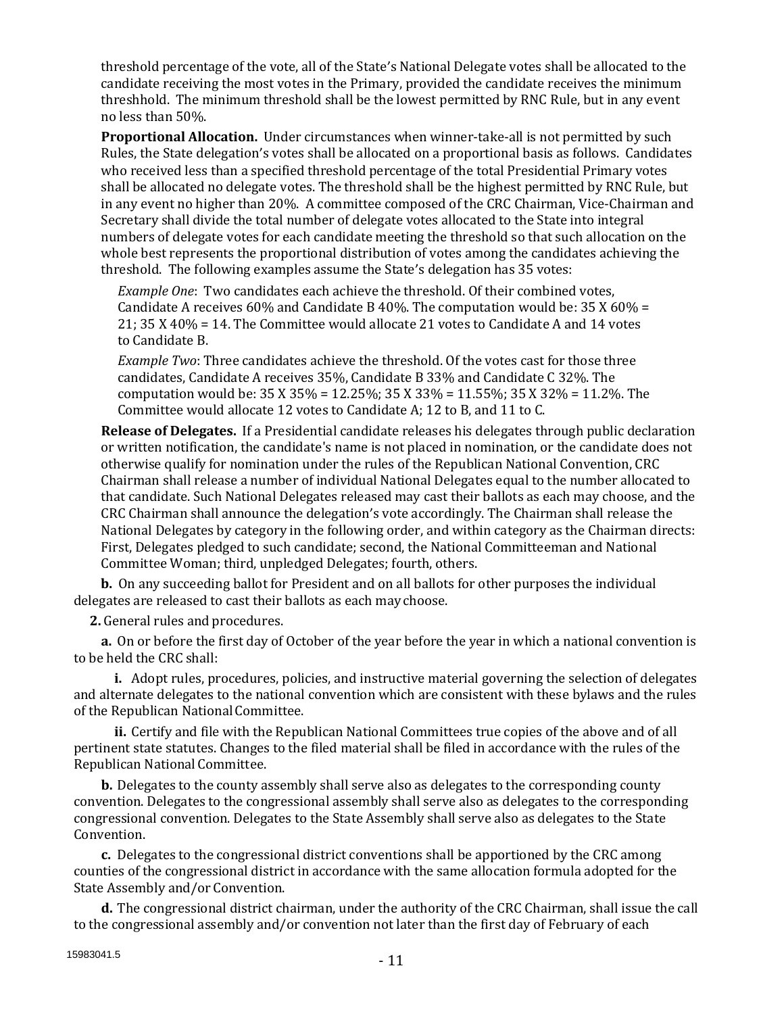threshold percentage of the vote, all of the State's National Delegate votes shall be allocated to the candidate receiving the most votes in the Primary, provided the candidate receives the minimum threshhold. The minimum threshold shall be the lowest permitted by RNC Rule, but in any event no less than 50%.

**Proportional Allocation.** Under circumstances when winner-take-all is not permitted by such Rules, the State delegation's votes shall be allocated on a proportional basis as follows. Candidates who received less than a specified threshold percentage of the total Presidential Primary votes shall be allocated no delegate votes. The threshold shall be the highest permitted by RNC Rule, but in any event no higher than 20%. A committee composed of the CRC Chairman, Vice-Chairman and Secretary shall divide the total number of delegate votes allocated to the State into integral numbers of delegate votes for each candidate meeting the threshold so that such allocation on the whole best represents the proportional distribution of votes among the candidates achieving the threshold. The following examples assume the State's delegation has 35 votes:

*Example One*: Two candidates each achieve the threshold. Of their combined votes, Candidate A receives 60% and Candidate B 40%. The computation would be:  $35 X 60\% =$ 21; 35 X 40% = 14. The Committee would allocate 21 votes to Candidate A and 14 votes to Candidate B.

*Example Two*: Three candidates achieve the threshold. Of the votes cast for those three candidates, Candidate A receives 35%, Candidate B 33% and Candidate C 32%. The computation would be: 35 X 35% = 12.25%; 35 X 33% = 11.55%; 35 X 32% = 11.2%. The Committee would allocate 12 votes to Candidate A; 12 to B, and 11 to C.

**Release of Delegates.** If a Presidential candidate releases his delegates through public declaration or written notification, the candidate's name is not placed in nomination, or the candidate does not otherwise qualify for nomination under the rules of the Republican National Convention, CRC Chairman shall release a number of individual National Delegates equal to the number allocated to that candidate. Such National Delegates released may cast their ballots as each may choose, and the CRC Chairman shall announce the delegation's vote accordingly. The Chairman shall release the National Delegates by category in the following order, and within category as the Chairman directs: First, Delegates pledged to such candidate; second, the National Committeeman and National Committee Woman; third, unpledged Delegates; fourth, others.

**b.** On any succeeding ballot for President and on all ballots for other purposes the individual delegates are released to cast their ballots as each maychoose.

**2.** General rules and procedures.

**a.** On or before the first day of October of the year before the year in which a national convention is to be held the CRC shall:

**i.** Adopt rules, procedures, policies, and instructive material governing the selection of delegates and alternate delegates to the national convention which are consistent with these bylaws and the rules of the Republican National Committee.

**ii.** Certify and file with the Republican National Committees true copies of the above and of all pertinent state statutes. Changes to the filed material shall be filed in accordance with the rules of the Republican National Committee.

**b.** Delegates to the county assembly shall serve also as delegates to the corresponding county convention. Delegates to the congressional assembly shall serve also as delegates to the corresponding congressional convention. Delegates to the State Assembly shall serve also as delegates to the State Convention.

**c.** Delegates to the congressional district conventions shall be apportioned by the CRC among counties of the congressional district in accordance with the same allocation formula adopted for the State Assembly and/or Convention.

**d.** The congressional district chairman, under the authority of the CRC Chairman, shall issue the call to the congressional assembly and/or convention not later than the first day of February of each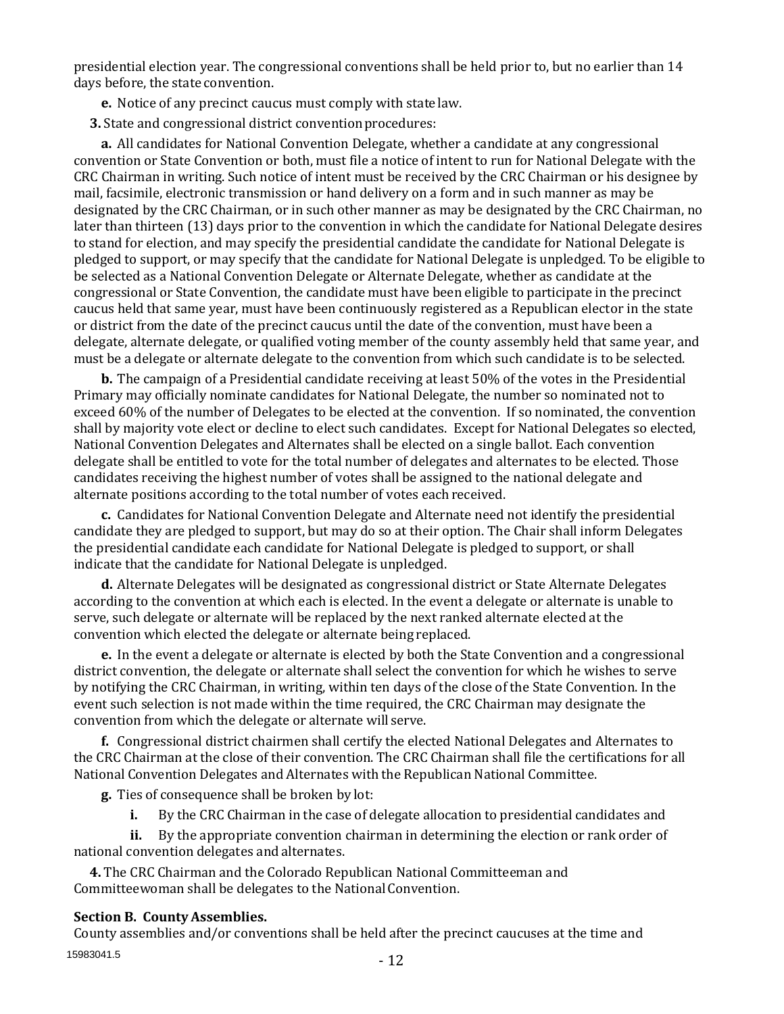presidential election year. The congressional conventions shall be held prior to, but no earlier than 14 days before, the state convention.

**e.** Notice of any precinct caucus must comply with statelaw.

**3.** State and congressional district conventionprocedures:

**a.** All candidates for National Convention Delegate, whether a candidate at any congressional convention or State Convention or both, must file a notice of intent to run for National Delegate with the CRC Chairman in writing. Such notice of intent must be received by the CRC Chairman or his designee by mail, facsimile, electronic transmission or hand delivery on a form and in such manner as may be designated by the CRC Chairman, or in such other manner as may be designated by the CRC Chairman, no later than thirteen (13) days prior to the convention in which the candidate for National Delegate desires to stand for election, and may specify the presidential candidate the candidate for National Delegate is pledged to support, or may specify that the candidate for National Delegate is unpledged. To be eligible to be selected as a National Convention Delegate or Alternate Delegate, whether as candidate at the congressional or State Convention, the candidate must have been eligible to participate in the precinct caucus held that same year, must have been continuously registered as a Republican elector in the state or district from the date of the precinct caucus until the date of the convention, must have been a delegate, alternate delegate, or qualified voting member of the county assembly held that same year, and must be a delegate or alternate delegate to the convention from which such candidate is to be selected.

**b.** The campaign of a Presidential candidate receiving at least 50% of the votes in the Presidential Primary may officially nominate candidates for National Delegate, the number so nominated not to exceed 60% of the number of Delegates to be elected at the convention. If so nominated, the convention shall by majority vote elect or decline to elect such candidates. Except for National Delegates so elected, National Convention Delegates and Alternates shall be elected on a single ballot. Each convention delegate shall be entitled to vote for the total number of delegates and alternates to be elected. Those candidates receiving the highest number of votes shall be assigned to the national delegate and alternate positions according to the total number of votes each received.

**c.** Candidates for National Convention Delegate and Alternate need not identify the presidential candidate they are pledged to support, but may do so at their option. The Chair shall inform Delegates the presidential candidate each candidate for National Delegate is pledged to support, or shall indicate that the candidate for National Delegate is unpledged.

**d.** Alternate Delegates will be designated as congressional district or State Alternate Delegates according to the convention at which each is elected. In the event a delegate or alternate is unable to serve, such delegate or alternate will be replaced by the next ranked alternate elected at the convention which elected the delegate or alternate being replaced.

**e.** In the event a delegate or alternate is elected by both the State Convention and a congressional district convention, the delegate or alternate shall select the convention for which he wishes to serve by notifying the CRC Chairman, in writing, within ten days of the close of the State Convention. In the event such selection is not made within the time required, the CRC Chairman may designate the convention from which the delegate or alternate will serve.

**f.** Congressional district chairmen shall certify the elected National Delegates and Alternates to the CRC Chairman at the close of their convention. The CRC Chairman shall file the certifications for all National Convention Delegates and Alternates with the Republican National Committee.

**g.** Ties of consequence shall be broken by lot:

**i.** By the CRC Chairman in the case of delegate allocation to presidential candidates and

**ii.** By the appropriate convention chairman in determining the election or rank order of national convention delegates and alternates.

**4.** The CRC Chairman and the Colorado Republican National Committeeman and Committeewoman shall be delegates to the National Convention.

#### **Section B. CountyAssemblies.**

15983041.5 County assemblies and/or conventions shall be held after the precinct caucuses at the time and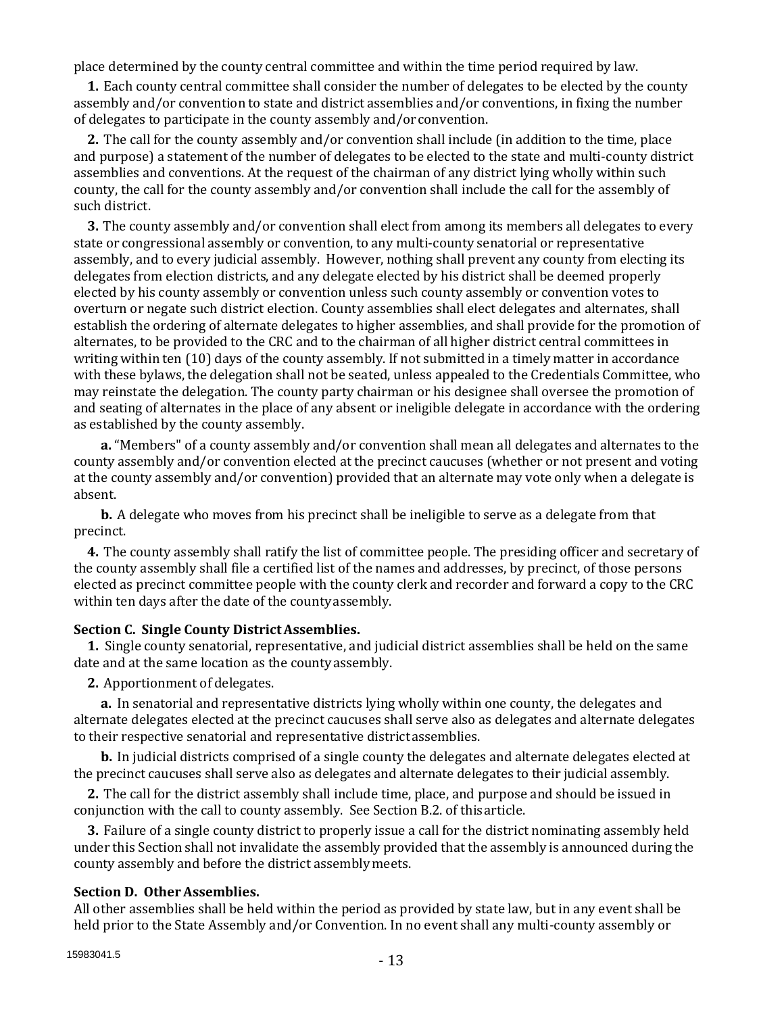place determined by the county central committee and within the time period required by law.

**1.** Each county central committee shall consider the number of delegates to be elected by the county assembly and/or convention to state and district assemblies and/or conventions, in fixing the number of delegates to participate in the county assembly and/orconvention.

**2.** The call for the county assembly and/or convention shall include (in addition to the time, place and purpose) a statement of the number of delegates to be elected to the state and multi-county district assemblies and conventions. At the request of the chairman of any district lying wholly within such county, the call for the county assembly and/or convention shall include the call for the assembly of such district.

**3.** The county assembly and/or convention shall elect from among its members all delegates to every state or congressional assembly or convention, to any multi-county senatorial or representative assembly, and to every judicial assembly. However, nothing shall prevent any county from electing its delegates from election districts, and any delegate elected by his district shall be deemed properly elected by his county assembly or convention unless such county assembly or convention votes to overturn or negate such district election. County assemblies shall elect delegates and alternates, shall establish the ordering of alternate delegates to higher assemblies, and shall provide for the promotion of alternates, to be provided to the CRC and to the chairman of all higher district central committees in writing within ten (10) days of the county assembly. If not submitted in a timely matter in accordance with these bylaws, the delegation shall not be seated, unless appealed to the Credentials Committee, who may reinstate the delegation. The county party chairman or his designee shall oversee the promotion of and seating of alternates in the place of any absent or ineligible delegate in accordance with the ordering as established by the county assembly.

**a.** "Members" of a county assembly and/or convention shall mean all delegates and alternates to the county assembly and/or convention elected at the precinct caucuses (whether or not present and voting at the county assembly and/or convention) provided that an alternate may vote only when a delegate is absent.

**b.** A delegate who moves from his precinct shall be ineligible to serve as a delegate from that precinct.

**4.** The county assembly shall ratify the list of committee people. The presiding officer and secretary of the county assembly shall file a certified list of the names and addresses, by precinct, of those persons elected as precinct committee people with the county clerk and recorder and forward a copy to the CRC within ten days after the date of the countyassembly.

# **Section C. Single County DistrictAssemblies.**

**1.** Single county senatorial, representative, and judicial district assemblies shall be held on the same date and at the same location as the countyassembly.

**2.** Apportionment of delegates.

**a.** In senatorial and representative districts lying wholly within one county, the delegates and alternate delegates elected at the precinct caucuses shall serve also as delegates and alternate delegates to their respective senatorial and representative districtassemblies.

**b.** In judicial districts comprised of a single county the delegates and alternate delegates elected at the precinct caucuses shall serve also as delegates and alternate delegates to their judicial assembly.

**2.** The call for the district assembly shall include time, place, and purpose and should be issued in conjunction with the call to county assembly. See Section B.2. of thisarticle.

**3.** Failure of a single county district to properly issue a call for the district nominating assembly held under this Section shall not invalidate the assembly provided that the assembly is announced during the county assembly and before the district assemblymeets.

# **Section D. OtherAssemblies.**

All other assemblies shall be held within the period as provided by state law, but in any event shall be held prior to the State Assembly and/or Convention. In no event shall any multi-county assembly or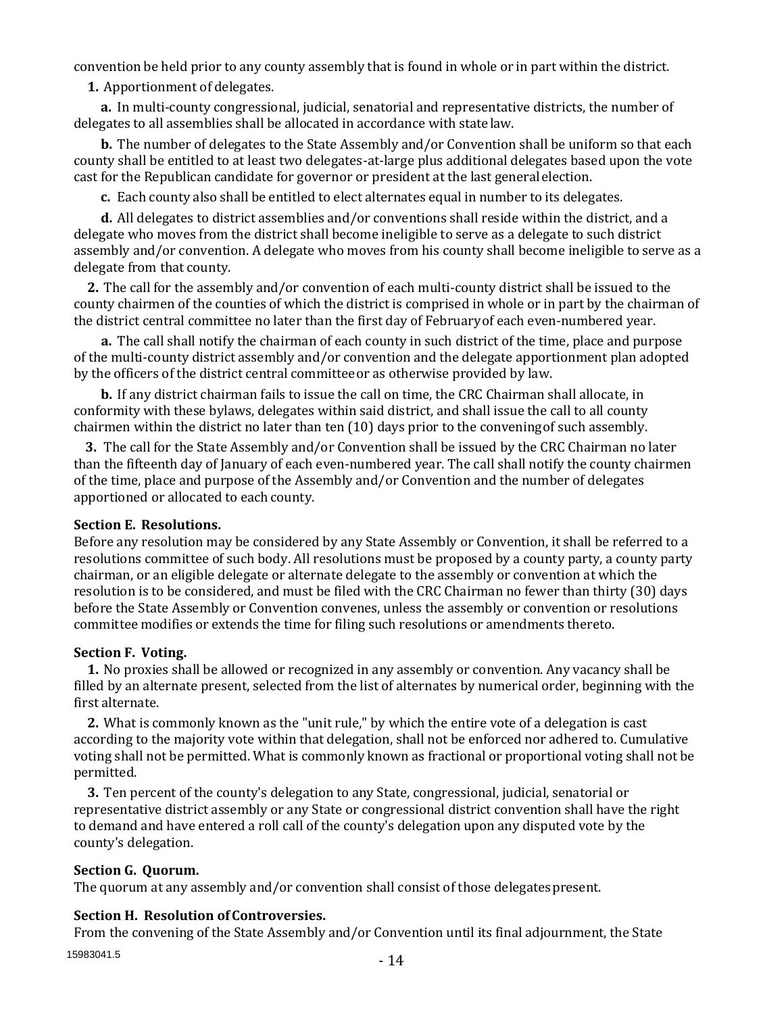convention be held prior to any county assembly that is found in whole or in part within the district.

**1.** Apportionment of delegates.

**a.** In multi-county congressional, judicial, senatorial and representative districts, the number of delegates to all assemblies shall be allocated in accordance with statelaw.

**b.** The number of delegates to the State Assembly and/or Convention shall be uniform so that each county shall be entitled to at least two delegates-at-large plus additional delegates based upon the vote cast for the Republican candidate for governor or president at the last generalelection.

**c.** Each county also shall be entitled to elect alternates equal in number to its delegates.

**d.** All delegates to district assemblies and/or conventions shall reside within the district, and a delegate who moves from the district shall become ineligible to serve as a delegate to such district assembly and/or convention. A delegate who moves from his county shall become ineligible to serve as a delegate from that county.

**2.** The call for the assembly and/or convention of each multi-county district shall be issued to the county chairmen of the counties of which the district is comprised in whole or in part by the chairman of the district central committee no later than the first day of Februaryof each even-numbered year.

**a.** The call shall notify the chairman of each county in such district of the time, place and purpose of the multi-county district assembly and/or convention and the delegate apportionment plan adopted by the officers of the district central committeeor as otherwise provided by law.

**b.** If any district chairman fails to issue the call on time, the CRC Chairman shall allocate, in conformity with these bylaws, delegates within said district, and shall issue the call to all county chairmen within the district no later than ten (10) days prior to the conveningof such assembly.

**3.** The call for the State Assembly and/or Convention shall be issued by the CRC Chairman no later than the fifteenth day of January of each even-numbered year. The call shall notify the county chairmen of the time, place and purpose of the Assembly and/or Convention and the number of delegates apportioned or allocated to each county.

# **Section E. Resolutions.**

Before any resolution may be considered by any State Assembly or Convention, it shall be referred to a resolutions committee of such body. All resolutions must be proposed by a county party, a county party chairman, or an eligible delegate or alternate delegate to the assembly or convention at which the resolution is to be considered, and must be filed with the CRC Chairman no fewer than thirty (30) days before the State Assembly or Convention convenes, unless the assembly or convention or resolutions committee modifies or extends the time for filing such resolutions or amendments thereto.

#### **Section F. Voting.**

**1.** No proxies shall be allowed or recognized in any assembly or convention. Any vacancy shall be filled by an alternate present, selected from the list of alternates by numerical order, beginning with the first alternate.

**2.** What is commonly known as the "unit rule," by which the entire vote of a delegation is cast according to the majority vote within that delegation, shall not be enforced nor adhered to. Cumulative voting shall not be permitted. What is commonly known as fractional or proportional voting shall not be permitted.

**3.** Ten percent of the county's delegation to any State, congressional, judicial, senatorial or representative district assembly or any State or congressional district convention shall have the right to demand and have entered a roll call of the county's delegation upon any disputed vote by the county's delegation.

#### **Section G. Quorum.**

The quorum at any assembly and/or convention shall consist of those delegatespresent.

# **Section H. Resolution of Controversies.**

From the convening of the State Assembly and/or Convention until its final adjournment, the State

15983041.5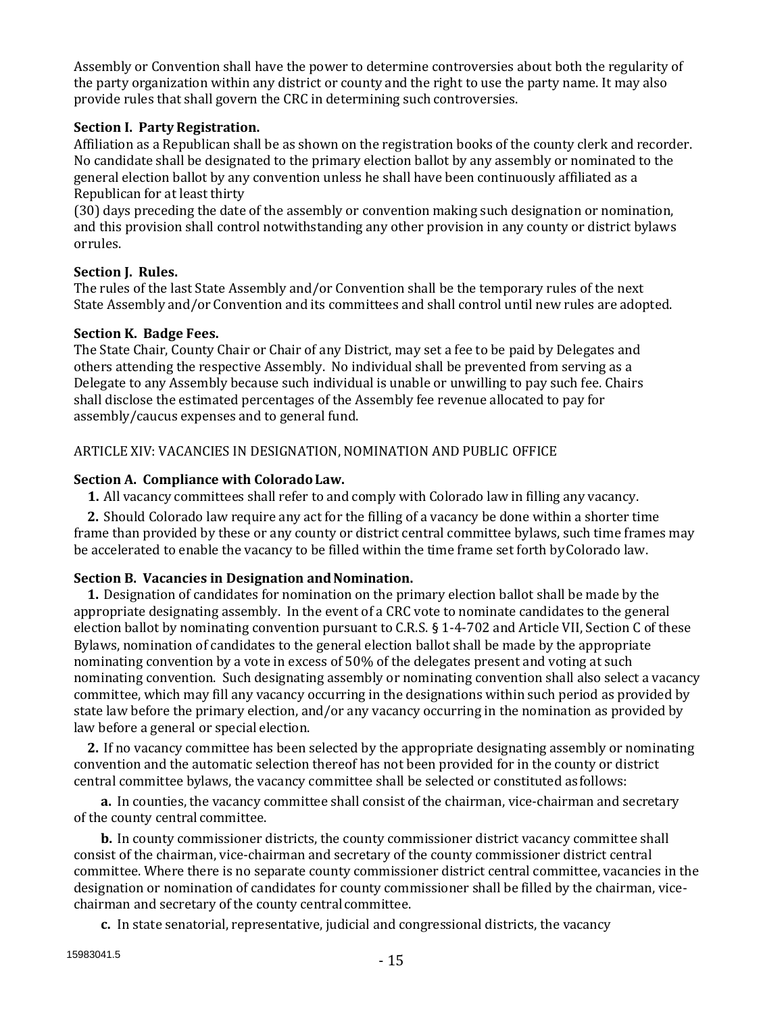Assembly or Convention shall have the power to determine controversies about both the regularity of the party organization within any district or county and the right to use the party name. It may also provide rules that shall govern the CRC in determining such controversies.

### **Section I. Party Registration.**

Affiliation as a Republican shall be as shown on the registration books of the county clerk and recorder. No candidate shall be designated to the primary election ballot by any assembly or nominated to the general election ballot by any convention unless he shall have been continuously affiliated as a Republican for at least thirty

(30) days preceding the date of the assembly or convention making such designation or nomination, and this provision shall control notwithstanding any other provision in any county or district bylaws orrules.

# **Section J. Rules.**

The rules of the last State Assembly and/or Convention shall be the temporary rules of the next State Assembly and/or Convention and its committees and shall control until new rules are adopted.

## **Section K. Badge Fees.**

The State Chair, County Chair or Chair of any District, may set a fee to be paid by Delegates and others attending the respective Assembly. No individual shall be prevented from serving as a Delegate to any Assembly because such individual is unable or unwilling to pay such fee. Chairs shall disclose the estimated percentages of the Assembly fee revenue allocated to pay for assembly/caucus expenses and to general fund.

# ARTICLE XIV: VACANCIES IN DESIGNATION, NOMINATION AND PUBLIC OFFICE

## **Section A. Compliance with ColoradoLaw.**

**1.** All vacancy committees shall refer to and comply with Colorado law in filling any vacancy.

**2.** Should Colorado law require any act for the filling of a vacancy be done within a shorter time frame than provided by these or any county or district central committee bylaws, such time frames may be accelerated to enable the vacancy to be filled within the time frame set forth byColorado law.

# Section B. Vacancies in Designation and Nomination.

**1.** Designation of candidates for nomination on the primary election ballot shall be made by the appropriate designating assembly. In the event of a CRC vote to nominate candidates to the general election ballot by nominating convention pursuant to C.R.S. § 1-4-702 and Article VII, Section C of these Bylaws, nomination of candidates to the general election ballot shall be made by the appropriate nominating convention by a vote in excess of 50% of the delegates present and voting at such nominating convention. Such designating assembly or nominating convention shall also select a vacancy committee, which may fill any vacancy occurring in the designations within such period as provided by state law before the primary election, and/or any vacancy occurring in the nomination as provided by law before a general or special election.

**2.** If no vacancy committee has been selected by the appropriate designating assembly or nominating convention and the automatic selection thereof has not been provided for in the county or district central committee bylaws, the vacancy committee shall be selected or constituted asfollows:

**a.** In counties, the vacancy committee shall consist of the chairman, vice-chairman and secretary of the county central committee.

**b.** In county commissioner districts, the county commissioner district vacancy committee shall consist of the chairman, vice-chairman and secretary of the county commissioner district central committee. Where there is no separate county commissioner district central committee, vacancies in the designation or nomination of candidates for county commissioner shall be filled by the chairman, vicechairman and secretary of the county centralcommittee.

**c.** In state senatorial, representative, judicial and congressional districts, the vacancy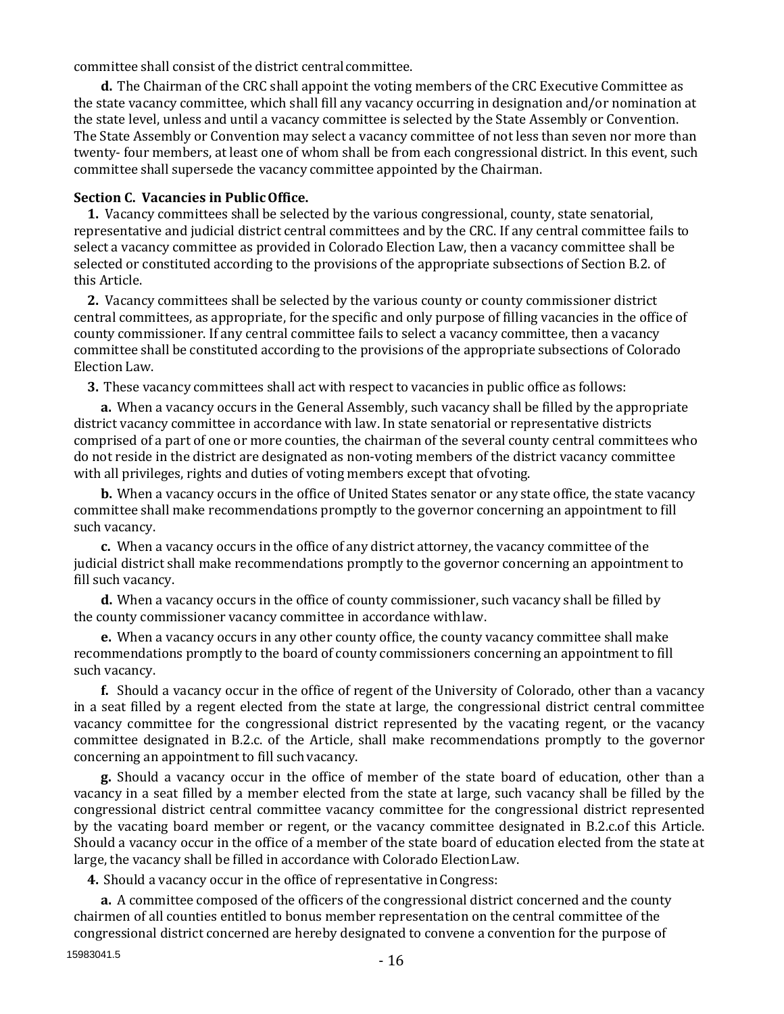committee shall consist of the district central committee.

**d.** The Chairman of the CRC shall appoint the voting members of the CRC Executive Committee as the state vacancy committee, which shall fill any vacancy occurring in designation and/or nomination at the state level, unless and until a vacancy committee is selected by the State Assembly or Convention. The State Assembly or Convention may select a vacancy committee of not less than seven nor more than twenty- four members, at least one of whom shall be from each congressional district. In this event, such committee shall supersede the vacancy committee appointed by the Chairman.

#### **Section C. Vacancies in PublicOffice.**

**1.** Vacancy committees shall be selected by the various congressional, county, state senatorial, representative and judicial district central committees and by the CRC. If any central committee fails to select a vacancy committee as provided in Colorado Election Law, then a vacancy committee shall be selected or constituted according to the provisions of the appropriate subsections of Section B.2. of this Article.

**2.** Vacancy committees shall be selected by the various county or county commissioner district central committees, as appropriate, for the specific and only purpose of filling vacancies in the office of county commissioner. If any central committee fails to select a vacancy committee, then a vacancy committee shall be constituted according to the provisions of the appropriate subsections of Colorado Election Law.

**3.** These vacancy committees shall act with respect to vacancies in public office as follows:

**a.** When a vacancy occurs in the General Assembly, such vacancy shall be filled by the appropriate district vacancy committee in accordance with law. In state senatorial or representative districts comprised of a part of one or more counties, the chairman of the several county central committees who do not reside in the district are designated as non-voting members of the district vacancy committee with all privileges, rights and duties of voting members except that ofvoting.

**b.** When a vacancy occurs in the office of United States senator or any state office, the state vacancy committee shall make recommendations promptly to the governor concerning an appointment to fill such vacancy.

**c.** When a vacancy occurs in the office of any district attorney, the vacancy committee of the judicial district shall make recommendations promptly to the governor concerning an appointment to fill such vacancy.

**d.** When a vacancy occurs in the office of county commissioner, such vacancy shall be filled by the county commissioner vacancy committee in accordance withlaw.

**e.** When a vacancy occurs in any other county office, the county vacancy committee shall make recommendations promptly to the board of county commissioners concerning an appointment to fill such vacancy.

**f.** Should a vacancy occur in the office of regent of the University of Colorado, other than a vacancy in a seat filled by a regent elected from the state at large, the congressional district central committee vacancy committee for the congressional district represented by the vacating regent, or the vacancy committee designated in B.2.c. of the Article, shall make recommendations promptly to the governor concerning an appointment to fill such vacancy.

**g.** Should a vacancy occur in the office of member of the state board of education, other than a vacancy in a seat filled by a member elected from the state at large, such vacancy shall be filled by the congressional district central committee vacancy committee for the congressional district represented by the vacating board member or regent, or the vacancy committee designated in B.2.c.of this Article. Should a vacancy occur in the office of a member of the state board of education elected from the state at large, the vacancy shall be filled in accordance with Colorado ElectionLaw.

**4.** Should a vacancy occur in the office of representative in Congress:

**a.** A committee composed of the officers of the congressional district concerned and the county chairmen of all counties entitled to bonus member representation on the central committee of the congressional district concerned are hereby designated to convene a convention for the purpose of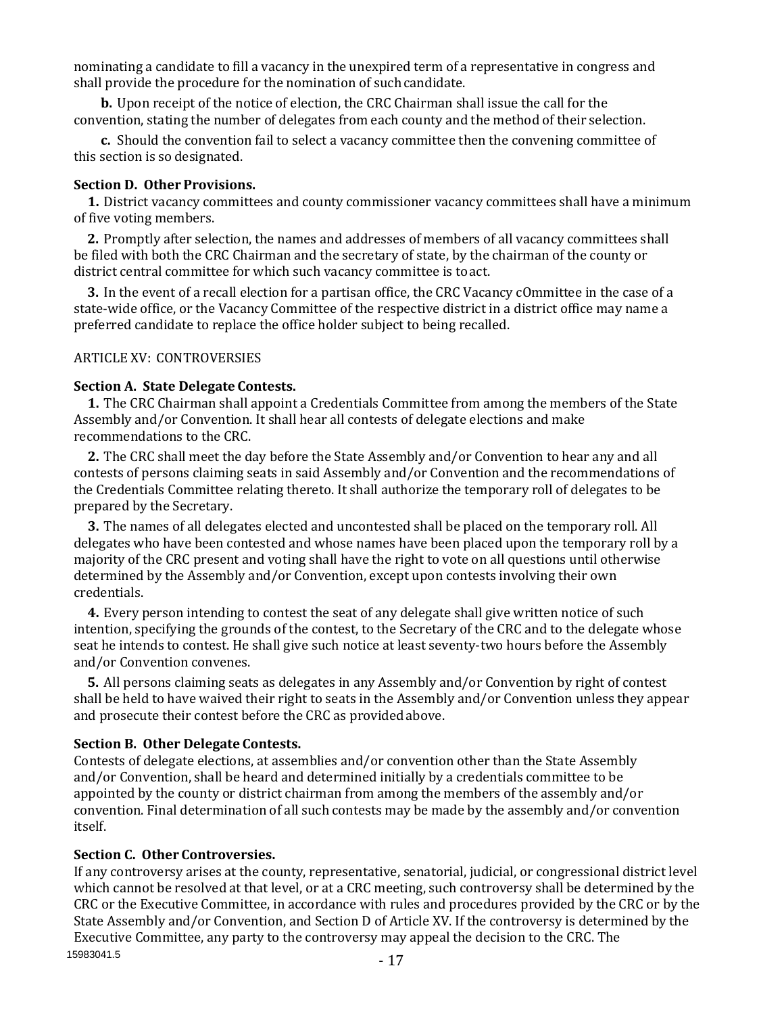nominating a candidate to fill a vacancy in the unexpired term of a representative in congress and shall provide the procedure for the nomination of such candidate.

**b.** Upon receipt of the notice of election, the CRC Chairman shall issue the call for the convention, stating the number of delegates from each county and the method of their selection.

**c.** Should the convention fail to select a vacancy committee then the convening committee of this section is so designated.

#### **Section D. Other Provisions.**

**1.** District vacancy committees and county commissioner vacancy committees shall have a minimum of five voting members.

**2.** Promptly after selection, the names and addresses of members of all vacancy committees shall be filed with both the CRC Chairman and the secretary of state, by the chairman of the county or district central committee for which such vacancy committee is toact.

**3.** In the event of a recall election for a partisan office, the CRC Vacancy cOmmittee in the case of a state-wide office, or the Vacancy Committee of the respective district in a district office may name a preferred candidate to replace the office holder subject to being recalled.

#### ARTICLE XV: CONTROVERSIES

#### **Section A. State Delegate Contests.**

**1.** The CRC Chairman shall appoint a Credentials Committee from among the members of the State Assembly and/or Convention. It shall hear all contests of delegate elections and make recommendations to the CRC.

**2.** The CRC shall meet the day before the State Assembly and/or Convention to hear any and all contests of persons claiming seats in said Assembly and/or Convention and the recommendations of the Credentials Committee relating thereto. It shall authorize the temporary roll of delegates to be prepared by the Secretary.

**3.** The names of all delegates elected and uncontested shall be placed on the temporary roll. All delegates who have been contested and whose names have been placed upon the temporary roll by a majority of the CRC present and voting shall have the right to vote on all questions until otherwise determined by the Assembly and/or Convention, except upon contests involving their own credentials.

**4.** Every person intending to contest the seat of any delegate shall give written notice of such intention, specifying the grounds of the contest, to the Secretary of the CRC and to the delegate whose seat he intends to contest. He shall give such notice at least seventy-two hours before the Assembly and/or Convention convenes.

**5.** All persons claiming seats as delegates in any Assembly and/or Convention by right of contest shall be held to have waived their right to seats in the Assembly and/or Convention unless they appear and prosecute their contest before the CRC as providedabove.

#### **Section B. Other Delegate Contests.**

Contests of delegate elections, at assemblies and/or convention other than the State Assembly and/or Convention, shall be heard and determined initially by a credentials committee to be appointed by the county or district chairman from among the members of the assembly and/or convention. Final determination of all such contests may be made by the assembly and/or convention itself.

#### **Section C. Other Controversies.**

15983041.5 If any controversy arises at the county, representative, senatorial, judicial, or congressional district level which cannot be resolved at that level, or at a CRC meeting, such controversy shall be determined by the CRC or the Executive Committee, in accordance with rules and procedures provided by the CRC or by the State Assembly and/or Convention, and Section D of Article XV. If the controversy is determined by the Executive Committee, any party to the controversy may appeal the decision to the CRC. The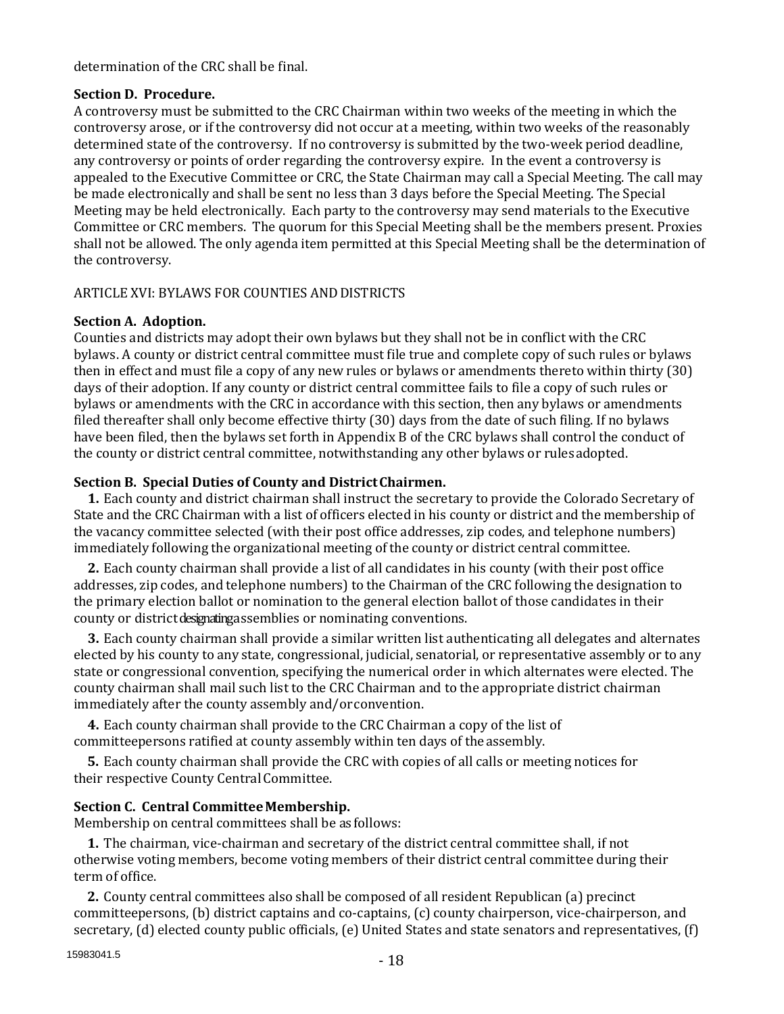determination of the CRC shall be final.

# **Section D. Procedure.**

A controversy must be submitted to the CRC Chairman within two weeks of the meeting in which the controversy arose, or if the controversy did not occur at a meeting, within two weeks of the reasonably determined state of the controversy. If no controversy is submitted by the two-week period deadline, any controversy or points of order regarding the controversy expire. In the event a controversy is appealed to the Executive Committee or CRC, the State Chairman may call a Special Meeting. The call may be made electronically and shall be sent no less than 3 days before the Special Meeting. The Special Meeting may be held electronically. Each party to the controversy may send materials to the Executive Committee or CRC members. The quorum for this Special Meeting shall be the members present. Proxies shall not be allowed. The only agenda item permitted at this Special Meeting shall be the determination of the controversy.

# ARTICLE XVI: BYLAWS FOR COUNTIES ANDDISTRICTS

# **Section A. Adoption.**

Counties and districts may adopt their own bylaws but they shall not be in conflict with the CRC bylaws. A county or district central committee must file true and complete copy of such rules or bylaws then in effect and must file a copy of any new rules or bylaws or amendments thereto within thirty (30) days of their adoption. If any county or district central committee fails to file a copy of such rules or bylaws or amendments with the CRC in accordance with this section, then any bylaws or amendments filed thereafter shall only become effective thirty (30) days from the date of such filing. If no bylaws have been filed, then the bylaws set forth in Appendix B of the CRC bylaws shall control the conduct of the county or district central committee, notwithstanding any other bylaws or rulesadopted.

# **Section B. Special Duties of County and DistrictChairmen.**

**1.** Each county and district chairman shall instruct the secretary to provide the Colorado Secretary of State and the CRC Chairman with a list of officers elected in his county or district and the membership of the vacancy committee selected (with their post office addresses, zip codes, and telephone numbers) immediately following the organizational meeting of the county or district central committee.

**2.** Each county chairman shall provide a list of all candidates in his county (with their post office addresses, zip codes, and telephone numbers) to the Chairman of the CRC following the designation to the primary election ballot or nomination to the general election ballot of those candidates in their county or district designating assemblies or nominating conventions.

**3.** Each county chairman shall provide a similar written list authenticating all delegates and alternates elected by his county to any state, congressional, judicial, senatorial, or representative assembly or to any state or congressional convention, specifying the numerical order in which alternates were elected. The county chairman shall mail such list to the CRC Chairman and to the appropriate district chairman immediately after the county assembly and/orconvention.

**4.** Each county chairman shall provide to the CRC Chairman a copy of the list of committeepersons ratified at county assembly within ten days of the assembly.

**5.** Each county chairman shall provide the CRC with copies of all calls or meeting notices for their respective County Central Committee.

# **Section C. Central Committee Membership.**

Membership on central committees shall be as follows:

**1.** The chairman, vice-chairman and secretary of the district central committee shall, if not otherwise voting members, become voting members of their district central committee during their term of office.

**2.** County central committees also shall be composed of all resident Republican (a) precinct committeepersons, (b) district captains and co-captains, (c) county chairperson, vice-chairperson, and secretary, (d) elected county public officials, (e) United States and state senators and representatives, (f)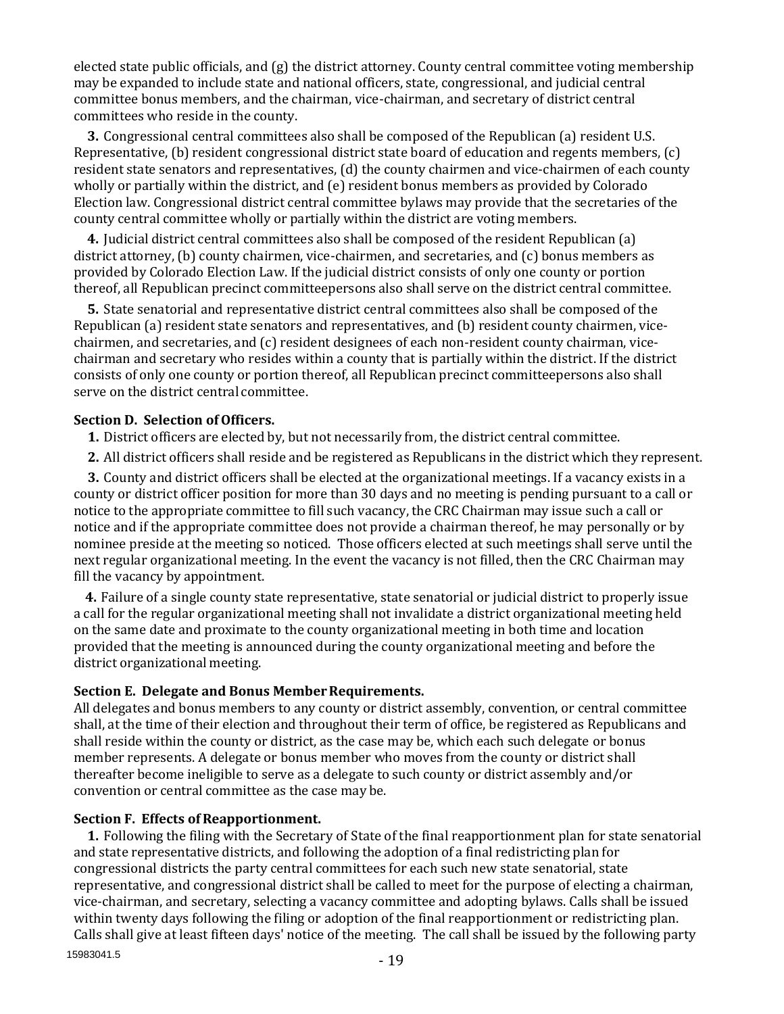elected state public officials, and (g) the district attorney. County central committee voting membership may be expanded to include state and national officers, state, congressional, and judicial central committee bonus members, and the chairman, vice-chairman, and secretary of district central committees who reside in the county.

**3.** Congressional central committees also shall be composed of the Republican (a) resident U.S. Representative, (b) resident congressional district state board of education and regents members, (c) resident state senators and representatives, (d) the county chairmen and vice-chairmen of each county wholly or partially within the district, and (e) resident bonus members as provided by Colorado Election law. Congressional district central committee bylaws may provide that the secretaries of the county central committee wholly or partially within the district are voting members.

**4.** Judicial district central committees also shall be composed of the resident Republican (a) district attorney, (b) county chairmen, vice-chairmen, and secretaries, and (c) bonus members as provided by Colorado Election Law. If the judicial district consists of only one county or portion thereof, all Republican precinct committeepersons also shall serve on the district central committee.

**5.** State senatorial and representative district central committees also shall be composed of the Republican (a) resident state senators and representatives, and (b) resident county chairmen, vicechairmen, and secretaries, and (c) resident designees of each non-resident county chairman, vicechairman and secretary who resides within a county that is partially within the district. If the district consists of only one county or portion thereof, all Republican precinct committeepersons also shall serve on the district central committee.

## **Section D. Selection of Officers.**

**1.** District officers are elected by, but not necessarily from, the district central committee.

**2.** All district officers shall reside and be registered as Republicans in the district which they represent.

**3.** County and district officers shall be elected at the organizational meetings. If a vacancy exists in a county or district officer position for more than 30 days and no meeting is pending pursuant to a call or notice to the appropriate committee to fill such vacancy, the CRC Chairman may issue such a call or notice and if the appropriate committee does not provide a chairman thereof, he may personally or by nominee preside at the meeting so noticed. Those officers elected at such meetings shall serve until the next regular organizational meeting. In the event the vacancy is not filled, then the CRC Chairman may fill the vacancy by appointment.

**4.** Failure of a single county state representative, state senatorial or judicial district to properly issue a call for the regular organizational meeting shall not invalidate a district organizational meeting held on the same date and proximate to the county organizational meeting in both time and location provided that the meeting is announced during the county organizational meeting and before the district organizational meeting.

# Section E. Delegate and Bonus Member Requirements.

All delegates and bonus members to any county or district assembly, convention, or central committee shall, at the time of their election and throughout their term of office, be registered as Republicans and shall reside within the county or district, as the case may be, which each such delegate or bonus member represents. A delegate or bonus member who moves from the county or district shall thereafter become ineligible to serve as a delegate to such county or district assembly and/or convention or central committee as the case may be.

#### **Section F. Effects ofReapportionment.**

15983041.5 **1.** Following the filing with the Secretary of State of the final reapportionment plan for state senatorial and state representative districts, and following the adoption of a final redistricting plan for congressional districts the party central committees for each such new state senatorial, state representative, and congressional district shall be called to meet for the purpose of electing a chairman, vice-chairman, and secretary, selecting a vacancy committee and adopting bylaws. Calls shall be issued within twenty days following the filing or adoption of the final reapportionment or redistricting plan. Calls shall give at least fifteen days' notice of the meeting. The call shall be issued by the following party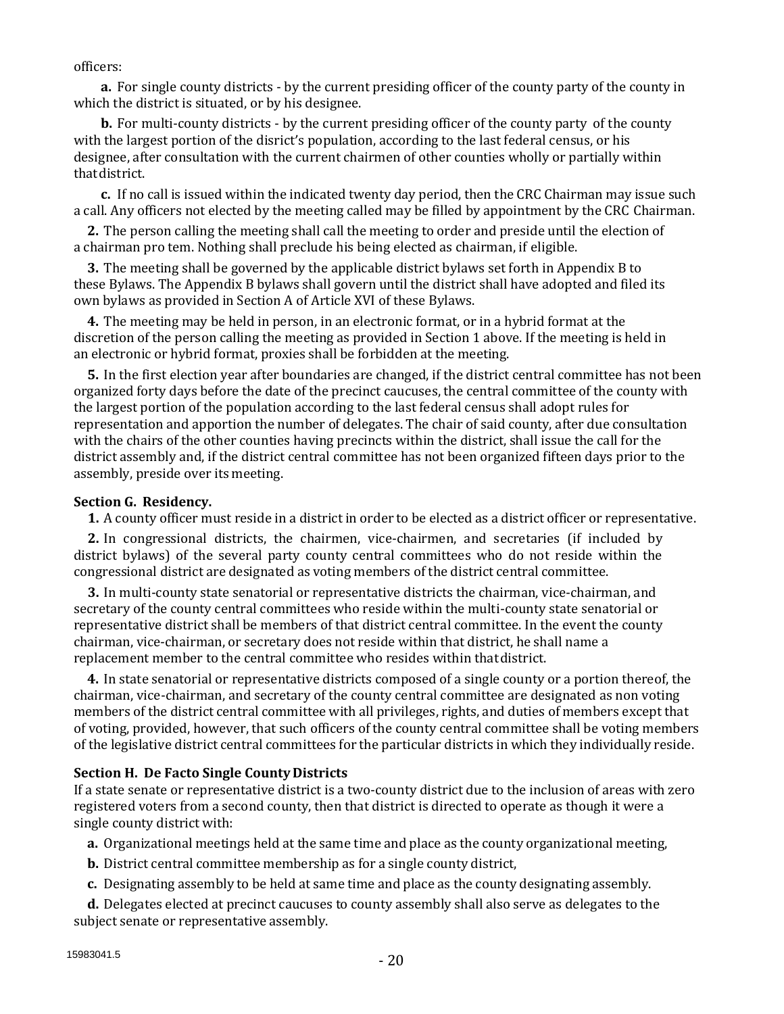officers:

**a.** For single county districts - by the current presiding officer of the county party of the county in which the district is situated, or by his designee.

**b.** For multi-county districts - by the current presiding officer of the county party of the county with the largest portion of the disrict's population, according to the last federal census, or his designee, after consultation with the current chairmen of other counties wholly or partially within thatdistrict.

**c.** If no call is issued within the indicated twenty day period, then the CRC Chairman may issue such a call. Any officers not elected by the meeting called may be filled by appointment by the CRC Chairman.

**2.** The person calling the meeting shall call the meeting to order and preside until the election of a chairman pro tem. Nothing shall preclude his being elected as chairman, if eligible.

**3.** The meeting shall be governed by the applicable district bylaws set forth in Appendix B to these Bylaws. The Appendix B bylaws shall govern until the district shall have adopted and filed its own bylaws as provided in Section A of Article XVI of these Bylaws.

**4.** The meeting may be held in person, in an electronic format, or in a hybrid format at the discretion of the person calling the meeting as provided in Section 1 above. If the meeting is held in an electronic or hybrid format, proxies shall be forbidden at the meeting.

**5.** In the first election year after boundaries are changed, if the district central committee has not been organized forty days before the date of the precinct caucuses, the central committee of the county with the largest portion of the population according to the last federal census shall adopt rules for representation and apportion the number of delegates. The chair of said county, after due consultation with the chairs of the other counties having precincts within the district, shall issue the call for the district assembly and, if the district central committee has not been organized fifteen days prior to the assembly, preside over its meeting.

## **Section G. Residency.**

**1.** A county officer must reside in a district in order to be elected as a district officer or representative.

**2.** In congressional districts, the chairmen, vice-chairmen, and secretaries (if included by district bylaws) of the several party county central committees who do not reside within the congressional district are designated as voting members of the district central committee.

**3.** In multi-county state senatorial or representative districts the chairman, vice-chairman, and secretary of the county central committees who reside within the multi-county state senatorial or representative district shall be members of that district central committee. In the event the county chairman, vice-chairman, or secretary does not reside within that district, he shall name a replacement member to the central committee who resides within thatdistrict.

**4.** In state senatorial or representative districts composed of a single county or a portion thereof, the chairman, vice-chairman, and secretary of the county central committee are designated as non voting members of the district central committee with all privileges, rights, and duties of members except that of voting, provided, however, that such officers of the county central committee shall be voting members of the legislative district central committees for the particular districts in which they individually reside.

# **Section H. De Facto Single County Districts**

If a state senate or representative district is a two-county district due to the inclusion of areas with zero registered voters from a second county, then that district is directed to operate as though it were a single county district with:

**a.** Organizational meetings held at the same time and place as the county organizational meeting,

**b.** District central committee membership as for a single county district,

**c.** Designating assembly to be held at same time and place as the county designating assembly.

**d.** Delegates elected at precinct caucuses to county assembly shall also serve as delegates to the subject senate or representative assembly.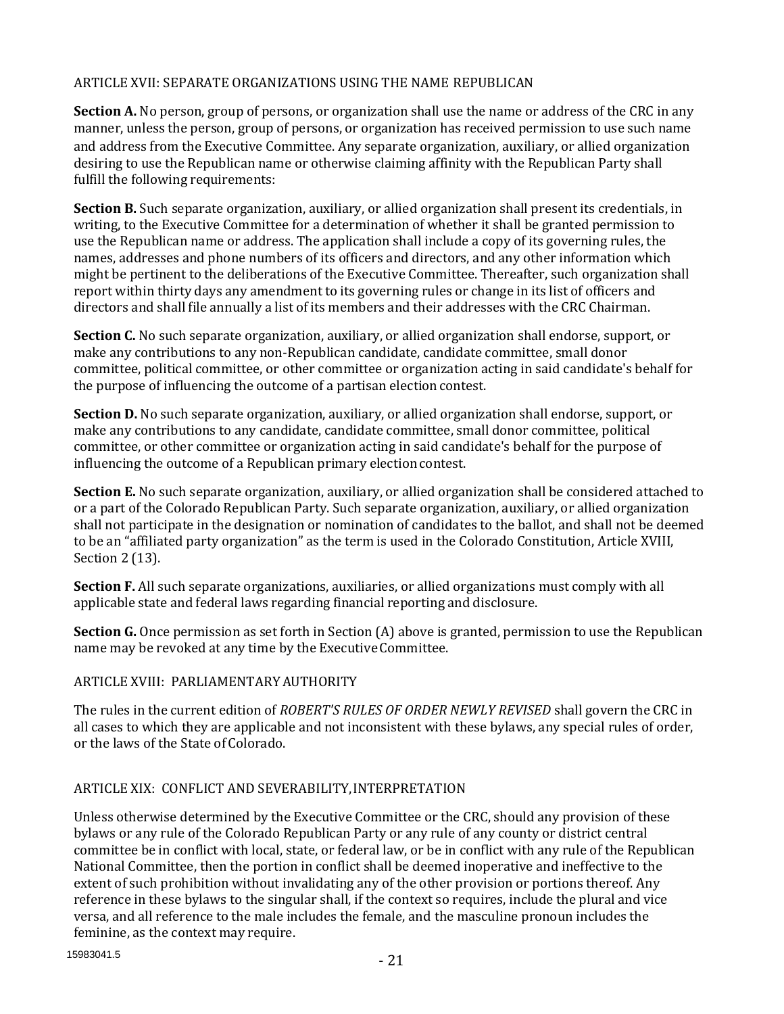## ARTICLE XVII: SEPARATE ORGANIZATIONS USING THE NAME REPUBLICAN

**Section A.** No person, group of persons, or organization shall use the name or address of the CRC in any manner, unless the person, group of persons, or organization has received permission to use such name and address from the Executive Committee. Any separate organization, auxiliary, or allied organization desiring to use the Republican name or otherwise claiming affinity with the Republican Party shall fulfill the following requirements:

**Section B.** Such separate organization, auxiliary, or allied organization shall present its credentials, in writing, to the Executive Committee for a determination of whether it shall be granted permission to use the Republican name or address. The application shall include a copy of its governing rules, the names, addresses and phone numbers of its officers and directors, and any other information which might be pertinent to the deliberations of the Executive Committee. Thereafter, such organization shall report within thirty days any amendment to its governing rules or change in its list of officers and directors and shall file annually a list of its members and their addresses with the CRC Chairman.

**Section C.** No such separate organization, auxiliary, or allied organization shall endorse, support, or make any contributions to any non-Republican candidate, candidate committee, small donor committee, political committee, or other committee or organization acting in said candidate's behalf for the purpose of influencing the outcome of a partisan electioncontest.

**Section D.** No such separate organization, auxiliary, or allied organization shall endorse, support, or make any contributions to any candidate, candidate committee, small donor committee, political committee, or other committee or organization acting in said candidate's behalf for the purpose of influencing the outcome of a Republican primary election contest.

**Section E.** No such separate organization, auxiliary, or allied organization shall be considered attached to or a part of the Colorado Republican Party. Such separate organization, auxiliary, or allied organization shall not participate in the designation or nomination of candidates to the ballot, and shall not be deemed to be an "affiliated party organization" as the term is used in the Colorado Constitution, Article XVIII, Section 2 (13).

**Section F.** All such separate organizations, auxiliaries, or allied organizations must comply with all applicable state and federal laws regarding financial reporting and disclosure.

**Section G.** Once permission as set forth in Section (A) above is granted, permission to use the Republican name may be revoked at any time by the ExecutiveCommittee.

# ARTICLE XVIII: PARLIAMENTARYAUTHORITY

The rules in the current edition of *ROBERT'S RULES OF ORDER NEWLY REVISED* shall govern the CRC in all cases to which they are applicable and not inconsistent with these bylaws, any special rules of order, or the laws of the State of Colorado.

# ARTICLE XIX: CONFLICT AND SEVERABILITY,INTERPRETATION

Unless otherwise determined by the Executive Committee or the CRC, should any provision of these bylaws or any rule of the Colorado Republican Party or any rule of any county or district central committee be in conflict with local, state, or federal law, or be in conflict with any rule of the Republican National Committee, then the portion in conflict shall be deemed inoperative and ineffective to the extent of such prohibition without invalidating any of the other provision or portions thereof. Any reference in these bylaws to the singular shall, if the context so requires, include the plural and vice versa, and all reference to the male includes the female, and the masculine pronoun includes the feminine, as the context may require.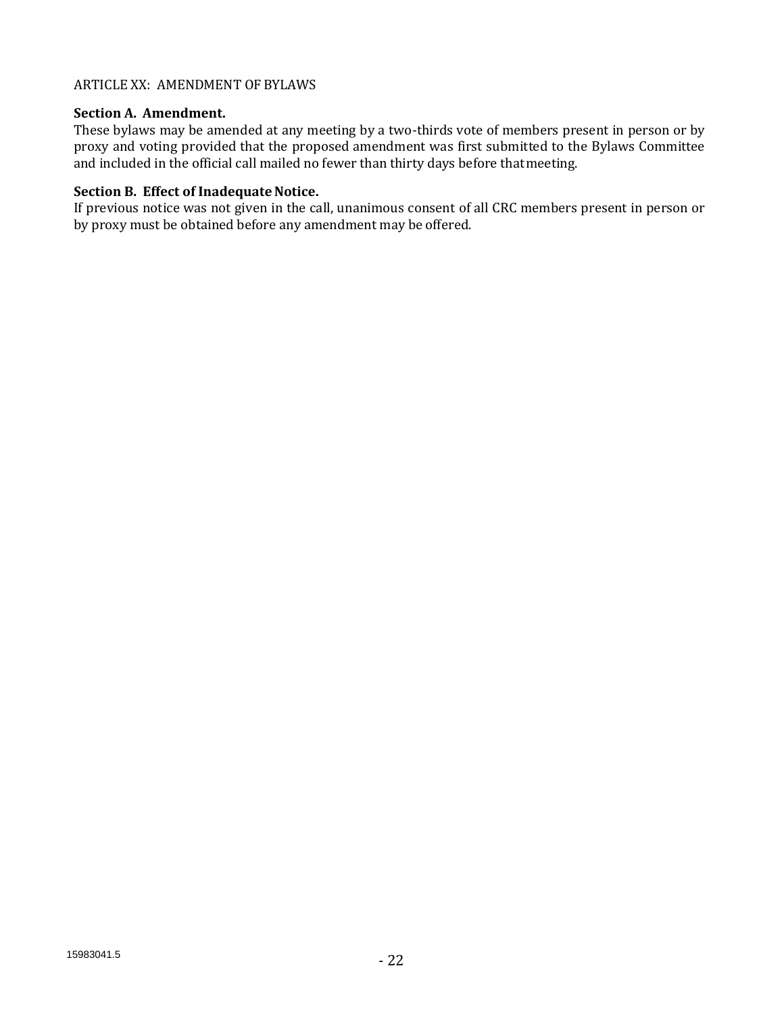## ARTICLE XX: AMENDMENT OF BYLAWS

## **Section A. Amendment.**

These bylaws may be amended at any meeting by a two-thirds vote of members present in person or by proxy and voting provided that the proposed amendment was first submitted to the Bylaws Committee and included in the official call mailed no fewer than thirty days before thatmeeting.

## **Section B. Effect of Inadequate Notice.**

If previous notice was not given in the call, unanimous consent of all CRC members present in person or by proxy must be obtained before any amendment may be offered.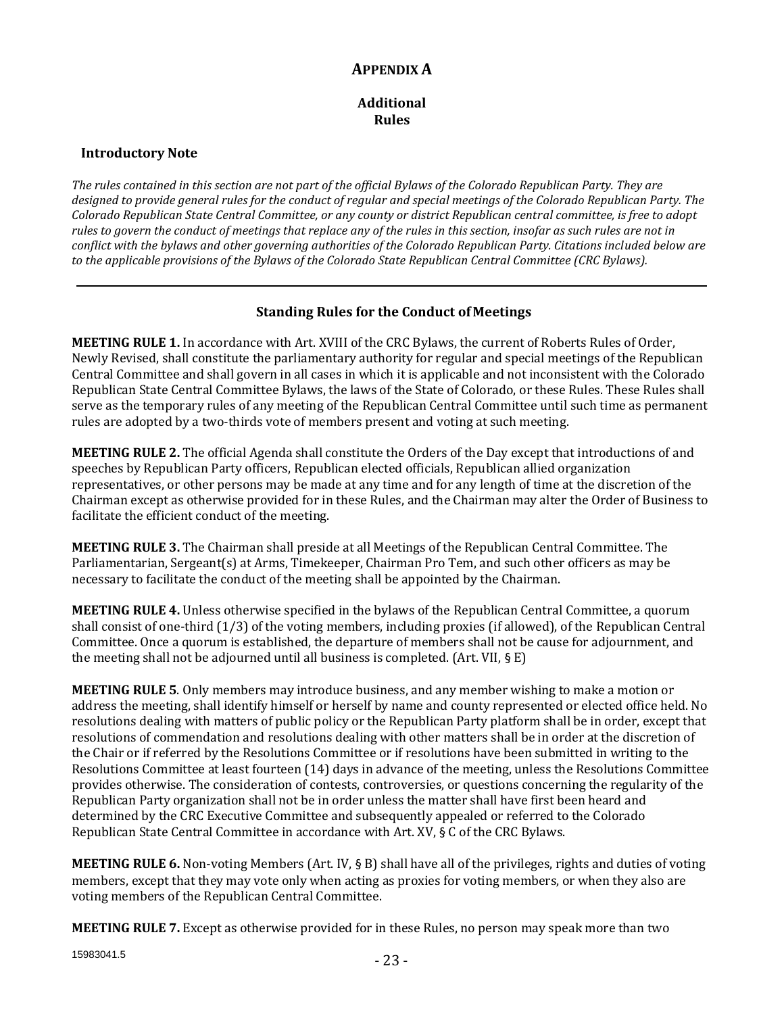# **APPENDIX A**

#### **Additional Rules**

## **Introductory Note**

*The rules contained in this section are not part of the official Bylaws of the Colorado Republican Party. They are designed to provide general rules for the conduct of regular and special meetings of the Colorado Republican Party. The Colorado Republican State Central Committee, or any county or district Republican central committee, is free to adopt rules to govern the conduct of meetings that replace any of the rules in this section, insofar as such rules are not in conflict with the bylaws and other governing authorities of the Colorado Republican Party. Citations included below are to the applicable provisions of the Bylaws of the Colorado State Republican Central Committee (CRC Bylaws).*

## **Standing Rules for the Conduct of Meetings**

**MEETING RULE 1.** In accordance with Art. XVIII of the CRC Bylaws, the current of Roberts Rules of Order, Newly Revised, shall constitute the parliamentary authority for regular and special meetings of the Republican Central Committee and shall govern in all cases in which it is applicable and not inconsistent with the Colorado Republican State Central Committee Bylaws, the laws of the State of Colorado, or these Rules. These Rules shall serve as the temporary rules of any meeting of the Republican Central Committee until such time as permanent rules are adopted by a two-thirds vote of members present and voting at such meeting.

**MEETING RULE 2.** The official Agenda shall constitute the Orders of the Day except that introductions of and speeches by Republican Party officers, Republican elected officials, Republican allied organization representatives, or other persons may be made at any time and for any length of time at the discretion of the Chairman except as otherwise provided for in these Rules, and the Chairman may alter the Order of Business to facilitate the efficient conduct of the meeting.

**MEETING RULE 3.** The Chairman shall preside at all Meetings of the Republican Central Committee. The Parliamentarian, Sergeant(s) at Arms, Timekeeper, Chairman Pro Tem, and such other officers as may be necessary to facilitate the conduct of the meeting shall be appointed by the Chairman.

**MEETING RULE 4.** Unless otherwise specified in the bylaws of the Republican Central Committee, a quorum shall consist of one-third (1/3) of the voting members, including proxies (if allowed), of the Republican Central Committee. Once a quorum is established, the departure of members shall not be cause for adjournment, and the meeting shall not be adjourned until all business is completed. (Art. VII,  $\S$  E)

**MEETING RULE 5**. Only members may introduce business, and any member wishing to make a motion or address the meeting, shall identify himself or herself by name and county represented or elected office held. No resolutions dealing with matters of public policy or the Republican Party platform shall be in order, except that resolutions of commendation and resolutions dealing with other matters shall be in order at the discretion of the Chair or if referred by the Resolutions Committee or if resolutions have been submitted in writing to the Resolutions Committee at least fourteen (14) days in advance of the meeting, unless the Resolutions Committee provides otherwise. The consideration of contests, controversies, or questions concerning the regularity of the Republican Party organization shall not be in order unless the matter shall have first been heard and determined by the CRC Executive Committee and subsequently appealed or referred to the Colorado Republican State Central Committee in accordance with Art. XV, § C of the CRC Bylaws.

**MEETING RULE 6.** Non-voting Members (Art. IV, § B) shall have all of the privileges, rights and duties of voting members, except that they may vote only when acting as proxies for voting members, or when they also are voting members of the Republican Central Committee.

**MEETING RULE 7.** Except as otherwise provided for in these Rules, no person may speak more than two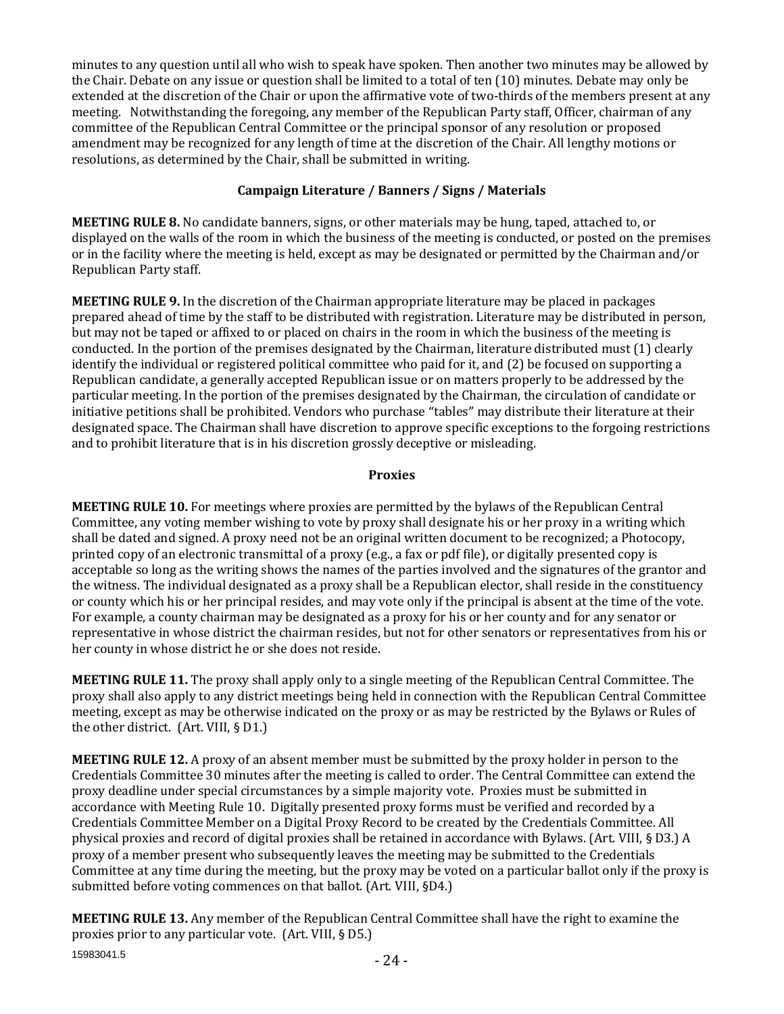minutes to any question until all who wish to speak have spoken. Then another two minutes may be allowed by the Chair. Debate on any issue or question shall be limited to a total of ten (10) minutes. Debate may only be extended at the discretion of the Chair or upon the affirmative vote of two-thirds of the members present at any meeting. Notwithstanding the foregoing, any member of the Republican Party staff, Officer, chairman of any committee of the Republican Central Committee or the principal sponsor of any resolution or proposed amendment may be recognized for any length of time at the discretion of the Chair. All lengthy motions or resolutions, as determined by the Chair, shall be submitted in writing.

# **Campaign Literature / Banners / Signs / Materials**

**MEETING RULE 8.** No candidate banners, signs, or other materials may be hung, taped, attached to, or displayed on the walls of the room in which the business of the meeting is conducted, or posted on the premises or in the facility where the meeting is held, except as may be designated or permitted by the Chairman and/or Republican Party staff.

**MEETING RULE 9.** In the discretion of the Chairman appropriate literature may be placed in packages prepared ahead of time by the staff to be distributed with registration. Literature may be distributed in person, but may not be taped or affixed to or placed on chairs in the room in which the business of the meeting is conducted. In the portion of the premises designated by the Chairman, literature distributed must (1) clearly identify the individual or registered political committee who paid for it, and (2) be focused on supporting a Republican candidate, a generally accepted Republican issue or on matters properly to be addressed by the particular meeting. In the portion of the premises designated by the Chairman, the circulation of candidate or initiative petitions shall be prohibited. Vendors who purchase "tables" may distribute their literature at their designated space. The Chairman shall have discretion to approve specific exceptions to the forgoing restrictions and to prohibit literature that is in his discretion grossly deceptive or misleading.

# **Proxies**

**MEETING RULE 10.** For meetings where proxies are permitted by the bylaws of the Republican Central Committee, any voting member wishing to vote by proxy shall designate his or her proxy in a writing which shall be dated and signed. A proxy need not be an original written document to be recognized; a Photocopy, printed copy of an electronic transmittal of a proxy (e.g., a fax or pdf file), or digitally presented copy is acceptable so long as the writing shows the names of the parties involved and the signatures of the grantor and the witness. The individual designated as a proxy shall be a Republican elector, shall reside in the constituency or county which his or her principal resides, and may vote only if the principal is absent at the time of the vote. For example, a county chairman may be designated as a proxy for his or her county and for any senator or representative in whose district the chairman resides, but not for other senators or representatives from his or her county in whose district he or she does not reside.

**MEETING RULE 11.** The proxy shall apply only to a single meeting of the Republican Central Committee. The proxy shall also apply to any district meetings being held in connection with the Republican Central Committee meeting, except as may be otherwise indicated on the proxy or as may be restricted by the Bylaws or Rules of the other district. (Art. VIII, § D1.)

**MEETING RULE 12.** A proxy of an absent member must be submitted by the proxy holder in person to the Credentials Committee 30 minutes after the meeting is called to order. The Central Committee can extend the proxy deadline under special circumstances by a simple majority vote. Proxies must be submitted in accordance with Meeting Rule 10. Digitally presented proxy forms must be verified and recorded by a Credentials Committee Member on a Digital Proxy Record to be created by the Credentials Committee. All physical proxies and record of digital proxies shall be retained in accordance with Bylaws. (Art. VIII, § D3.) A proxy of a member present who subsequently leaves the meeting may be submitted to the Credentials Committee at any time during the meeting, but the proxy may be voted on a particular ballot only if the proxy is submitted before voting commences on that ballot. (Art. VIII, §D4.)

15983041.5 **MEETING RULE 13.** Any member of the Republican Central Committee shall have the right to examine the proxies prior to any particular vote. (Art. VIII, § D5.)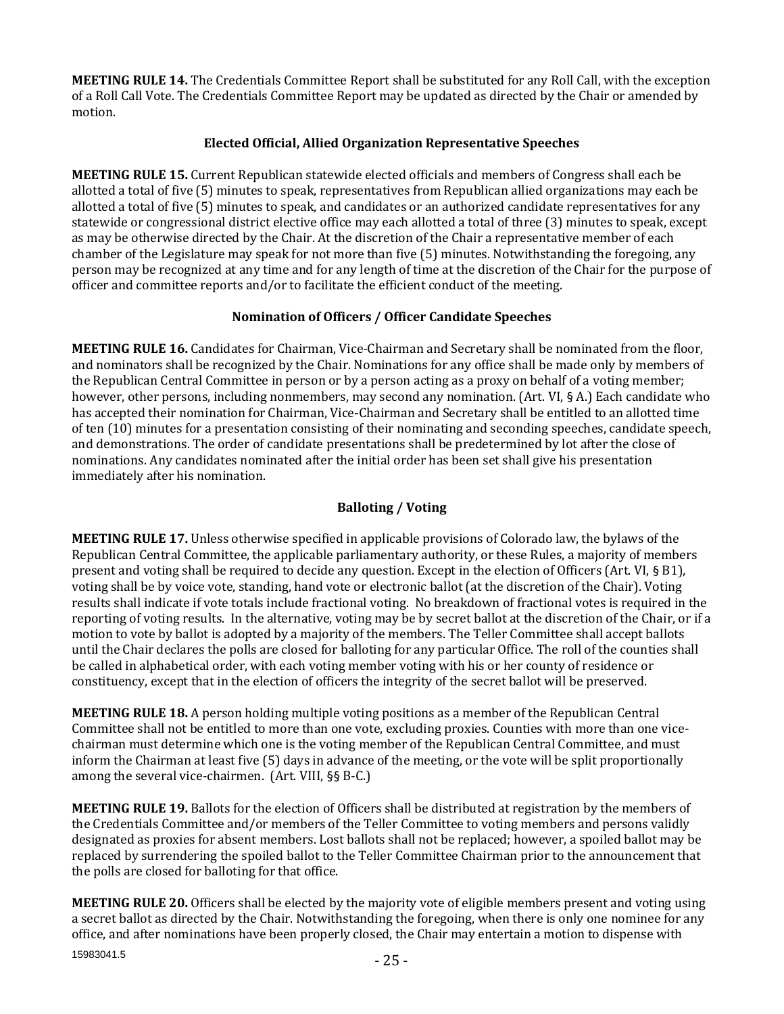**MEETING RULE 14.** The Credentials Committee Report shall be substituted for any Roll Call, with the exception of a Roll Call Vote. The Credentials Committee Report may be updated as directed by the Chair or amended by motion.

## **Elected Official, Allied Organization Representative Speeches**

**MEETING RULE 15.** Current Republican statewide elected officials and members of Congress shall each be allotted a total of five (5) minutes to speak, representatives from Republican allied organizations may each be allotted a total of five (5) minutes to speak, and candidates or an authorized candidate representatives for any statewide or congressional district elective office may each allotted a total of three (3) minutes to speak, except as may be otherwise directed by the Chair. At the discretion of the Chair a representative member of each chamber of the Legislature may speak for not more than five (5) minutes. Notwithstanding the foregoing, any person may be recognized at any time and for any length of time at the discretion of the Chair for the purpose of officer and committee reports and/or to facilitate the efficient conduct of the meeting.

# **Nomination of Officers / Officer Candidate Speeches**

**MEETING RULE 16.** Candidates for Chairman, Vice-Chairman and Secretary shall be nominated from the floor, and nominators shall be recognized by the Chair. Nominations for any office shall be made only by members of the Republican Central Committee in person or by a person acting as a proxy on behalf of a voting member; however, other persons, including nonmembers, may second any nomination. (Art. VI, § A.) Each candidate who has accepted their nomination for Chairman, Vice-Chairman and Secretary shall be entitled to an allotted time of ten (10) minutes for a presentation consisting of their nominating and seconding speeches, candidate speech, and demonstrations. The order of candidate presentations shall be predetermined by lot after the close of nominations. Any candidates nominated after the initial order has been set shall give his presentation immediately after his nomination.

# **Balloting / Voting**

**MEETING RULE 17.** Unless otherwise specified in applicable provisions of Colorado law, the bylaws of the Republican Central Committee, the applicable parliamentary authority, or these Rules, a majority of members present and voting shall be required to decide any question. Except in the election of Officers (Art. VI, § B1), voting shall be by voice vote, standing, hand vote or electronic ballot (at the discretion of the Chair). Voting results shall indicate if vote totals include fractional voting. No breakdown of fractional votes is required in the reporting of voting results. In the alternative, voting may be by secret ballot at the discretion of the Chair, or if a motion to vote by ballot is adopted by a majority of the members. The Teller Committee shall accept ballots until the Chair declares the polls are closed for balloting for any particular Office. The roll of the counties shall be called in alphabetical order, with each voting member voting with his or her county of residence or constituency, except that in the election of officers the integrity of the secret ballot will be preserved.

**MEETING RULE 18.** A person holding multiple voting positions as a member of the Republican Central Committee shall not be entitled to more than one vote, excluding proxies. Counties with more than one vicechairman must determine which one is the voting member of the Republican Central Committee, and must inform the Chairman at least five (5) days in advance of the meeting, or the vote will be split proportionally among the several vice-chairmen. (Art. VIII, §§ B-C.)

**MEETING RULE 19.** Ballots for the election of Officers shall be distributed at registration by the members of the Credentials Committee and/or members of the Teller Committee to voting members and persons validly designated as proxies for absent members. Lost ballots shall not be replaced; however, a spoiled ballot may be replaced by surrendering the spoiled ballot to the Teller Committee Chairman prior to the announcement that the polls are closed for balloting for that office.

15983041.5 **MEETING RULE 20.** Officers shall be elected by the majority vote of eligible members present and voting using a secret ballot as directed by the Chair. Notwithstanding the foregoing, when there is only one nominee for any office, and after nominations have been properly closed, the Chair may entertain a motion to dispense with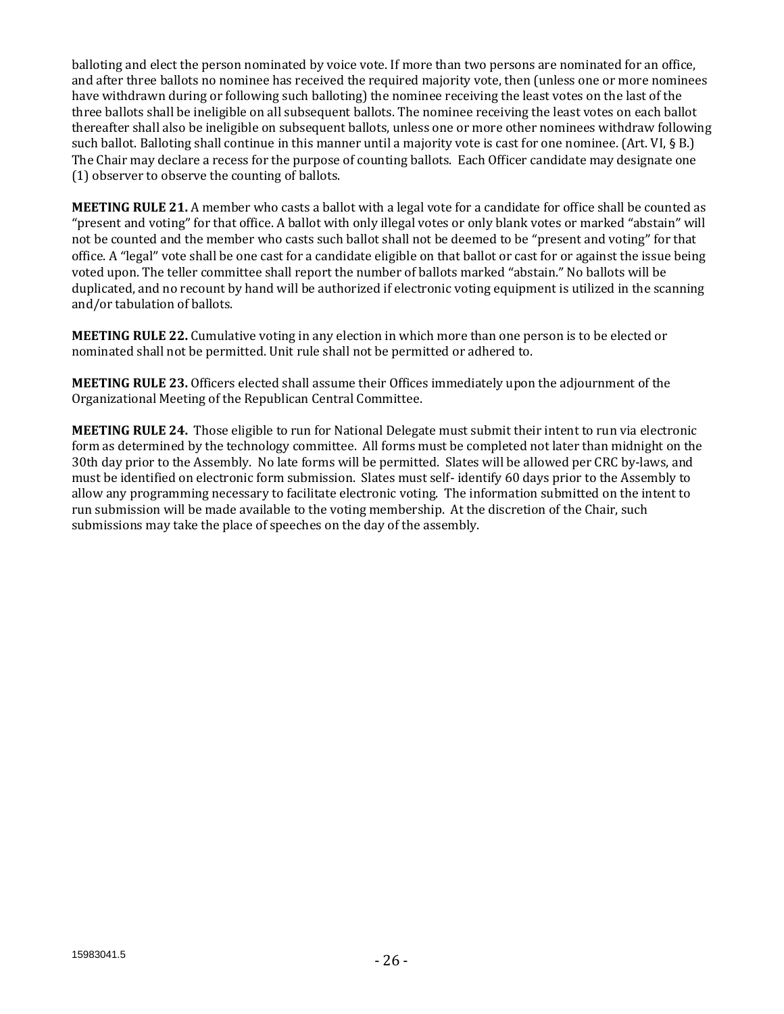balloting and elect the person nominated by voice vote. If more than two persons are nominated for an office, and after three ballots no nominee has received the required majority vote, then (unless one or more nominees have withdrawn during or following such balloting) the nominee receiving the least votes on the last of the three ballots shall be ineligible on all subsequent ballots. The nominee receiving the least votes on each ballot thereafter shall also be ineligible on subsequent ballots, unless one or more other nominees withdraw following such ballot. Balloting shall continue in this manner until a majority vote is cast for one nominee. (Art. VI, § B.) The Chair may declare a recess for the purpose of counting ballots. Each Officer candidate may designate one (1) observer to observe the counting of ballots.

**MEETING RULE 21.** A member who casts a ballot with a legal vote for a candidate for office shall be counted as "present and voting" for that office. A ballot with only illegal votes or only blank votes or marked "abstain" will not be counted and the member who casts such ballot shall not be deemed to be "present and voting" for that office. A "legal" vote shall be one cast for a candidate eligible on that ballot or cast for or against the issue being voted upon. The teller committee shall report the number of ballots marked "abstain." No ballots will be duplicated, and no recount by hand will be authorized if electronic voting equipment is utilized in the scanning and/or tabulation of ballots.

**MEETING RULE 22.** Cumulative voting in any election in which more than one person is to be elected or nominated shall not be permitted. Unit rule shall not be permitted or adhered to.

**MEETING RULE 23.** Officers elected shall assume their Offices immediately upon the adjournment of the Organizational Meeting of the Republican Central Committee.

**MEETING RULE 24.** Those eligible to run for National Delegate must submit their intent to run via electronic form as determined by the technology committee. All forms must be completed not later than midnight on the 30th day prior to the Assembly. No late forms will be permitted. Slates will be allowed per CRC by-laws, and must be identified on electronic form submission. Slates must self- identify 60 days prior to the Assembly to allow any programming necessary to facilitate electronic voting. The information submitted on the intent to run submission will be made available to the voting membership. At the discretion of the Chair, such submissions may take the place of speeches on the day of the assembly.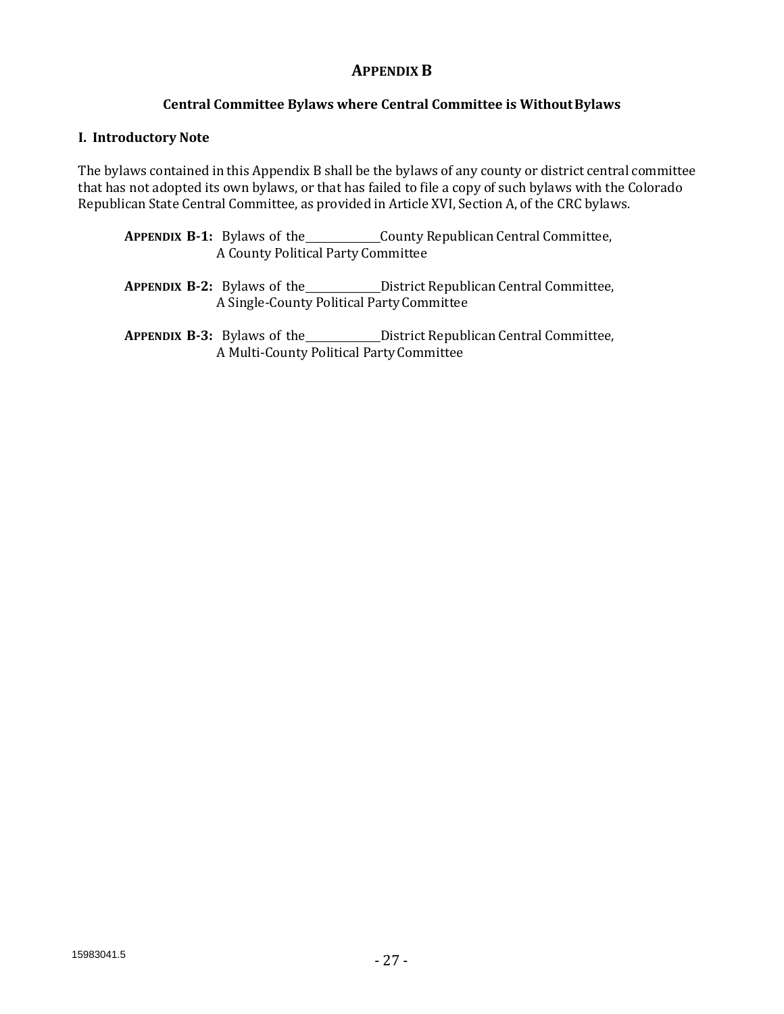# **APPENDIX B**

# **Central Committee Bylaws where Central Committee is WithoutBylaws**

### **I. Introductory Note**

The bylaws contained in this Appendix B shall be the bylaws of any county or district central committee that has not adopted its own bylaws, or that has failed to file a copy of such bylaws with the Colorado Republican State Central Committee, as provided in Article XVI, Section A, of the CRC bylaws.

| <b>APPENDIX B-1:</b> Bylaws of the |  | County Republican Central Committee, |
|------------------------------------|--|--------------------------------------|
| A County Political Party Committee |  |                                      |

- **APPENDIX B-2:** Bylaws of the District Republican Central Committee, A Single-County Political PartyCommittee
- **APPENDIX B-3:** Bylaws of the District Republican Central Committee, A Multi-County Political PartyCommittee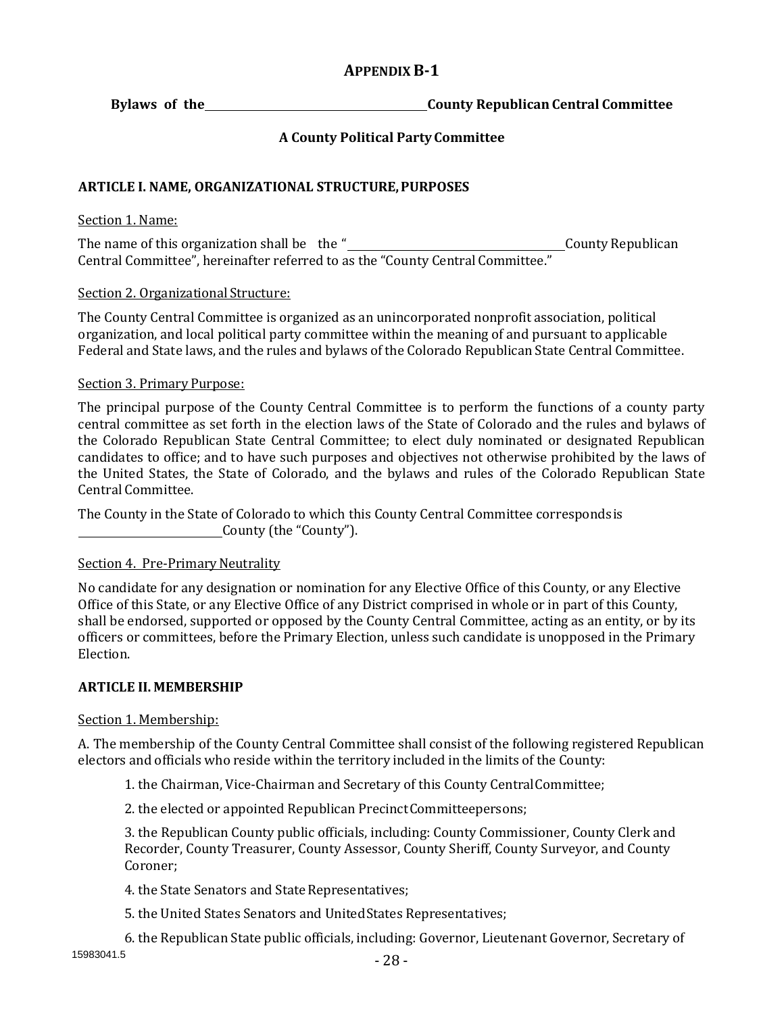# **APPENDIXB-1**

**Bylaws of the County Republican Central Committee** 

# **A County Political Party Committee**

# **ARTICLE I. NAME, ORGANIZATIONAL STRUCTURE,PURPOSES**

### Section 1. Name:

The name of this organization shall be the " County Republican Central Committee", hereinafter referred to as the "County Central Committee."

## Section 2. Organizational Structure:

The County Central Committee is organized as an unincorporated nonprofit association, political organization, and local political party committee within the meaning of and pursuant to applicable Federal and State laws, and the rules and bylaws of the Colorado Republican State Central Committee.

## Section 3. Primary Purpose:

The principal purpose of the County Central Committee is to perform the functions of a county party central committee as set forth in the election laws of the State of Colorado and the rules and bylaws of the Colorado Republican State Central Committee; to elect duly nominated or designated Republican candidates to office; and to have such purposes and objectives not otherwise prohibited by the laws of the United States, the State of Colorado, and the bylaws and rules of the Colorado Republican State Central Committee.

The County in the State of Colorado to which this County Central Committee correspondsis County (the "County").

# Section 4. Pre-Primary Neutrality

No candidate for any designation or nomination for any Elective Office of this County, or any Elective Office of this State, or any Elective Office of any District comprised in whole or in part of this County, shall be endorsed, supported or opposed by the County Central Committee, acting as an entity, or by its officers or committees, before the Primary Election, unless such candidate is unopposed in the Primary Election.

# **ARTICLE II. MEMBERSHIP**

# Section 1. Membership:

A. The membership of the County Central Committee shall consist of the following registered Republican electors and officials who reside within the territory included in the limits of the County:

1. the Chairman, Vice-Chairman and Secretary of this County CentralCommittee;

2. the elected or appointed Republican PrecinctCommitteepersons;

3. the Republican County public officials, including: County Commissioner, County Clerk and Recorder, County Treasurer, County Assessor, County Sheriff, County Surveyor, and County Coroner;

4. the State Senators and State Representatives;

5. the United States Senators and UnitedStates Representatives;

- 28 - 15983041.5 6. the Republican State public officials, including: Governor, Lieutenant Governor, Secretary of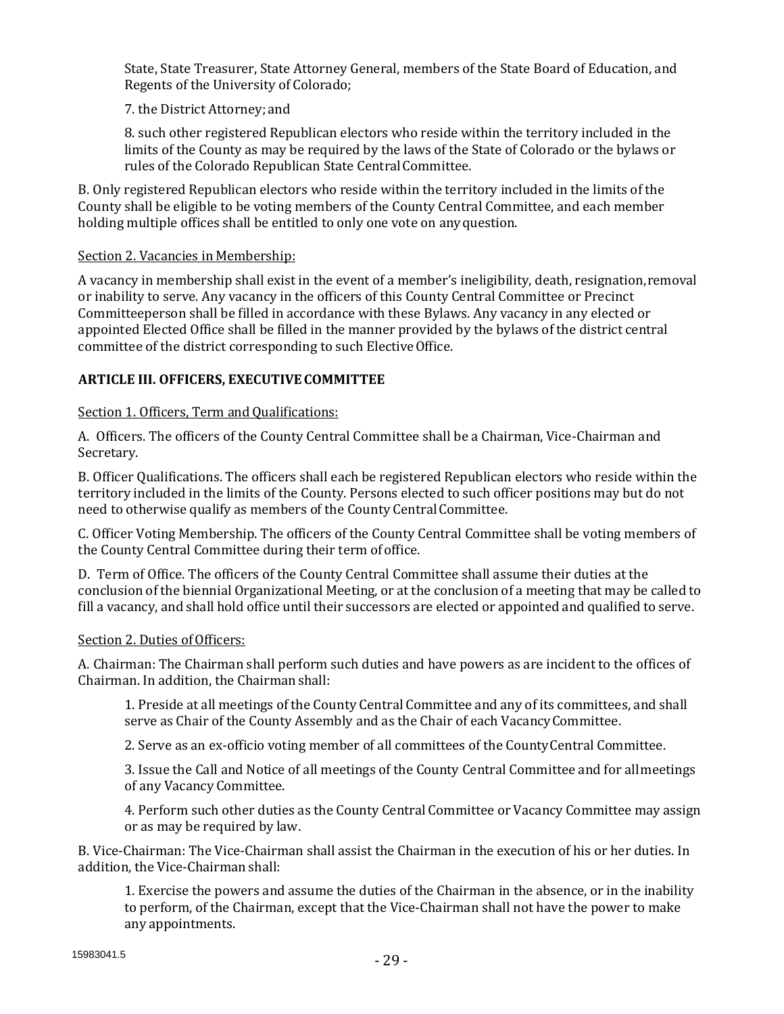State, State Treasurer, State Attorney General, members of the State Board of Education, and Regents of the University of Colorado;

7. the District Attorney; and

8. such other registered Republican electors who reside within the territory included in the limits of the County as may be required by the laws of the State of Colorado or the bylaws or rules of the Colorado Republican State CentralCommittee.

B. Only registered Republican electors who reside within the territory included in the limits of the County shall be eligible to be voting members of the County Central Committee, and each member holding multiple offices shall be entitled to only one vote on anyquestion.

## Section 2. Vacancies in Membership:

A vacancy in membership shall exist in the event of a member's ineligibility, death, resignation,removal or inability to serve. Any vacancy in the officers of this County Central Committee or Precinct Committeeperson shall be filled in accordance with these Bylaws. Any vacancy in any elected or appointed Elected Office shall be filled in the manner provided by the bylaws of the district central committee of the district corresponding to such ElectiveOffice.

# **ARTICLE III. OFFICERS, EXECUTIVECOMMITTEE**

## Section 1. Officers, Term and Qualifications:

A. Officers. The officers of the County Central Committee shall be a Chairman, Vice-Chairman and Secretary.

B. Officer Qualifications. The officers shall each be registered Republican electors who reside within the territory included in the limits of the County. Persons elected to such officer positions may but do not need to otherwise qualify as members of the County CentralCommittee.

C. Officer Voting Membership. The officers of the County Central Committee shall be voting members of the County Central Committee during their term ofoffice.

D. Term of Office. The officers of the County Central Committee shall assume their duties at the conclusion of the biennial Organizational Meeting, or at the conclusion of a meeting that may be called to fill a vacancy, and shall hold office until their successors are elected or appointed and qualified to serve.

#### Section 2. Duties of Officers:

A. Chairman: The Chairman shall perform such duties and have powers as are incident to the offices of Chairman. In addition, the Chairmanshall:

1. Preside at all meetings of the County Central Committee and any of its committees, and shall serve as Chair of the County Assembly and as the Chair of each VacancyCommittee.

2. Serve as an ex-officio voting member of all committees of the CountyCentral Committee.

3. Issue the Call and Notice of all meetings of the County Central Committee and for allmeetings of any Vacancy Committee.

4. Perform such other duties as the County Central Committee or Vacancy Committee may assign or as may be required by law.

B. Vice-Chairman: The Vice-Chairman shall assist the Chairman in the execution of his or her duties. In addition, the Vice-Chairman shall:

1. Exercise the powers and assume the duties of the Chairman in the absence, or in the inability to perform, of the Chairman, except that the Vice-Chairman shall not have the power to make any appointments.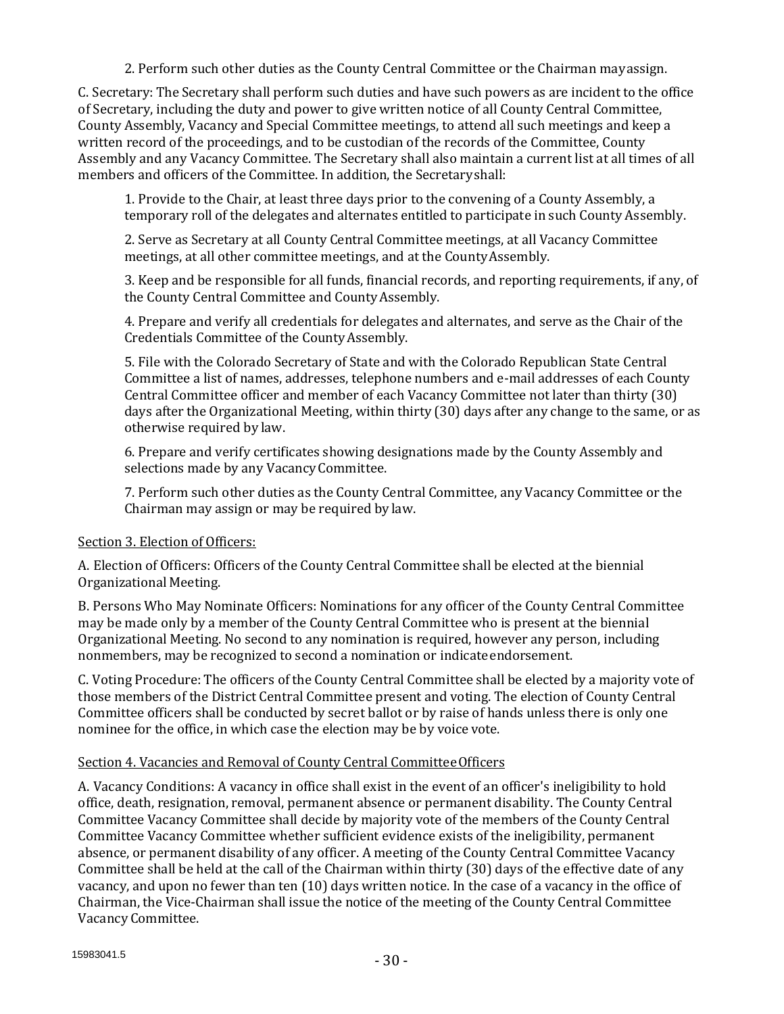2. Perform such other duties as the County Central Committee or the Chairman mayassign.

C. Secretary: The Secretary shall perform such duties and have such powers as are incident to the office of Secretary, including the duty and power to give written notice of all County Central Committee, County Assembly, Vacancy and Special Committee meetings, to attend all such meetings and keep a written record of the proceedings, and to be custodian of the records of the Committee, County Assembly and any Vacancy Committee. The Secretary shall also maintain a current list at all times of all members and officers of the Committee. In addition, the Secretaryshall:

1. Provide to the Chair, at least three days prior to the convening of a County Assembly, a temporary roll of the delegates and alternates entitled to participate in such County Assembly.

2. Serve as Secretary at all County Central Committee meetings, at all Vacancy Committee meetings, at all other committee meetings, and at the CountyAssembly.

3. Keep and be responsible for all funds, financial records, and reporting requirements, if any, of the County Central Committee and CountyAssembly.

4. Prepare and verify all credentials for delegates and alternates, and serve as the Chair of the Credentials Committee of the CountyAssembly.

5. File with the Colorado Secretary of State and with the Colorado Republican State Central Committee a list of names, addresses, telephone numbers and e-mail addresses of each County Central Committee officer and member of each Vacancy Committee not later than thirty (30) days after the Organizational Meeting, within thirty (30) days after any change to the same, or as otherwise required by law.

6. Prepare and verify certificates showing designations made by the County Assembly and selections made by any Vacancy Committee.

7. Perform such other duties as the County Central Committee, any Vacancy Committee or the Chairman may assign or may be required by law.

# Section 3. Election of Officers:

A. Election of Officers: Officers of the County Central Committee shall be elected at the biennial Organizational Meeting.

B. Persons Who May Nominate Officers: Nominations for any officer of the County Central Committee may be made only by a member of the County Central Committee who is present at the biennial Organizational Meeting. No second to any nomination is required, however any person, including nonmembers, may be recognized to second a nomination or indicate endorsement.

C. Voting Procedure: The officers of the County Central Committee shall be elected by a majority vote of those members of the District Central Committee present and voting. The election of County Central Committee officers shall be conducted by secret ballot or by raise of hands unless there is only one nominee for the office, in which case the election may be by voice vote.

# Section 4. Vacancies and Removal of County Central CommitteeOfficers

A. Vacancy Conditions: A vacancy in office shall exist in the event of an officer's ineligibility to hold office, death, resignation, removal, permanent absence or permanent disability. The County Central Committee Vacancy Committee shall decide by majority vote of the members of the County Central Committee Vacancy Committee whether sufficient evidence exists of the ineligibility, permanent absence, or permanent disability of any officer. A meeting of the County Central Committee Vacancy Committee shall be held at the call of the Chairman within thirty (30) days of the effective date of any vacancy, and upon no fewer than ten (10) days written notice. In the case of a vacancy in the office of Chairman, the Vice-Chairman shall issue the notice of the meeting of the County Central Committee Vacancy Committee.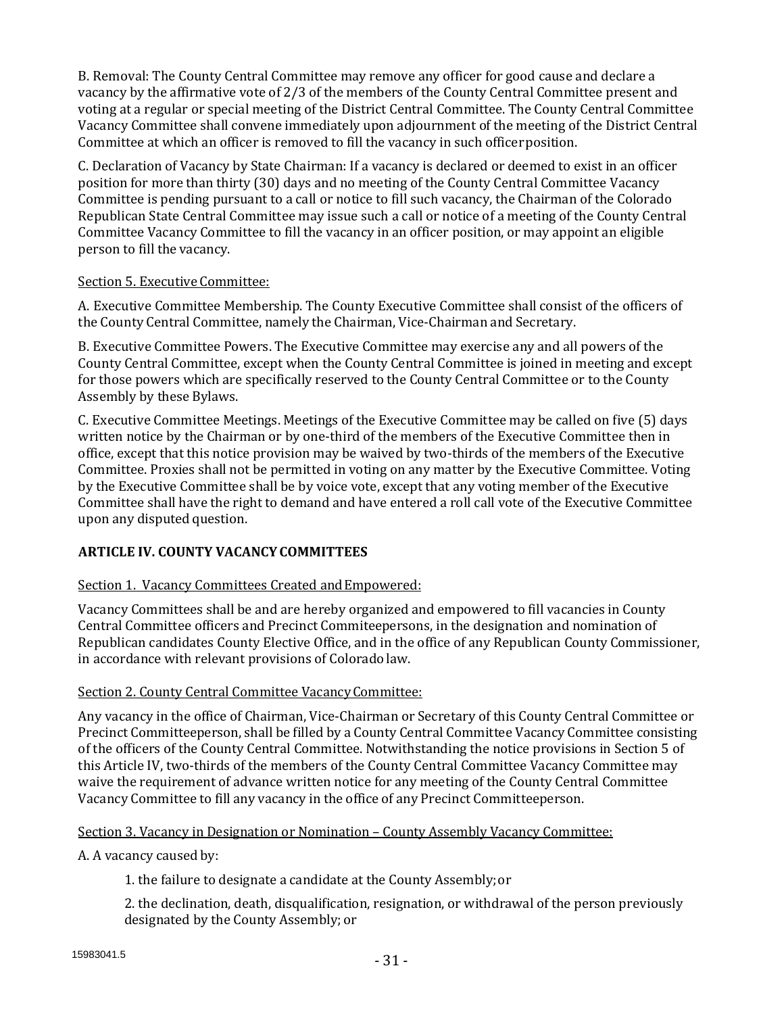B. Removal: The County Central Committee may remove any officer for good cause and declare a vacancy by the affirmative vote of 2/3 of the members of the County Central Committee present and voting at a regular or special meeting of the District Central Committee. The County Central Committee Vacancy Committee shall convene immediately upon adjournment of the meeting of the District Central Committee at which an officer is removed to fill the vacancy in such officerposition.

C. Declaration of Vacancy by State Chairman: If a vacancy is declared or deemed to exist in an officer position for more than thirty (30) days and no meeting of the County Central Committee Vacancy Committee is pending pursuant to a call or notice to fill such vacancy, the Chairman of the Colorado Republican State Central Committee may issue such a call or notice of a meeting of the County Central Committee Vacancy Committee to fill the vacancy in an officer position, or may appoint an eligible person to fill the vacancy.

## Section 5. Executive Committee:

A. Executive Committee Membership. The County Executive Committee shall consist of the officers of the County Central Committee, namely the Chairman, Vice-Chairman and Secretary.

B. Executive Committee Powers. The Executive Committee may exercise any and all powers of the County Central Committee, except when the County Central Committee is joined in meeting and except for those powers which are specifically reserved to the County Central Committee or to the County Assembly by these Bylaws.

C. Executive Committee Meetings. Meetings of the Executive Committee may be called on five (5) days written notice by the Chairman or by one-third of the members of the Executive Committee then in office, except that this notice provision may be waived by two-thirds of the members of the Executive Committee. Proxies shall not be permitted in voting on any matter by the Executive Committee. Voting by the Executive Committee shall be by voice vote, except that any voting member of the Executive Committee shall have the right to demand and have entered a roll call vote of the Executive Committee upon any disputed question.

# **ARTICLE IV. COUNTY VACANCYCOMMITTEES**

# Section 1. Vacancy Committees Created and Empowered:

Vacancy Committees shall be and are hereby organized and empowered to fill vacancies in County Central Committee officers and Precinct Commiteepersons, in the designation and nomination of Republican candidates County Elective Office, and in the office of any Republican County Commissioner, in accordance with relevant provisions of Colorado law.

# Section 2. County Central Committee Vacancy Committee:

Any vacancy in the office of Chairman, Vice-Chairman or Secretary of this County Central Committee or Precinct Committeeperson, shall be filled by a County Central Committee Vacancy Committee consisting of the officers of the County Central Committee. Notwithstanding the notice provisions in Section 5 of this Article IV, two-thirds of the members of the County Central Committee Vacancy Committee may waive the requirement of advance written notice for any meeting of the County Central Committee Vacancy Committee to fill any vacancy in the office of any Precinct Committeeperson.

#### Section 3. Vacancy in Designation or Nomination – County Assembly Vacancy Committee:

A. A vacancy caused by:

1. the failure to designate a candidate at the County Assembly;or

2. the declination, death, disqualification, resignation, or withdrawal of the person previously designated by the County Assembly; or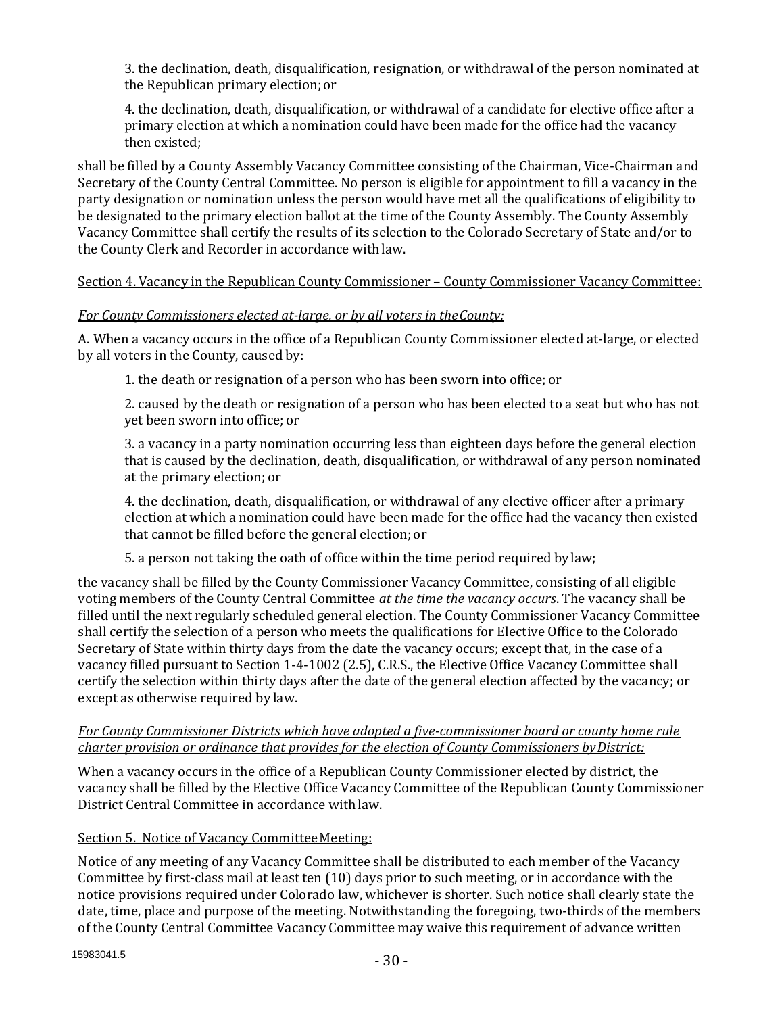3. the declination, death, disqualification, resignation, or withdrawal of the person nominated at the Republican primary election; or

4. the declination, death, disqualification, or withdrawal of a candidate for elective office after a primary election at which a nomination could have been made for the office had the vacancy then existed;

shall be filled by a County Assembly Vacancy Committee consisting of the Chairman, Vice-Chairman and Secretary of the County Central Committee. No person is eligible for appointment to fill a vacancy in the party designation or nomination unless the person would have met all the qualifications of eligibility to be designated to the primary election ballot at the time of the County Assembly. The County Assembly Vacancy Committee shall certify the results of its selection to the Colorado Secretary of State and/or to the County Clerk and Recorder in accordance withlaw.

# Section 4. Vacancy in the Republican County Commissioner – County Commissioner Vacancy Committee:

# *For County Commissioners elected at-large, or by all voters in theCounty:*

A. When a vacancy occurs in the office of a Republican County Commissioner elected at-large, or elected by all voters in the County, caused by:

1. the death or resignation of a person who has been sworn into office;or

2. caused by the death or resignation of a person who has been elected to a seat but who has not yet been sworn into office; or

3. a vacancy in a party nomination occurring less than eighteen days before the general election that is caused by the declination, death, disqualification, or withdrawal of any person nominated at the primary election; or

4. the declination, death, disqualification, or withdrawal of any elective officer after a primary election at which a nomination could have been made for the office had the vacancy then existed that cannot be filled before the general election; or

5. a person not taking the oath of office within the time period required bylaw;

the vacancy shall be filled by the County Commissioner Vacancy Committee, consisting of all eligible voting members of the County Central Committee *at the time the vacancy occurs*. The vacancy shall be filled until the next regularly scheduled general election. The County Commissioner Vacancy Committee shall certify the selection of a person who meets the qualifications for Elective Office to the Colorado Secretary of State within thirty days from the date the vacancy occurs; except that, in the case of a vacancy filled pursuant to Section 1-4-1002 (2.5), C.R.S., the Elective Office Vacancy Committee shall certify the selection within thirty days after the date of the general election affected by the vacancy; or except as otherwise required by law.

## *For County Commissioner Districts which have adopted a five-commissioner board or county home rule charter provision or ordinance that provides for the election of County Commissioners byDistrict:*

When a vacancy occurs in the office of a Republican County Commissioner elected by district, the vacancy shall be filled by the Elective Office Vacancy Committee of the Republican County Commissioner District Central Committee in accordance with law.

# Section 5. Notice of Vacancy Committee Meeting:

Notice of any meeting of any Vacancy Committee shall be distributed to each member of the Vacancy Committee by first-class mail at least ten (10) days prior to such meeting, or in accordance with the notice provisions required under Colorado law, whichever is shorter. Such notice shall clearly state the date, time, place and purpose of the meeting. Notwithstanding the foregoing, two-thirds of the members of the County Central Committee Vacancy Committee may waive this requirement of advance written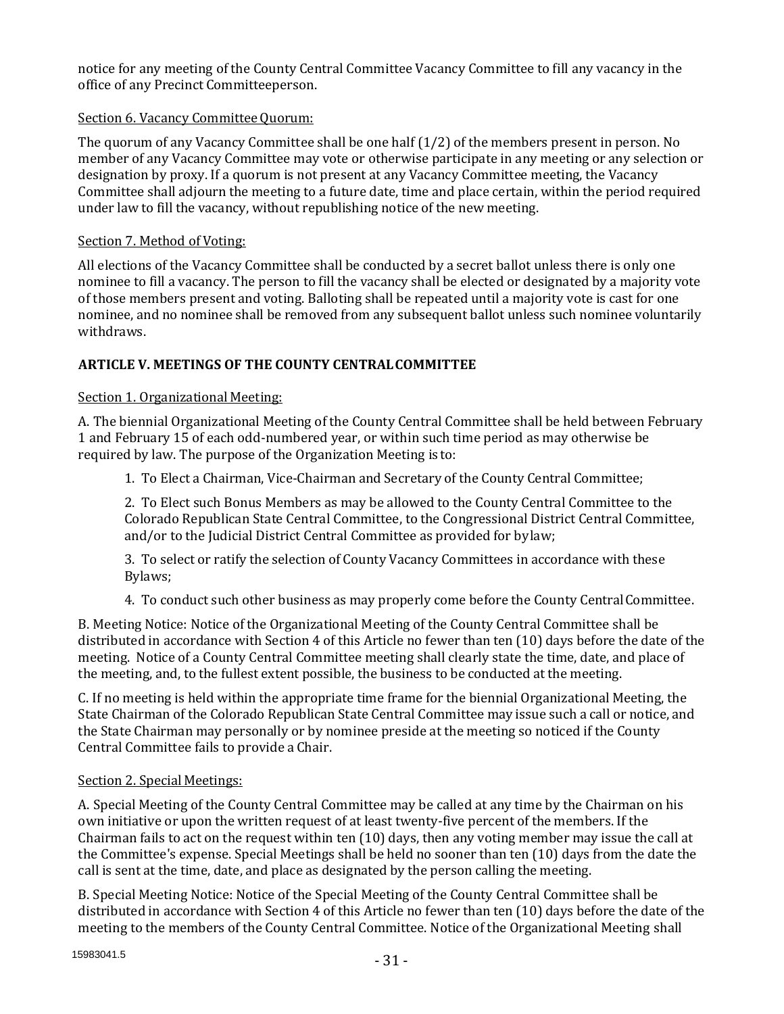notice for any meeting of the County Central Committee Vacancy Committee to fill any vacancy in the office of any Precinct Committeeperson.

# Section 6. Vacancy Committee Quorum:

The quorum of any Vacancy Committee shall be one half (1/2) of the members present in person. No member of any Vacancy Committee may vote or otherwise participate in any meeting or any selection or designation by proxy. If a quorum is not present at any Vacancy Committee meeting, the Vacancy Committee shall adjourn the meeting to a future date, time and place certain, within the period required under law to fill the vacancy, without republishing notice of the new meeting.

### Section 7. Method of Voting:

All elections of the Vacancy Committee shall be conducted by a secret ballot unless there is only one nominee to fill a vacancy. The person to fill the vacancy shall be elected or designated by a majority vote of those members present and voting. Balloting shall be repeated until a majority vote is cast for one nominee, and no nominee shall be removed from any subsequent ballot unless such nominee voluntarily withdraws.

## **ARTICLE V. MEETINGS OF THE COUNTY CENTRALCOMMITTEE**

## Section 1. Organizational Meeting:

A. The biennial Organizational Meeting of the County Central Committee shall be held between February 1 and February 15 of each odd-numbered year, or within such time period as may otherwise be required by law. The purpose of the Organization Meeting is to:

1. To Elect a Chairman, Vice-Chairman and Secretary of the County Central Committee;

2. To Elect such Bonus Members as may be allowed to the County Central Committee to the Colorado Republican State Central Committee, to the Congressional District Central Committee, and/or to the Judicial District Central Committee as provided for bylaw;

3. To select or ratify the selection of County Vacancy Committees in accordance with these Bylaws;

4. To conduct such other business as may properly come before the County CentralCommittee.

B. Meeting Notice: Notice of the Organizational Meeting of the County Central Committee shall be distributed in accordance with Section 4 of this Article no fewer than ten (10) days before the date of the meeting. Notice of a County Central Committee meeting shall clearly state the time, date, and place of the meeting, and, to the fullest extent possible, the business to be conducted at the meeting.

C. If no meeting is held within the appropriate time frame for the biennial Organizational Meeting, the State Chairman of the Colorado Republican State Central Committee may issue such a call or notice, and the State Chairman may personally or by nominee preside at the meeting so noticed if the County Central Committee fails to provide a Chair.

#### Section 2. Special Meetings:

A. Special Meeting of the County Central Committee may be called at any time by the Chairman on his own initiative or upon the written request of at least twenty-five percent of the members. If the Chairman fails to act on the request within ten (10) days, then any voting member may issue the call at the Committee's expense. Special Meetings shall be held no sooner than ten (10) days from the date the call is sent at the time, date, and place as designated by the person calling the meeting.

B. Special Meeting Notice: Notice of the Special Meeting of the County Central Committee shall be distributed in accordance with Section 4 of this Article no fewer than ten (10) days before the date of the meeting to the members of the County Central Committee. Notice of the Organizational Meeting shall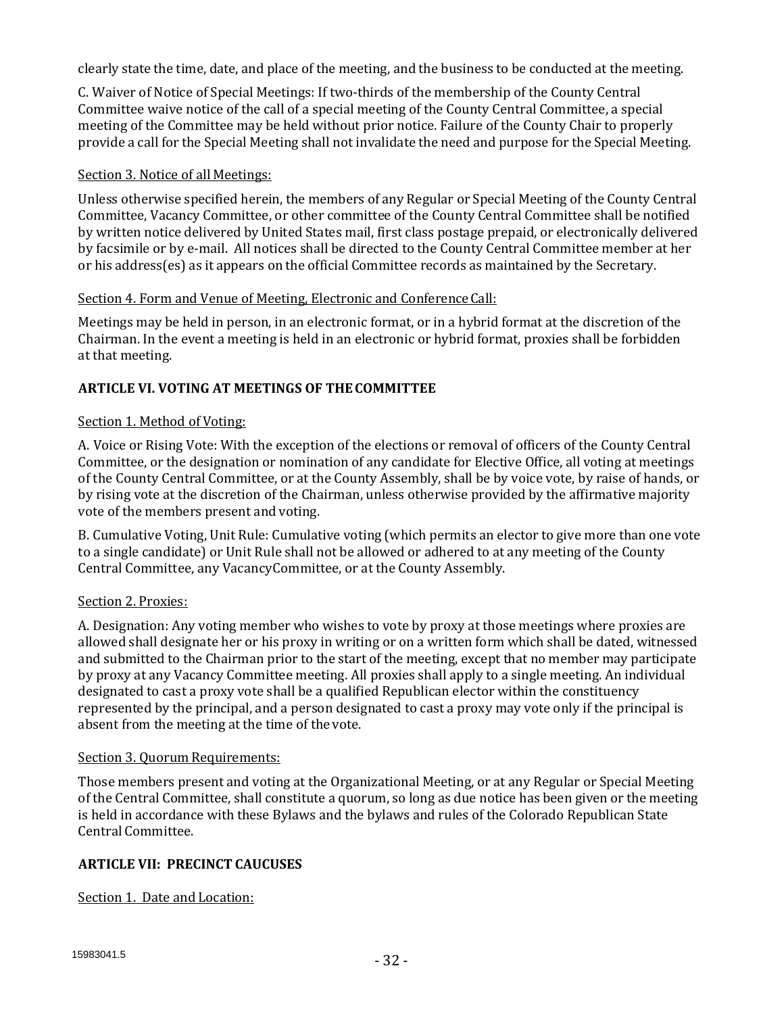clearly state the time, date, and place of the meeting, and the business to be conducted at the meeting.

C. Waiver of Notice of Special Meetings: If two-thirds of the membership of the County Central Committee waive notice of the call of a special meeting of the County Central Committee, a special meeting of the Committee may be held without prior notice. Failure of the County Chair to properly provide a call for the Special Meeting shall not invalidate the need and purpose for the Special Meeting.

## Section 3. Notice of all Meetings:

Unless otherwise specified herein, the members of any Regular or Special Meeting of the County Central Committee, Vacancy Committee, or other committee of the County Central Committee shall be notified by written notice delivered by United States mail, first class postage prepaid, or electronically delivered by facsimile or by e-mail. All notices shall be directed to the County Central Committee member at her or his address(es) as it appears on the official Committee records as maintained by the Secretary.

## Section 4. Form and Venue of Meeting, Electronic and Conference Call:

Meetings may be held in person, in an electronic format, or in a hybrid format at the discretion of the Chairman. In the event a meeting is held in an electronic or hybrid format, proxies shall be forbidden at that meeting.

# **ARTICLE VI. VOTING AT MEETINGS OF THECOMMITTEE**

#### Section 1. Method of Voting:

A. Voice or Rising Vote: With the exception of the elections or removal of officers of the County Central Committee, or the designation or nomination of any candidate for Elective Office, all voting at meetings of the County Central Committee, or at the County Assembly, shall be by voice vote, by raise of hands, or by rising vote at the discretion of the Chairman, unless otherwise provided by the affirmative majority vote of the members present and voting.

B. Cumulative Voting, Unit Rule: Cumulative voting (which permits an elector to give more than one vote to a single candidate) or Unit Rule shall not be allowed or adhered to at any meeting of the County Central Committee, any VacancyCommittee, or at the County Assembly.

#### Section 2. Proxies:

A. Designation: Any voting member who wishes to vote by proxy at those meetings where proxies are allowed shall designate her or his proxy in writing or on a written form which shall be dated, witnessed and submitted to the Chairman prior to the start of the meeting, except that no member may participate by proxy at any Vacancy Committee meeting. All proxies shall apply to a single meeting. An individual designated to cast a proxy vote shall be a qualified Republican elector within the constituency represented by the principal, and a person designated to cast a proxy may vote only if the principal is absent from the meeting at the time of the vote.

#### Section 3. Quorum Requirements:

Those members present and voting at the Organizational Meeting, or at any Regular or Special Meeting of the Central Committee, shall constitute a quorum, so long as due notice has been given or the meeting is held in accordance with these Bylaws and the bylaws and rules of the Colorado Republican State Central Committee.

# **ARTICLE VII: PRECINCT CAUCUSES**

Section 1. Date and Location: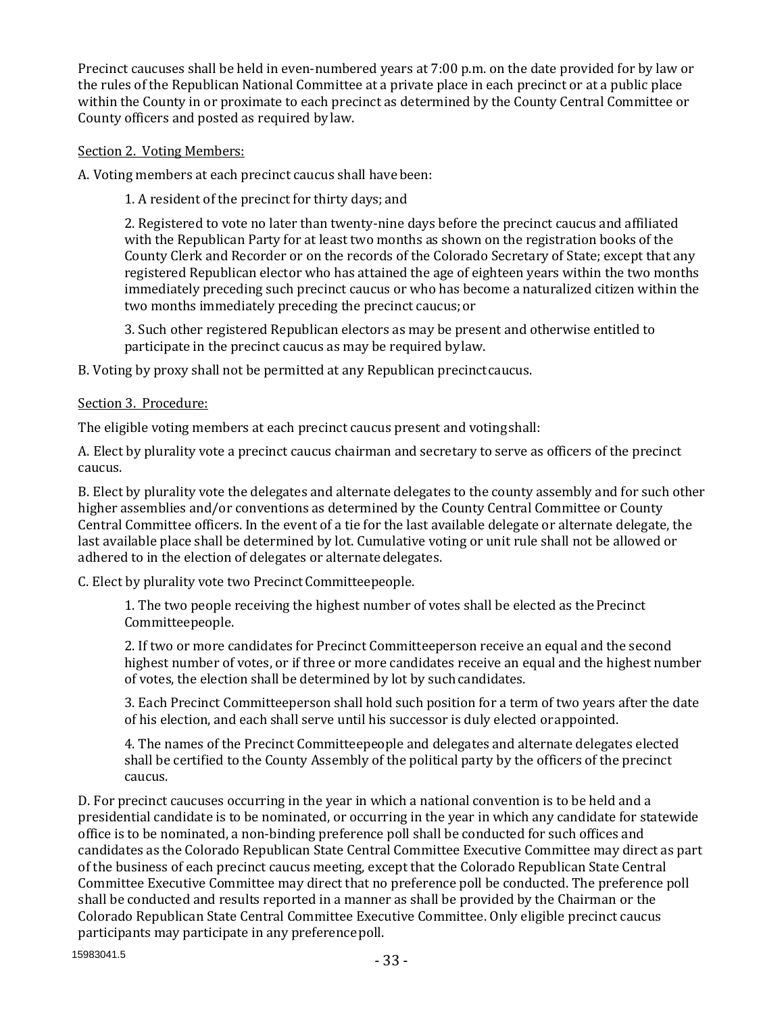Precinct caucuses shall be held in even-numbered years at 7:00 p.m. on the date provided for by law or the rules of the Republican National Committee at a private place in each precinct or at a public place within the County in or proximate to each precinct as determined by the County Central Committee or County officers and posted as required by law.

## Section 2. Voting Members:

A. Voting members at each precinct caucus shall have been:

1. A resident of the precinct for thirty days; and

2. Registered to vote no later than twenty-nine days before the precinct caucus and affiliated with the Republican Party for at least two months as shown on the registration books of the County Clerk and Recorder or on the records of the Colorado Secretary of State; except that any registered Republican elector who has attained the age of eighteen years within the two months immediately preceding such precinct caucus or who has become a naturalized citizen within the two months immediately preceding the precinct caucus;or

3. Such other registered Republican electors as may be present and otherwise entitled to participate in the precinct caucus as may be required bylaw.

B. Voting by proxy shall not be permitted at any Republican precinctcaucus.

## Section 3. Procedure:

The eligible voting members at each precinct caucus present and votingshall:

A. Elect by plurality vote a precinct caucus chairman and secretary to serve as officers of the precinct caucus.

B. Elect by plurality vote the delegates and alternate delegates to the county assembly and for such other higher assemblies and/or conventions as determined by the County Central Committee or County Central Committee officers. In the event of a tie for the last available delegate or alternate delegate, the last available place shall be determined by lot. Cumulative voting or unit rule shall not be allowed or adhered to in the election of delegates or alternate delegates.

C. Elect by plurality vote two PrecinctCommitteepeople.

1. The two people receiving the highest number of votes shall be elected as the Precinct Committeepeople.

2. If two or more candidates for Precinct Committeeperson receive an equal and the second highest number of votes, or if three or more candidates receive an equal and the highest number of votes, the election shall be determined by lot by suchcandidates.

3. Each Precinct Committeeperson shall hold such position for a term of two years after the date of his election, and each shall serve until his successor is duly elected orappointed.

4. The names of the Precinct Committeepeople and delegates and alternate delegates elected shall be certified to the County Assembly of the political party by the officers of the precinct caucus.

D. For precinct caucuses occurring in the year in which a national convention is to be held and a presidential candidate is to be nominated, or occurring in the year in which any candidate for statewide office is to be nominated, a non-binding preference poll shall be conducted for such offices and candidates as the Colorado Republican State Central Committee Executive Committee may direct as part of the business of each precinct caucus meeting, except that the Colorado Republican State Central Committee Executive Committee may direct that no preference poll be conducted. The preference poll shall be conducted and results reported in a manner as shall be provided by the Chairman or the Colorado Republican State Central Committee Executive Committee. Only eligible precinct caucus participants may participate in any preferencepoll.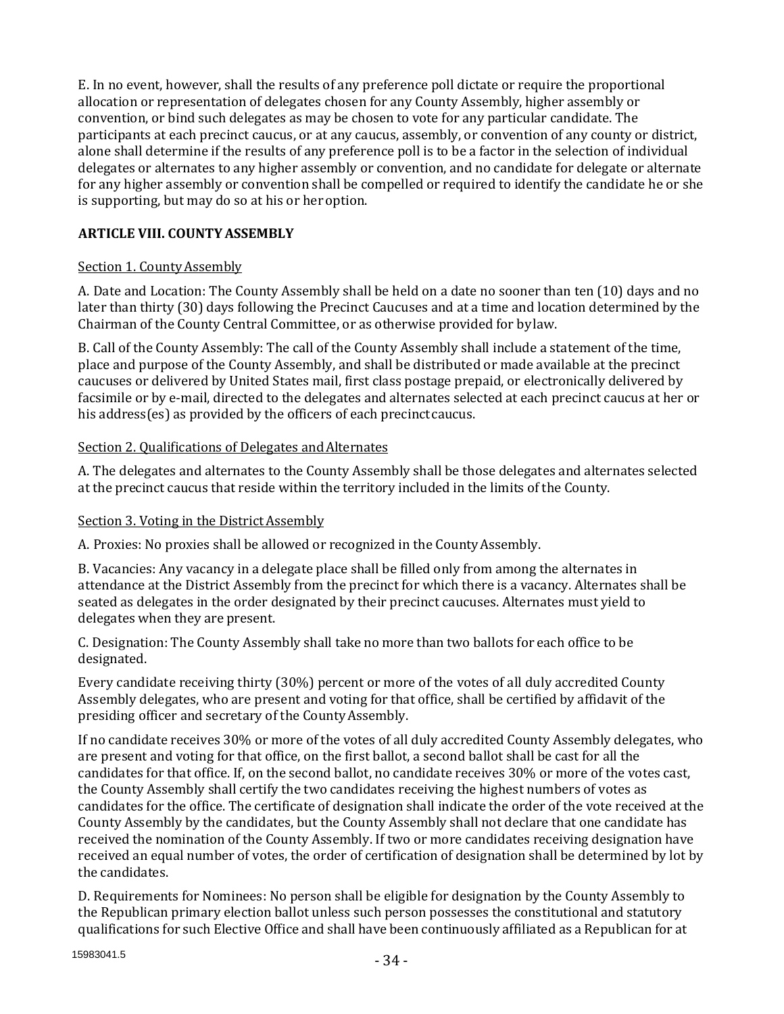E. In no event, however, shall the results of any preference poll dictate or require the proportional allocation or representation of delegates chosen for any County Assembly, higher assembly or convention, or bind such delegates as may be chosen to vote for any particular candidate. The participants at each precinct caucus, or at any caucus, assembly, or convention of any county or district, alone shall determine if the results of any preference poll is to be a factor in the selection of individual delegates or alternates to any higher assembly or convention, and no candidate for delegate or alternate for any higher assembly or convention shall be compelled or required to identify the candidate he or she is supporting, but may do so at his or her option.

# **ARTICLE VIII. COUNTYASSEMBLY**

# Section 1. County Assembly

A. Date and Location: The County Assembly shall be held on a date no sooner than ten (10) days and no later than thirty (30) days following the Precinct Caucuses and at a time and location determined by the Chairman of the County Central Committee, or as otherwise provided for bylaw.

B. Call of the County Assembly: The call of the County Assembly shall include a statement of the time, place and purpose of the County Assembly, and shall be distributed or made available at the precinct caucuses or delivered by United States mail, first class postage prepaid, or electronically delivered by facsimile or by e-mail, directed to the delegates and alternates selected at each precinct caucus at her or his address(es) as provided by the officers of each precinct caucus.

## Section 2. Qualifications of Delegates and Alternates

A. The delegates and alternates to the County Assembly shall be those delegates and alternates selected at the precinct caucus that reside within the territory included in the limits of the County.

# Section 3. Voting in the District Assembly

A. Proxies: No proxies shall be allowed or recognized in the CountyAssembly.

B. Vacancies: Any vacancy in a delegate place shall be filled only from among the alternates in attendance at the District Assembly from the precinct for which there is a vacancy. Alternates shall be seated as delegates in the order designated by their precinct caucuses. Alternates must yield to delegates when they are present.

C. Designation: The County Assembly shall take no more than two ballots for each office to be designated.

Every candidate receiving thirty (30%) percent or more of the votes of all duly accredited County Assembly delegates, who are present and voting for that office, shall be certified by affidavit of the presiding officer and secretary of the CountyAssembly.

If no candidate receives 30% or more of the votes of all duly accredited County Assembly delegates, who are present and voting for that office, on the first ballot, a second ballot shall be cast for all the candidates for that office. If, on the second ballot, no candidate receives 30% or more of the votes cast, the County Assembly shall certify the two candidates receiving the highest numbers of votes as candidates for the office. The certificate of designation shall indicate the order of the vote received at the County Assembly by the candidates, but the County Assembly shall not declare that one candidate has received the nomination of the County Assembly. If two or more candidates receiving designation have received an equal number of votes, the order of certification of designation shall be determined by lot by the candidates.

D. Requirements for Nominees: No person shall be eligible for designation by the County Assembly to the Republican primary election ballot unless such person possesses the constitutional and statutory qualifications for such Elective Office and shall have been continuously affiliated as a Republican for at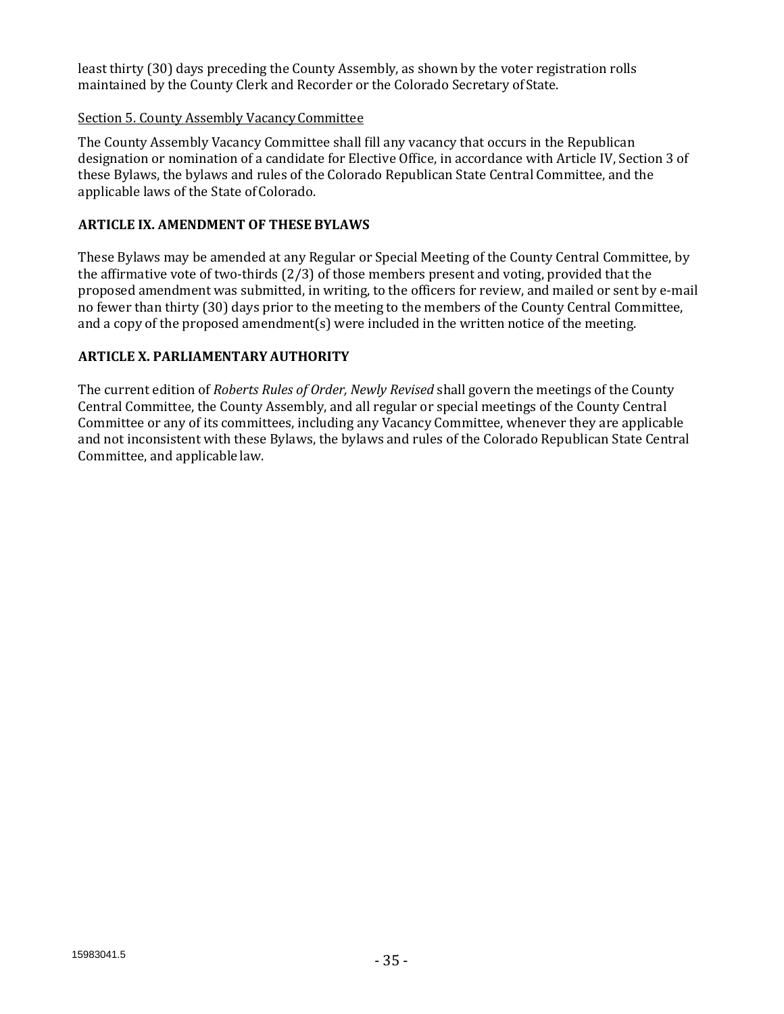least thirty (30) days preceding the County Assembly, as shown by the voter registration rolls maintained by the County Clerk and Recorder or the Colorado Secretary ofState.

## Section 5. County Assembly VacancyCommittee

The County Assembly Vacancy Committee shall fill any vacancy that occurs in the Republican designation or nomination of a candidate for Elective Office, in accordance with Article IV, Section 3 of these Bylaws, the bylaws and rules of the Colorado Republican State Central Committee, and the applicable laws of the State of Colorado.

## **ARTICLE IX. AMENDMENT OF THESE BYLAWS**

These Bylaws may be amended at any Regular or Special Meeting of the County Central Committee, by the affirmative vote of two-thirds (2/3) of those members present and voting, provided that the proposed amendment was submitted, in writing, to the officers for review, and mailed or sent by e-mail no fewer than thirty (30) days prior to the meeting to the members of the County Central Committee, and a copy of the proposed amendment(s) were included in the written notice of the meeting.

# **ARTICLE X. PARLIAMENTARY AUTHORITY**

The current edition of *Roberts Rules of Order, Newly Revised* shall govern the meetings of the County Central Committee, the County Assembly, and all regular or special meetings of the County Central Committee or any of its committees, including any Vacancy Committee, whenever they are applicable and not inconsistent with these Bylaws, the bylaws and rules of the Colorado Republican State Central Committee, and applicable law.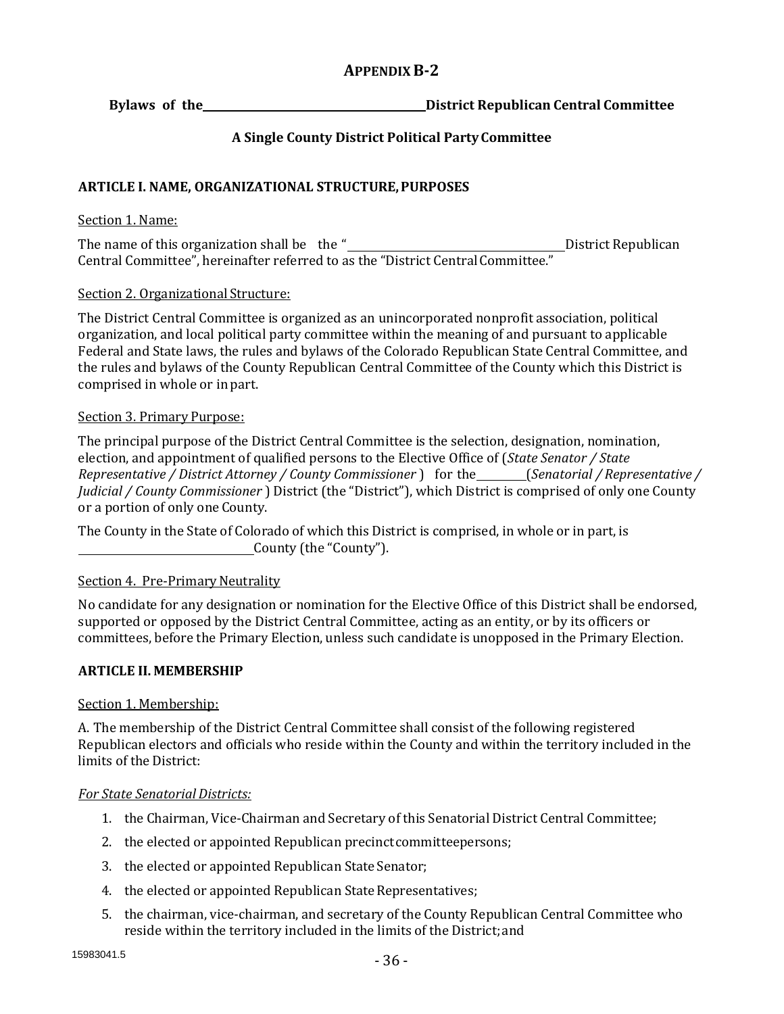# **APPENDIXB-2**

**Bylaws of the District Republican Central Committee** 

# **A Single County District Political PartyCommittee**

# **ARTICLE I. NAME, ORGANIZATIONAL STRUCTURE,PURPOSES**

## Section 1. Name:

The name of this organization shall be the " District Republican Central Committee", hereinafter referred to as the "District Central Committee."

## Section 2. Organizational Structure:

The District Central Committee is organized as an unincorporated nonprofit association, political organization, and local political party committee within the meaning of and pursuant to applicable Federal and State laws, the rules and bylaws of the Colorado Republican State Central Committee, and the rules and bylaws of the County Republican Central Committee of the County which this District is comprised in whole or in part.

## Section 3. Primary Purpose:

The principal purpose of the District Central Committee is the selection, designation, nomination, election, and appointment of qualified persons to the Elective Office of (*State Senator / State Representative / District Attorney / County Commissioner )* for the *(Senatorial / Representative* / *Judicial / County Commissioner* ) District (the "District"), which District is comprised of only one County or a portion of only one County.

The County in the State of Colorado of which this District is comprised, in whole or in part, is County (the "County").

# Section 4. Pre-Primary Neutrality

No candidate for any designation or nomination for the Elective Office of this District shall be endorsed, supported or opposed by the District Central Committee, acting as an entity, or by its officers or committees, before the Primary Election, unless such candidate is unopposed in the Primary Election.

# **ARTICLE II. MEMBERSHIP**

# Section 1. Membership:

A. The membership of the District Central Committee shall consist of the following registered Republican electors and officials who reside within the County and within the territory included in the limits of the District:

#### *For State Senatorial Districts:*

- 1. the Chairman, Vice-Chairman and Secretary of this Senatorial District Central Committee;
- 2. the elected or appointed Republican precinct committeepersons;
- 3. the elected or appointed Republican State Senator;
- 4. the elected or appointed Republican State Representatives;
- 5. the chairman, vice-chairman, and secretary of the County Republican Central Committee who reside within the territory included in the limits of the District;and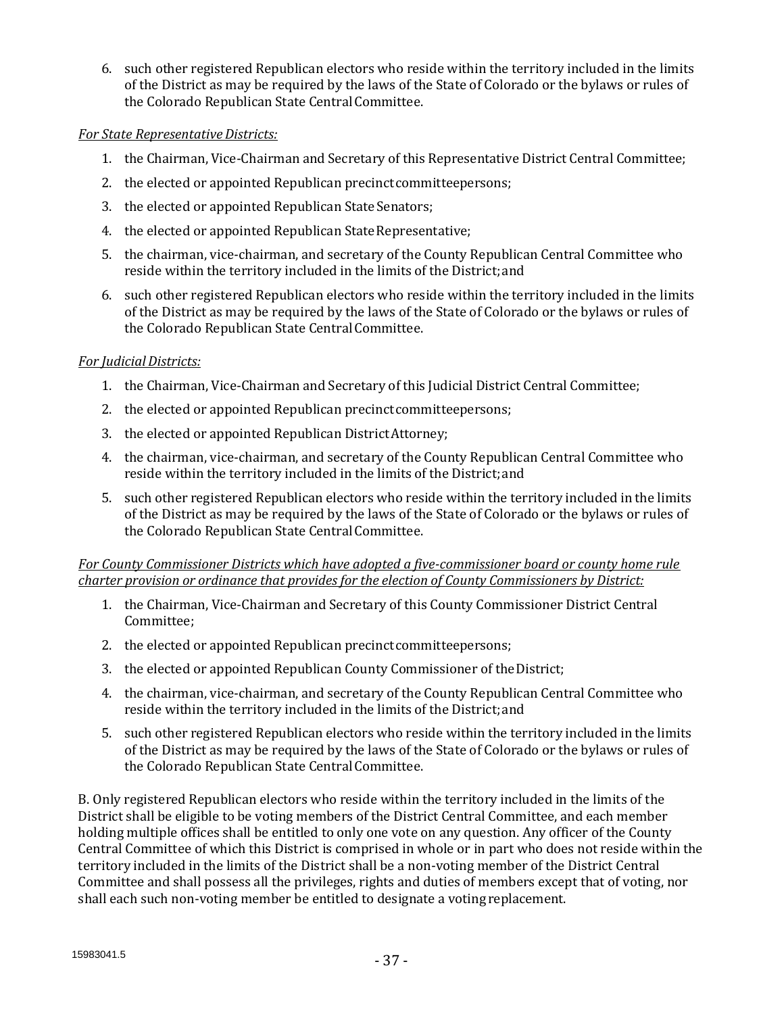6. such other registered Republican electors who reside within the territory included in the limits of the District as may be required by the laws of the State of Colorado or the bylaws or rules of the Colorado Republican State Central Committee.

## *For State Representative Districts:*

- 1. the Chairman, Vice-Chairman and Secretary of this Representative District Central Committee;
- 2. the elected or appointed Republican precinct committeepersons;
- 3. the elected or appointed Republican State Senators;
- 4. the elected or appointed Republican State Representative;
- 5. the chairman, vice-chairman, and secretary of the County Republican Central Committee who reside within the territory included in the limits of the District;and
- 6. such other registered Republican electors who reside within the territory included in the limits of the District as may be required by the laws of the State of Colorado or the bylaws or rules of the Colorado Republican State CentralCommittee.

## *For JudicialDistricts:*

- 1. the Chairman, Vice-Chairman and Secretary of this Judicial District Central Committee;
- 2. the elected or appointed Republican precinct committeepersons;
- 3. the elected or appointed Republican DistrictAttorney;
- 4. the chairman, vice-chairman, and secretary of the County Republican Central Committee who reside within the territory included in the limits of the District;and
- 5. such other registered Republican electors who reside within the territory included in the limits of the District as may be required by the laws of the State of Colorado or the bylaws or rules of the Colorado Republican State Central Committee.

*For County Commissioner Districts which have adopted a five-commissioner board or county home rule charter provision or ordinance that provides for the election of County Commissioners by District:*

- 1. the Chairman, Vice-Chairman and Secretary of this County Commissioner District Central Committee;
- 2. the elected or appointed Republican precinct committeepersons;
- 3. the elected or appointed Republican County Commissioner of theDistrict;
- 4. the chairman, vice-chairman, and secretary of the County Republican Central Committee who reside within the territory included in the limits of the District;and
- 5. such other registered Republican electors who reside within the territory included in the limits of the District as may be required by the laws of the State of Colorado or the bylaws or rules of the Colorado Republican State Central Committee.

B. Only registered Republican electors who reside within the territory included in the limits of the District shall be eligible to be voting members of the District Central Committee, and each member holding multiple offices shall be entitled to only one vote on any question. Any officer of the County Central Committee of which this District is comprised in whole or in part who does not reside within the territory included in the limits of the District shall be a non-voting member of the District Central Committee and shall possess all the privileges, rights and duties of members except that of voting, nor shall each such non-voting member be entitled to designate a voting replacement.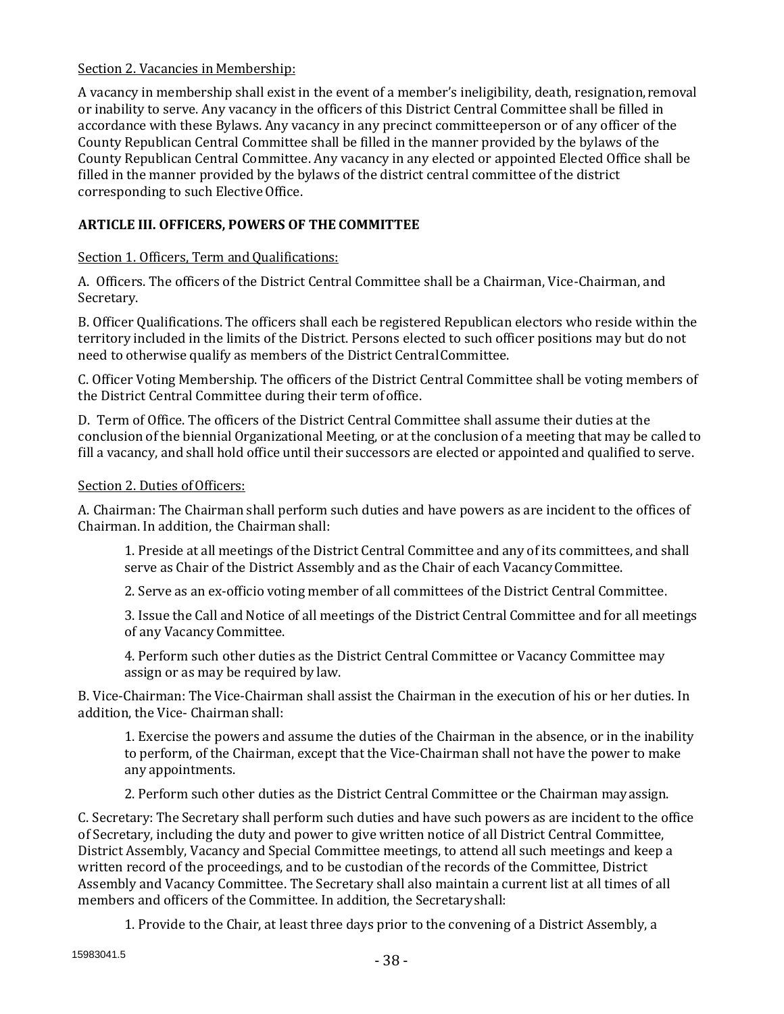## Section 2. Vacancies in Membership:

A vacancy in membership shall exist in the event of a member's ineligibility, death, resignation,removal or inability to serve. Any vacancy in the officers of this District Central Committee shall be filled in accordance with these Bylaws. Any vacancy in any precinct committeeperson or of any officer of the County Republican Central Committee shall be filled in the manner provided by the bylaws of the County Republican Central Committee. Any vacancy in any elected or appointed Elected Office shall be filled in the manner provided by the bylaws of the district central committee of the district corresponding to such Elective Office.

# **ARTICLE III. OFFICERS, POWERS OF THE COMMITTEE**

# Section 1. Officers, Term and Qualifications:

A. Officers. The officers of the District Central Committee shall be a Chairman, Vice-Chairman, and Secretary.

B. Officer Qualifications. The officers shall each be registered Republican electors who reside within the territory included in the limits of the District. Persons elected to such officer positions may but do not need to otherwise qualify as members of the District CentralCommittee.

C. Officer Voting Membership. The officers of the District Central Committee shall be voting members of the District Central Committee during their term ofoffice.

D. Term of Office. The officers of the District Central Committee shall assume their duties at the conclusion of the biennial Organizational Meeting, or at the conclusion of a meeting that may be called to fill a vacancy, and shall hold office until their successors are elected or appointed and qualified to serve.

# Section 2. Duties of Officers:

A. Chairman: The Chairman shall perform such duties and have powers as are incident to the offices of Chairman. In addition, the Chairmanshall:

1. Preside at all meetings of the District Central Committee and any of its committees, and shall serve as Chair of the District Assembly and as the Chair of each VacancyCommittee.

2. Serve as an ex-officio voting member of all committees of the District Central Committee.

3. Issue the Call and Notice of all meetings of the District Central Committee and for all meetings of any Vacancy Committee.

4. Perform such other duties as the District Central Committee or Vacancy Committee may assign or as may be required by law.

B. Vice-Chairman: The Vice-Chairman shall assist the Chairman in the execution of his or her duties. In addition, the Vice- Chairman shall:

1. Exercise the powers and assume the duties of the Chairman in the absence, or in the inability to perform, of the Chairman, except that the Vice-Chairman shall not have the power to make any appointments.

2. Perform such other duties as the District Central Committee or the Chairman mayassign.

C. Secretary: The Secretary shall perform such duties and have such powers as are incident to the office of Secretary, including the duty and power to give written notice of all District Central Committee, District Assembly, Vacancy and Special Committee meetings, to attend all such meetings and keep a written record of the proceedings, and to be custodian of the records of the Committee, District Assembly and Vacancy Committee. The Secretary shall also maintain a current list at all times of all members and officers of the Committee. In addition, the Secretaryshall:

1. Provide to the Chair, at least three days prior to the convening of a District Assembly, a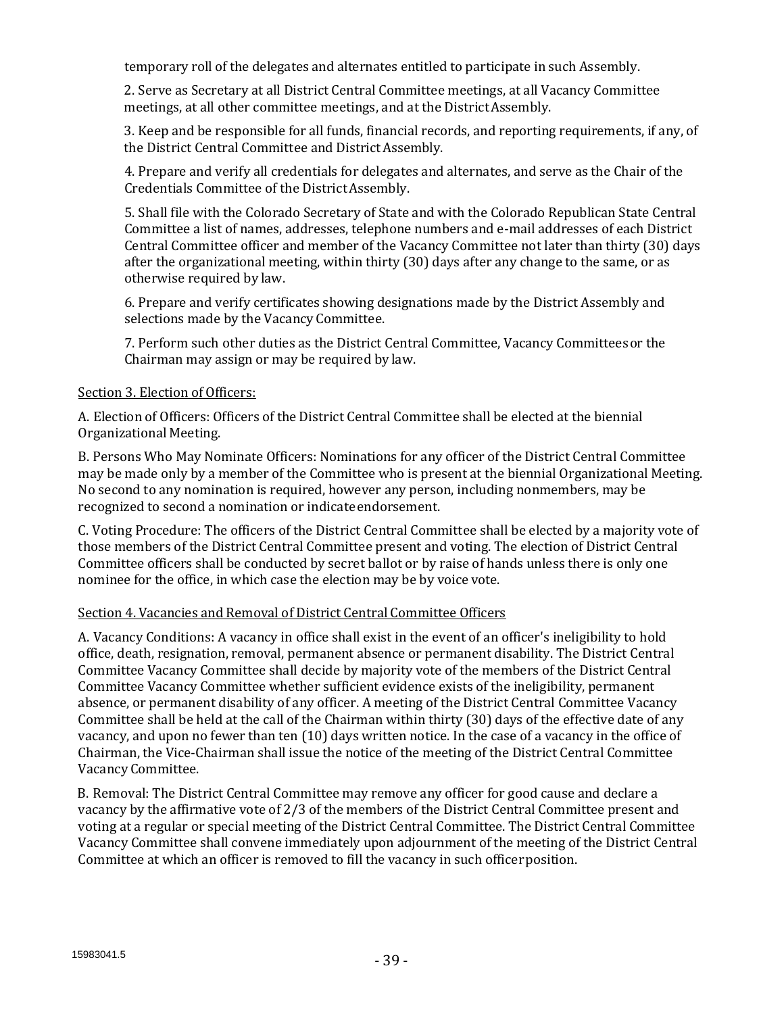temporary roll of the delegates and alternates entitled to participate in such Assembly.

2. Serve as Secretary at all District Central Committee meetings, at all Vacancy Committee meetings, at all other committee meetings, and at the DistrictAssembly.

3. Keep and be responsible for all funds, financial records, and reporting requirements, if any, of the District Central Committee and DistrictAssembly.

4. Prepare and verify all credentials for delegates and alternates, and serve as the Chair of the Credentials Committee of the DistrictAssembly.

5. Shall file with the Colorado Secretary of State and with the Colorado Republican State Central Committee a list of names, addresses, telephone numbers and e-mail addresses of each District Central Committee officer and member of the Vacancy Committee not later than thirty (30) days after the organizational meeting, within thirty (30) days after any change to the same, or as otherwise required by law.

6. Prepare and verify certificates showing designations made by the District Assembly and selections made by the Vacancy Committee.

7. Perform such other duties as the District Central Committee, Vacancy Committeesor the Chairman may assign or may be required by law.

# Section 3. Election of Officers:

A. Election of Officers: Officers of the District Central Committee shall be elected at the biennial Organizational Meeting.

B. Persons Who May Nominate Officers: Nominations for any officer of the District Central Committee may be made only by a member of the Committee who is present at the biennial Organizational Meeting. No second to any nomination is required, however any person, including nonmembers, may be recognized to second a nomination or indicate endorsement.

C. Voting Procedure: The officers of the District Central Committee shall be elected by a majority vote of those members of the District Central Committee present and voting. The election of District Central Committee officers shall be conducted by secret ballot or by raise of hands unless there is only one nominee for the office, in which case the election may be by voice vote.

# Section 4. Vacancies and Removal of District Central Committee Officers

A. Vacancy Conditions: A vacancy in office shall exist in the event of an officer's ineligibility to hold office, death, resignation, removal, permanent absence or permanent disability. The District Central Committee Vacancy Committee shall decide by majority vote of the members of the District Central Committee Vacancy Committee whether sufficient evidence exists of the ineligibility, permanent absence, or permanent disability of any officer. A meeting of the District Central Committee Vacancy Committee shall be held at the call of the Chairman within thirty (30) days of the effective date of any vacancy, and upon no fewer than ten (10) days written notice. In the case of a vacancy in the office of Chairman, the Vice-Chairman shall issue the notice of the meeting of the District Central Committee Vacancy Committee.

B. Removal: The District Central Committee may remove any officer for good cause and declare a vacancy by the affirmative vote of 2/3 of the members of the District Central Committee present and voting at a regular or special meeting of the District Central Committee. The District Central Committee Vacancy Committee shall convene immediately upon adjournment of the meeting of the District Central Committee at which an officer is removed to fill the vacancy in such officerposition.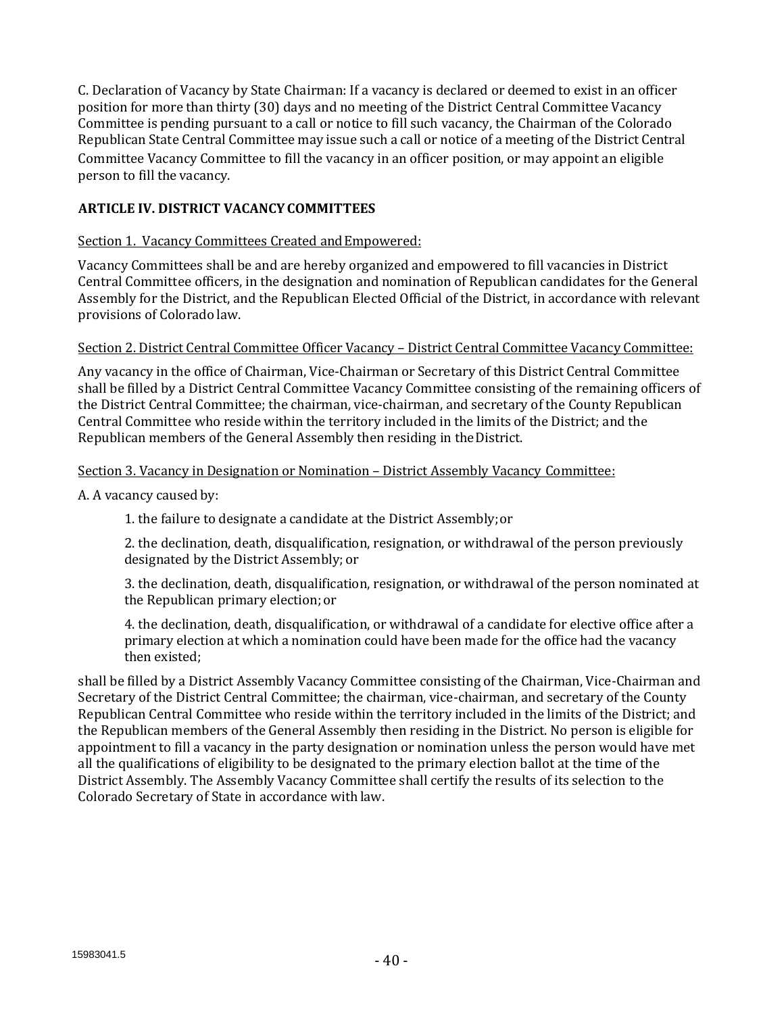C. Declaration of Vacancy by State Chairman: If a vacancy is declared or deemed to exist in an officer position for more than thirty (30) days and no meeting of the District Central Committee Vacancy Committee is pending pursuant to a call or notice to fill such vacancy, the Chairman of the Colorado Republican State Central Committee may issue such a call or notice of a meeting of the District Central Committee Vacancy Committee to fill the vacancy in an officer position, or may appoint an eligible person to fill the vacancy.

# **ARTICLE IV. DISTRICT VACANCYCOMMITTEES**

# Section 1. Vacancy Committees Created and Empowered:

Vacancy Committees shall be and are hereby organized and empowered to fill vacancies in District Central Committee officers, in the designation and nomination of Republican candidates for the General Assembly for the District, and the Republican Elected Official of the District, in accordance with relevant provisions of Colorado law.

## Section 2. District Central Committee Officer Vacancy – District Central Committee Vacancy Committee:

Any vacancy in the office of Chairman, Vice-Chairman or Secretary of this District Central Committee shall be filled by a District Central Committee Vacancy Committee consisting of the remaining officers of the District Central Committee; the chairman, vice-chairman, and secretary of the County Republican Central Committee who reside within the territory included in the limits of the District; and the Republican members of the General Assembly then residing in theDistrict.

## Section 3. Vacancy in Designation or Nomination – District Assembly Vacancy Committee:

A. A vacancy caused by:

1. the failure to designate a candidate at the District Assembly;or

2. the declination, death, disqualification, resignation, or withdrawal of the person previously designated by the District Assembly; or

3. the declination, death, disqualification, resignation, or withdrawal of the person nominated at the Republican primary election; or

4. the declination, death, disqualification, or withdrawal of a candidate for elective office after a primary election at which a nomination could have been made for the office had the vacancy then existed;

shall be filled by a District Assembly Vacancy Committee consisting of the Chairman, Vice-Chairman and Secretary of the District Central Committee; the chairman, vice-chairman, and secretary of the County Republican Central Committee who reside within the territory included in the limits of the District; and the Republican members of the General Assembly then residing in the District. No person is eligible for appointment to fill a vacancy in the party designation or nomination unless the person would have met all the qualifications of eligibility to be designated to the primary election ballot at the time of the District Assembly. The Assembly Vacancy Committee shall certify the results of its selection to the Colorado Secretary of State in accordance with law.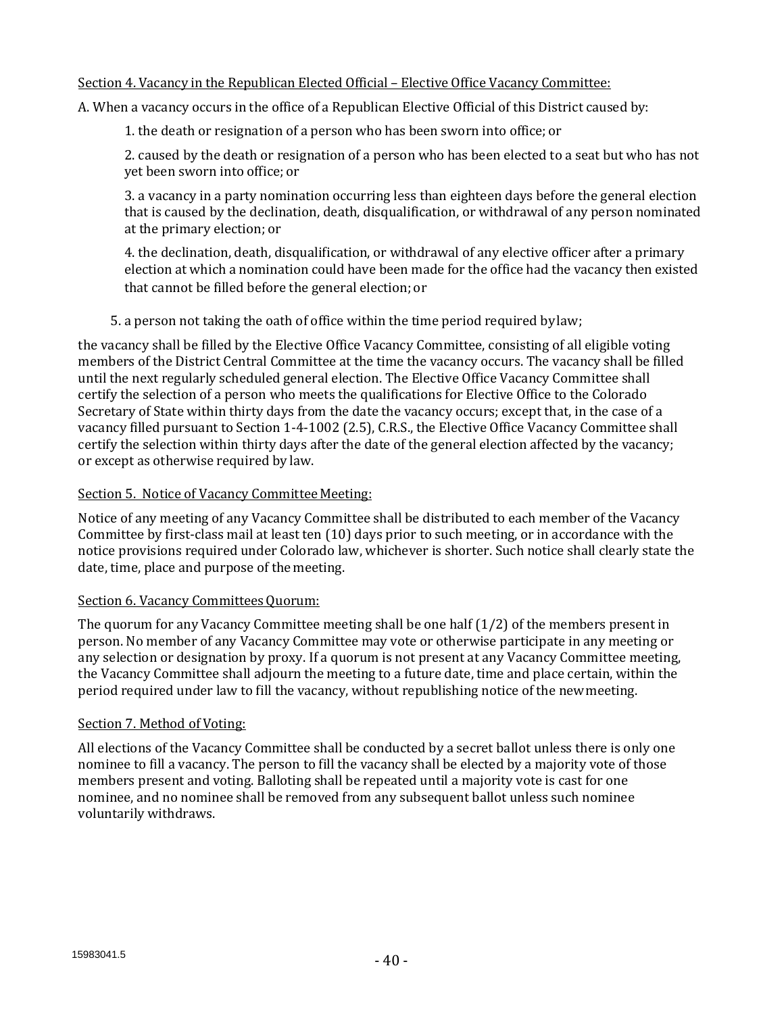## Section 4. Vacancy in the Republican Elected Official – Elective Office Vacancy Committee:

A. When a vacancy occurs in the office of a Republican Elective Official of this District caused by:

1. the death or resignation of a person who has been sworn into office;or

2. caused by the death or resignation of a person who has been elected to a seat but who has not yet been sworn into office; or

3. a vacancy in a party nomination occurring less than eighteen days before the general election that is caused by the declination, death, disqualification, or withdrawal of any person nominated at the primary election; or

4. the declination, death, disqualification, or withdrawal of any elective officer after a primary election at which a nomination could have been made for the office had the vacancy then existed that cannot be filled before the general election; or

5. a person not taking the oath of office within the time period required bylaw;

the vacancy shall be filled by the Elective Office Vacancy Committee, consisting of all eligible voting members of the District Central Committee at the time the vacancy occurs. The vacancy shall be filled until the next regularly scheduled general election. The Elective Office Vacancy Committee shall certify the selection of a person who meets the qualifications for Elective Office to the Colorado Secretary of State within thirty days from the date the vacancy occurs; except that, in the case of a vacancy filled pursuant to Section 1-4-1002 (2.5), C.R.S., the Elective Office Vacancy Committee shall certify the selection within thirty days after the date of the general election affected by the vacancy; or except as otherwise required by law.

## Section 5. Notice of Vacancy Committee Meeting:

Notice of any meeting of any Vacancy Committee shall be distributed to each member of the Vacancy Committee by first-class mail at least ten (10) days prior to such meeting, or in accordance with the notice provisions required under Colorado law, whichever is shorter. Such notice shall clearly state the date, time, place and purpose of the meeting.

#### Section 6. Vacancy Committees Quorum:

The quorum for any Vacancy Committee meeting shall be one half (1/2) of the members present in person. No member of any Vacancy Committee may vote or otherwise participate in any meeting or any selection or designation by proxy. If a quorum is not present at any Vacancy Committee meeting, the Vacancy Committee shall adjourn the meeting to a future date, time and place certain, within the period required under law to fill the vacancy, without republishing notice of the newmeeting.

#### Section 7. Method of Voting:

All elections of the Vacancy Committee shall be conducted by a secret ballot unless there is only one nominee to fill a vacancy. The person to fill the vacancy shall be elected by a majority vote of those members present and voting. Balloting shall be repeated until a majority vote is cast for one nominee, and no nominee shall be removed from any subsequent ballot unless such nominee voluntarily withdraws.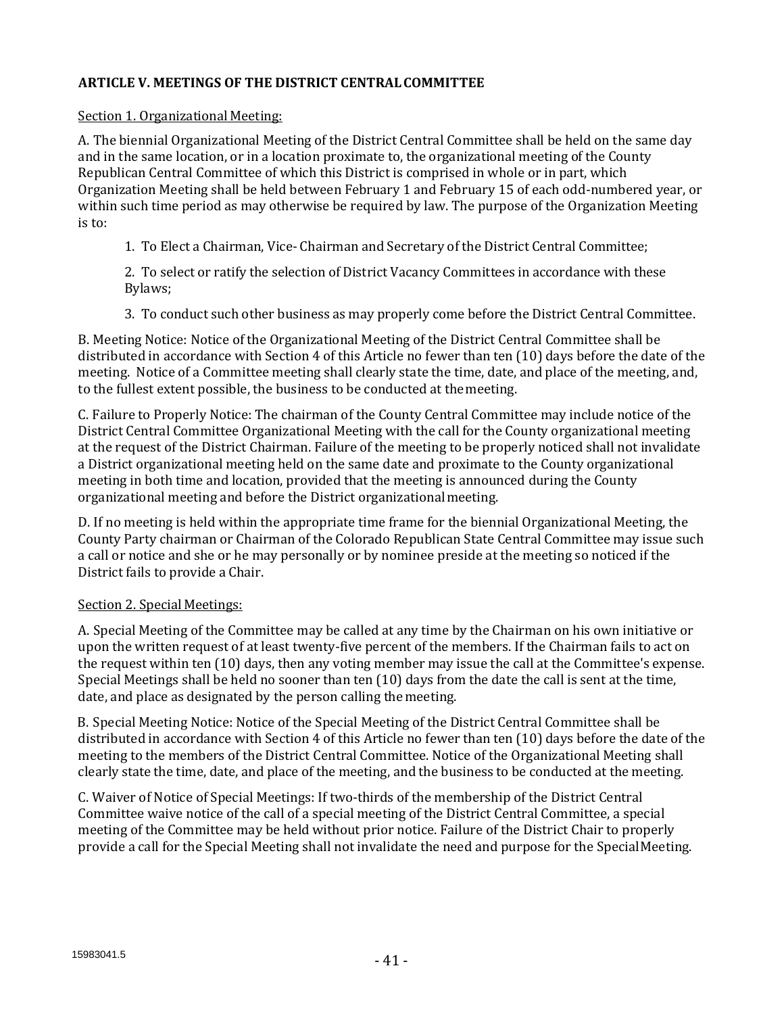## **ARTICLE V. MEETINGS OF THE DISTRICT CENTRALCOMMITTEE**

### Section 1. Organizational Meeting:

A. The biennial Organizational Meeting of the District Central Committee shall be held on the same day and in the same location, or in a location proximate to, the organizational meeting of the County Republican Central Committee of which this District is comprised in whole or in part, which Organization Meeting shall be held between February 1 and February 15 of each odd-numbered year, or within such time period as may otherwise be required by law. The purpose of the Organization Meeting is to:

1. To Elect a Chairman, Vice- Chairman and Secretary of the District Central Committee;

2. To select or ratify the selection of District Vacancy Committees in accordance with these Bylaws;

3. To conduct such other business as may properly come before the District Central Committee.

B. Meeting Notice: Notice of the Organizational Meeting of the District Central Committee shall be distributed in accordance with Section 4 of this Article no fewer than ten (10) days before the date of the meeting. Notice of a Committee meeting shall clearly state the time, date, and place of the meeting, and, to the fullest extent possible, the business to be conducted at themeeting.

C. Failure to Properly Notice: The chairman of the County Central Committee may include notice of the District Central Committee Organizational Meeting with the call for the County organizational meeting at the request of the District Chairman. Failure of the meeting to be properly noticed shall not invalidate a District organizational meeting held on the same date and proximate to the County organizational meeting in both time and location, provided that the meeting is announced during the County organizational meeting and before the District organizationalmeeting.

D. If no meeting is held within the appropriate time frame for the biennial Organizational Meeting, the County Party chairman or Chairman of the Colorado Republican State Central Committee may issue such a call or notice and she or he may personally or by nominee preside at the meeting so noticed if the District fails to provide a Chair.

# Section 2. Special Meetings:

A. Special Meeting of the Committee may be called at any time by the Chairman on his own initiative or upon the written request of at least twenty-five percent of the members. If the Chairman fails to act on the request within ten (10) days, then any voting member may issue the call at the Committee's expense. Special Meetings shall be held no sooner than ten (10) days from the date the call is sent at the time, date, and place as designated by the person calling themeeting.

B. Special Meeting Notice: Notice of the Special Meeting of the District Central Committee shall be distributed in accordance with Section 4 of this Article no fewer than ten (10) days before the date of the meeting to the members of the District Central Committee. Notice of the Organizational Meeting shall clearly state the time, date, and place of the meeting, and the business to be conducted at the meeting.

C. Waiver of Notice of Special Meetings: If two-thirds of the membership of the District Central Committee waive notice of the call of a special meeting of the District Central Committee, a special meeting of the Committee may be held without prior notice. Failure of the District Chair to properly provide a call for the Special Meeting shall not invalidate the need and purpose for the Special Meeting.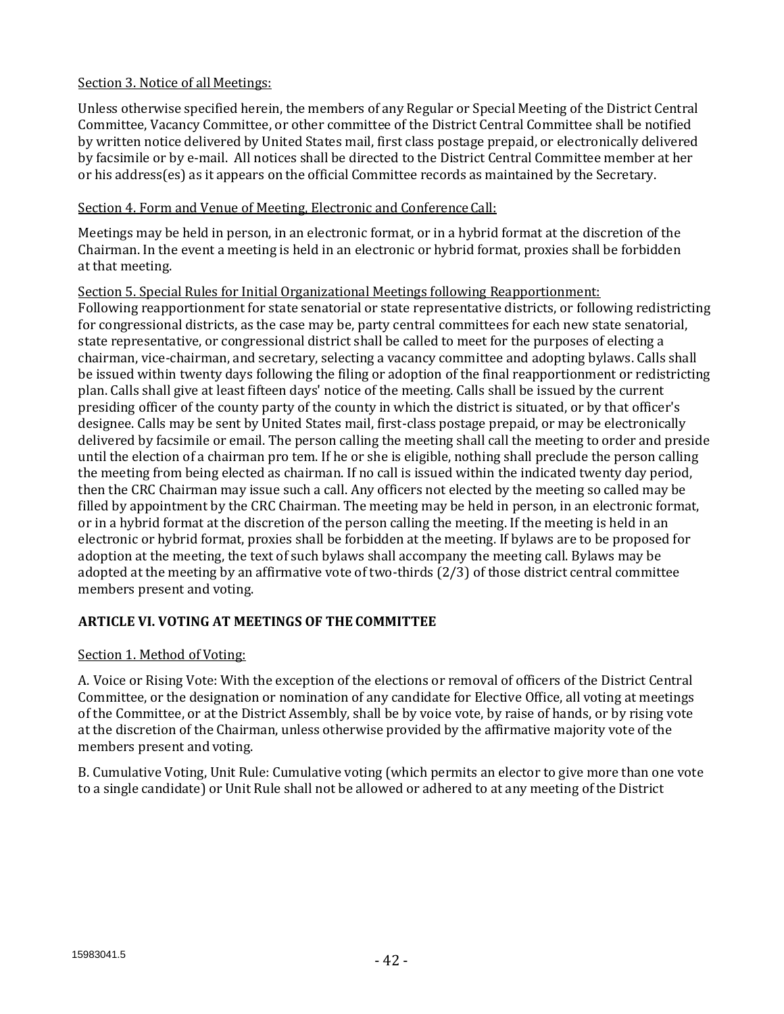# Section 3. Notice of all Meetings:

Unless otherwise specified herein, the members of any Regular or Special Meeting of the District Central Committee, Vacancy Committee, or other committee of the District Central Committee shall be notified by written notice delivered by United States mail, first class postage prepaid, or electronically delivered by facsimile or by e-mail. All notices shall be directed to the District Central Committee member at her or his address(es) as it appears on the official Committee records as maintained by the Secretary.

## Section 4. Form and Venue of Meeting, Electronic and Conference Call:

Meetings may be held in person, in an electronic format, or in a hybrid format at the discretion of the Chairman. In the event a meeting is held in an electronic or hybrid format, proxies shall be forbidden at that meeting.

## Section 5. Special Rules for Initial Organizational Meetings following Reapportionment:

Following reapportionment for state senatorial or state representative districts, or following redistricting for congressional districts, as the case may be, party central committees for each new state senatorial, state representative, or congressional district shall be called to meet for the purposes of electing a chairman, vice-chairman, and secretary, selecting a vacancy committee and adopting bylaws. Calls shall be issued within twenty days following the filing or adoption of the final reapportionment or redistricting plan. Calls shall give at least fifteen days' notice of the meeting. Calls shall be issued by the current presiding officer of the county party of the county in which the district is situated, or by that officer's designee. Calls may be sent by United States mail, first-class postage prepaid, or may be electronically delivered by facsimile or email. The person calling the meeting shall call the meeting to order and preside until the election of a chairman pro tem. If he or she is eligible, nothing shall preclude the person calling the meeting from being elected as chairman. If no call is issued within the indicated twenty day period, then the CRC Chairman may issue such a call. Any officers not elected by the meeting so called may be filled by appointment by the CRC Chairman. The meeting may be held in person, in an electronic format, or in a hybrid format at the discretion of the person calling the meeting. If the meeting is held in an electronic or hybrid format, proxies shall be forbidden at the meeting. If bylaws are to be proposed for adoption at the meeting, the text of such bylaws shall accompany the meeting call. Bylaws may be adopted at the meeting by an affirmative vote of two-thirds (2/3) of those district central committee members present and voting.

# **ARTICLE VI. VOTING AT MEETINGS OF THE COMMITTEE**

# Section 1. Method of Voting:

A. Voice or Rising Vote: With the exception of the elections or removal of officers of the District Central Committee, or the designation or nomination of any candidate for Elective Office, all voting at meetings of the Committee, or at the District Assembly, shall be by voice vote, by raise of hands, or by rising vote at the discretion of the Chairman, unless otherwise provided by the affirmative majority vote of the members present and voting.

B. Cumulative Voting, Unit Rule: Cumulative voting (which permits an elector to give more than one vote to a single candidate) or Unit Rule shall not be allowed or adhered to at any meeting of the District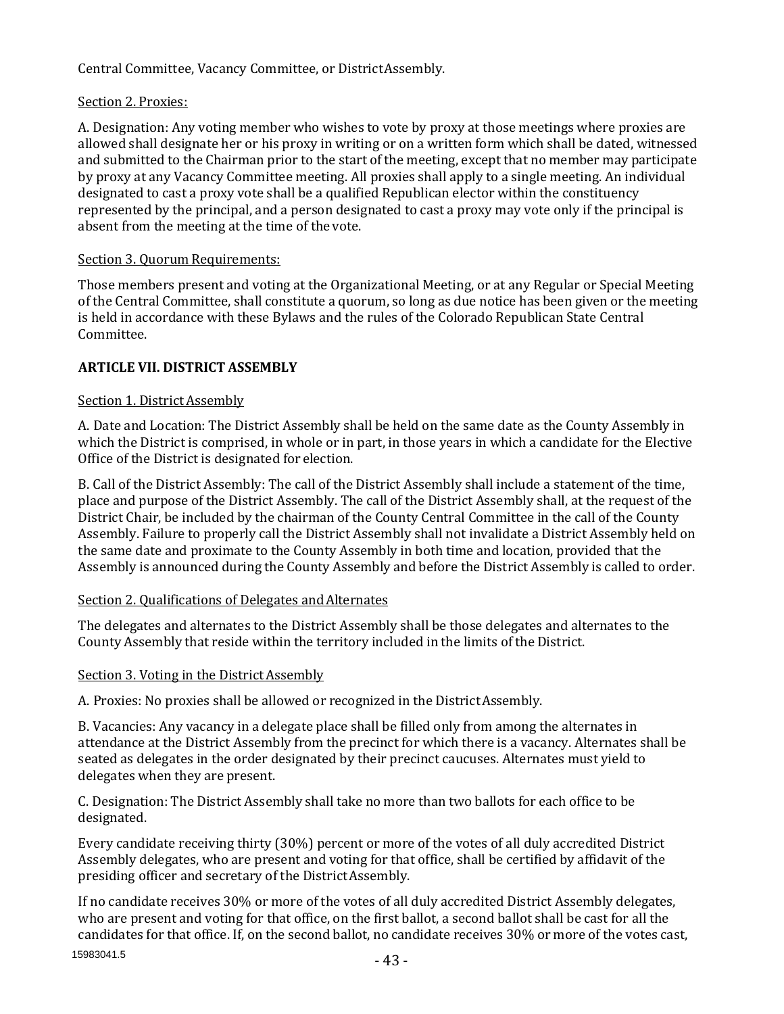Central Committee, Vacancy Committee, or DistrictAssembly.

# Section 2. Proxies:

A. Designation: Any voting member who wishes to vote by proxy at those meetings where proxies are allowed shall designate her or his proxy in writing or on a written form which shall be dated, witnessed and submitted to the Chairman prior to the start of the meeting, except that no member may participate by proxy at any Vacancy Committee meeting. All proxies shall apply to a single meeting. An individual designated to cast a proxy vote shall be a qualified Republican elector within the constituency represented by the principal, and a person designated to cast a proxy may vote only if the principal is absent from the meeting at the time of the vote.

# Section 3. Quorum Requirements:

Those members present and voting at the Organizational Meeting, or at any Regular or Special Meeting of the Central Committee, shall constitute a quorum, so long as due notice has been given or the meeting is held in accordance with these Bylaws and the rules of the Colorado Republican State Central Committee.

# **ARTICLE VII. DISTRICT ASSEMBLY**

# Section 1. District Assembly

A. Date and Location: The District Assembly shall be held on the same date as the County Assembly in which the District is comprised, in whole or in part, in those years in which a candidate for the Elective Office of the District is designated for election.

B. Call of the District Assembly: The call of the District Assembly shall include a statement of the time, place and purpose of the District Assembly. The call of the District Assembly shall, at the request of the District Chair, be included by the chairman of the County Central Committee in the call of the County Assembly. Failure to properly call the District Assembly shall not invalidate a District Assembly held on the same date and proximate to the County Assembly in both time and location, provided that the Assembly is announced during the County Assembly and before the District Assembly is called to order.

# Section 2. Qualifications of Delegates and Alternates

The delegates and alternates to the District Assembly shall be those delegates and alternates to the County Assembly that reside within the territory included in the limits of the District.

# Section 3. Voting in the District Assembly

A. Proxies: No proxies shall be allowed or recognized in the DistrictAssembly.

B. Vacancies: Any vacancy in a delegate place shall be filled only from among the alternates in attendance at the District Assembly from the precinct for which there is a vacancy. Alternates shall be seated as delegates in the order designated by their precinct caucuses. Alternates must yield to delegates when they are present.

C. Designation: The District Assembly shall take no more than two ballots for each office to be designated.

Every candidate receiving thirty (30%) percent or more of the votes of all duly accredited District Assembly delegates, who are present and voting for that office, shall be certified by affidavit of the presiding officer and secretary of the DistrictAssembly.

If no candidate receives 30% or more of the votes of all duly accredited District Assembly delegates, who are present and voting for that office, on the first ballot, a second ballot shall be cast for all the candidates for that office. If, on the second ballot, no candidate receives 30% or more of the votes cast,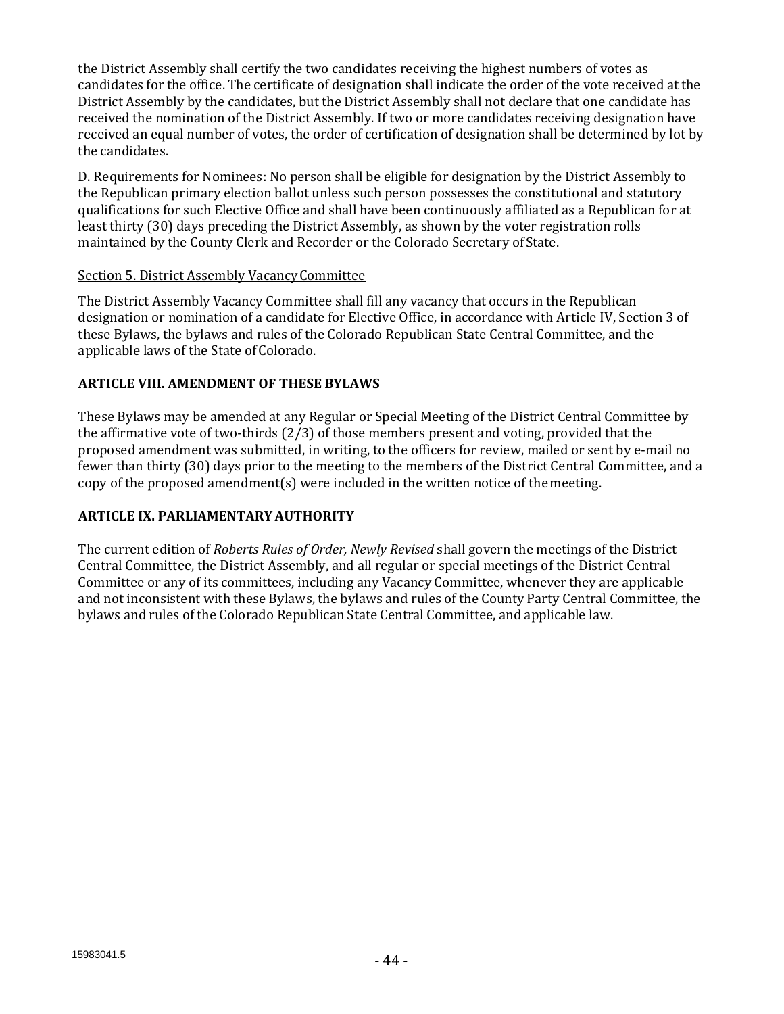the District Assembly shall certify the two candidates receiving the highest numbers of votes as candidates for the office. The certificate of designation shall indicate the order of the vote received at the District Assembly by the candidates, but the District Assembly shall not declare that one candidate has received the nomination of the District Assembly. If two or more candidates receiving designation have received an equal number of votes, the order of certification of designation shall be determined by lot by the candidates.

D. Requirements for Nominees: No person shall be eligible for designation by the District Assembly to the Republican primary election ballot unless such person possesses the constitutional and statutory qualifications for such Elective Office and shall have been continuously affiliated as a Republican for at least thirty (30) days preceding the District Assembly, as shown by the voter registration rolls maintained by the County Clerk and Recorder or the Colorado Secretary ofState.

## Section 5. District Assembly VacancyCommittee

The District Assembly Vacancy Committee shall fill any vacancy that occurs in the Republican designation or nomination of a candidate for Elective Office, in accordance with Article IV, Section 3 of these Bylaws, the bylaws and rules of the Colorado Republican State Central Committee, and the applicable laws of the State of Colorado.

## **ARTICLE VIII. AMENDMENT OF THESE BYLAWS**

These Bylaws may be amended at any Regular or Special Meeting of the District Central Committee by the affirmative vote of two-thirds  $(2/3)$  of those members present and voting, provided that the proposed amendment was submitted, in writing, to the officers for review, mailed or sent by e-mail no fewer than thirty (30) days prior to the meeting to the members of the District Central Committee, and a copy of the proposed amendment(s) were included in the written notice of themeeting.

# **ARTICLE IX. PARLIAMENTARY AUTHORITY**

The current edition of *Roberts Rules of Order, Newly Revised* shall govern the meetings of the District Central Committee, the District Assembly, and all regular or special meetings of the District Central Committee or any of its committees, including any Vacancy Committee, whenever they are applicable and not inconsistent with these Bylaws, the bylaws and rules of the County Party Central Committee, the bylaws and rules of the Colorado Republican State Central Committee, and applicable law.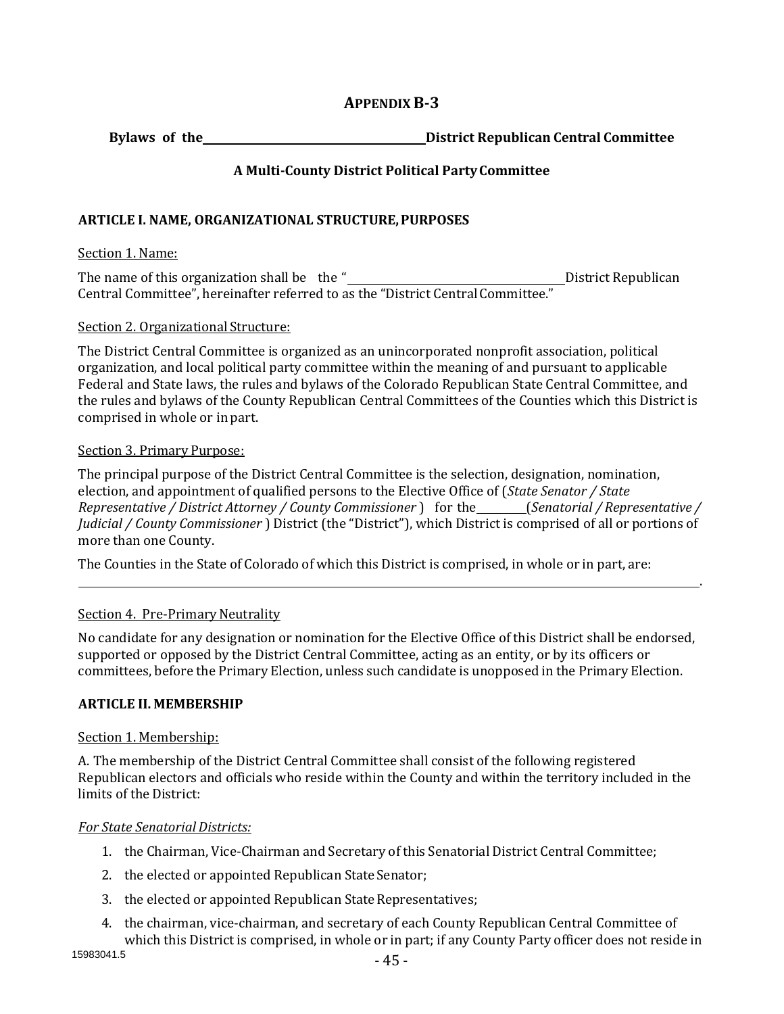# **APPENDIXB-3**

**Bylaws of the District Republican Central Committee** 

# **A Multi-County District Political PartyCommittee**

## **ARTICLE I. NAME, ORGANIZATIONAL STRUCTURE,PURPOSES**

#### Section 1. Name:

The name of this organization shall be the " District Republican Central Committee", hereinafter referred to as the "District Central Committee."

#### Section 2. Organizational Structure:

The District Central Committee is organized as an unincorporated nonprofit association, political organization, and local political party committee within the meaning of and pursuant to applicable Federal and State laws, the rules and bylaws of the Colorado Republican State Central Committee, and the rules and bylaws of the County Republican Central Committees of the Counties which this District is comprised in whole or in part.

#### Section 3. Primary Purpose:

The principal purpose of the District Central Committee is the selection, designation, nomination, election, and appointment of qualified persons to the Elective Office of (*State Senator / State Representative / District Attorney / County Commissioner* ) for the (*Senatorial / Representative / Judicial / County Commissioner* ) District (the "District"), which District is comprised of all or portions of more than one County.

.

The Counties in the State of Colorado of which this District is comprised, in whole or in part, are:

#### Section 4. Pre-Primary Neutrality

No candidate for any designation or nomination for the Elective Office of this District shall be endorsed, supported or opposed by the District Central Committee, acting as an entity, or by its officers or committees, before the Primary Election, unless such candidate is unopposed in the Primary Election.

# **ARTICLE II. MEMBERSHIP**

#### Section 1. Membership:

A. The membership of the District Central Committee shall consist of the following registered Republican electors and officials who reside within the County and within the territory included in the limits of the District:

#### *For State Senatorial Districts:*

- 1. the Chairman, Vice-Chairman and Secretary of this Senatorial District Central Committee;
- 2. the elected or appointed Republican State Senator;
- 3. the elected or appointed Republican State Representatives;
- 4. the chairman, vice-chairman, and secretary of each County Republican Central Committee of which this District is comprised, in whole or in part; if any County Party officer does not reside in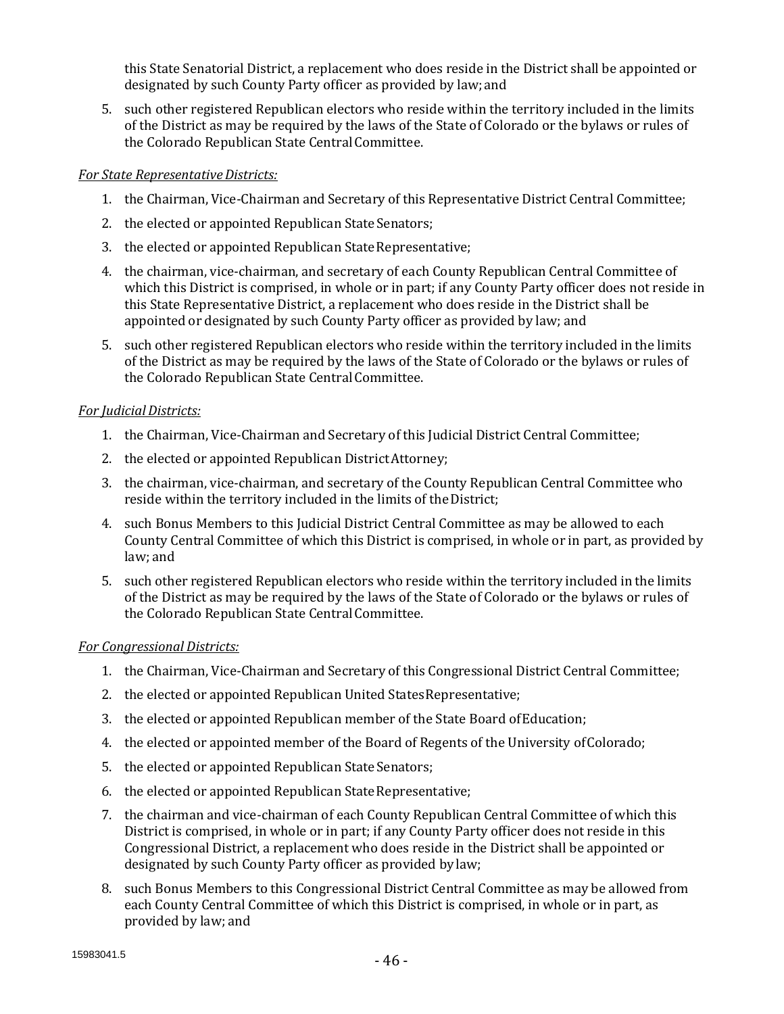this State Senatorial District, a replacement who does reside in the District shall be appointed or designated by such County Party officer as provided by law;and

5. such other registered Republican electors who reside within the territory included in the limits of the District as may be required by the laws of the State of Colorado or the bylaws or rules of the Colorado Republican State Central Committee.

## *For State Representative Districts:*

- 1. the Chairman, Vice-Chairman and Secretary of this Representative District Central Committee;
- 2. the elected or appointed Republican State Senators;
- 3. the elected or appointed Republican State Representative;
- 4. the chairman, vice-chairman, and secretary of each County Republican Central Committee of which this District is comprised, in whole or in part; if any County Party officer does not reside in this State Representative District, a replacement who does reside in the District shall be appointed or designated by such County Party officer as provided by law; and
- 5. such other registered Republican electors who reside within the territory included in the limits of the District as may be required by the laws of the State of Colorado or the bylaws or rules of the Colorado Republican State Central Committee.

# *For JudicialDistricts:*

- 1. the Chairman, Vice-Chairman and Secretary of this Judicial District Central Committee;
- 2. the elected or appointed Republican DistrictAttorney;
- 3. the chairman, vice-chairman, and secretary of the County Republican Central Committee who reside within the territory included in the limits of the District;
- 4. such Bonus Members to this Judicial District Central Committee as may be allowed to each County Central Committee of which this District is comprised, in whole or in part, as provided by law; and
- 5. such other registered Republican electors who reside within the territory included in the limits of the District as may be required by the laws of the State of Colorado or the bylaws or rules of the Colorado Republican State Central Committee.

#### *For Congressional Districts:*

- 1. the Chairman, Vice-Chairman and Secretary of this Congressional District Central Committee;
- 2. the elected or appointed Republican United StatesRepresentative;
- 3. the elected or appointed Republican member of the State Board ofEducation;
- 4. the elected or appointed member of the Board of Regents of the University ofColorado;
- 5. the elected or appointed Republican State Senators;
- 6. the elected or appointed Republican StateRepresentative;
- 7. the chairman and vice-chairman of each County Republican Central Committee of which this District is comprised, in whole or in part; if any County Party officer does not reside in this Congressional District, a replacement who does reside in the District shall be appointed or designated by such County Party officer as provided by law;
- 8. such Bonus Members to this Congressional District Central Committee as may be allowed from each County Central Committee of which this District is comprised, in whole or in part, as provided by law; and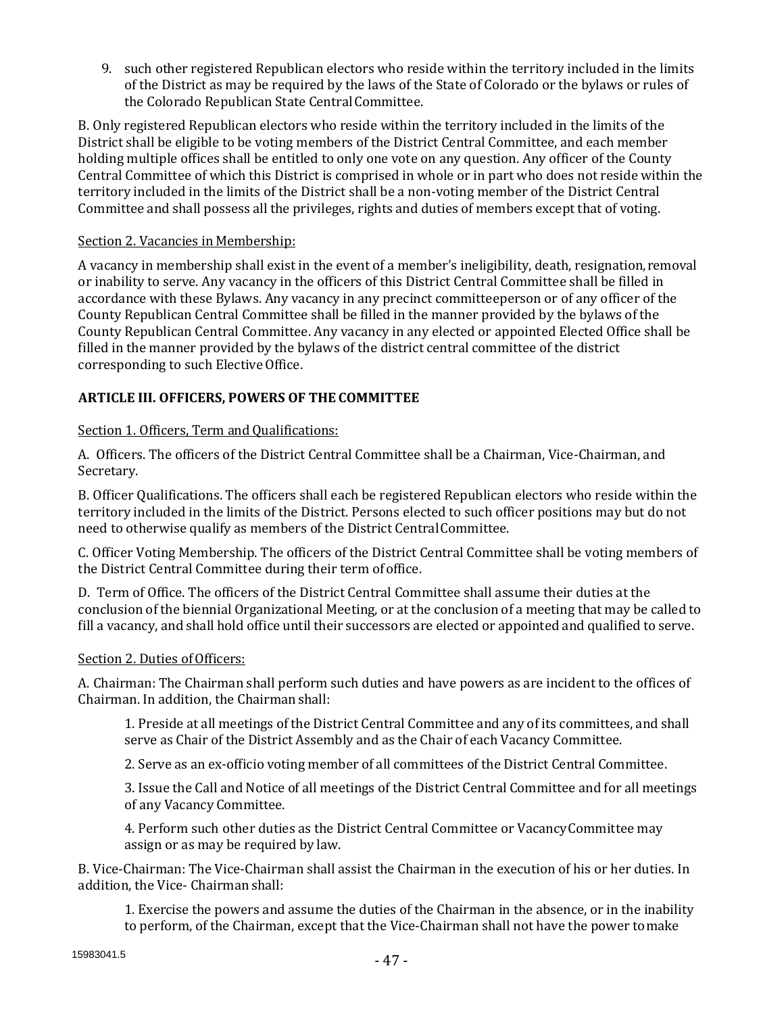9. such other registered Republican electors who reside within the territory included in the limits of the District as may be required by the laws of the State of Colorado or the bylaws or rules of the Colorado Republican State Central Committee.

B. Only registered Republican electors who reside within the territory included in the limits of the District shall be eligible to be voting members of the District Central Committee, and each member holding multiple offices shall be entitled to only one vote on any question. Any officer of the County Central Committee of which this District is comprised in whole or in part who does not reside within the territory included in the limits of the District shall be a non-voting member of the District Central Committee and shall possess all the privileges, rights and duties of members except that of voting.

## Section 2. Vacancies in Membership:

A vacancy in membership shall exist in the event of a member's ineligibility, death, resignation,removal or inability to serve. Any vacancy in the officers of this District Central Committee shall be filled in accordance with these Bylaws. Any vacancy in any precinct committeeperson or of any officer of the County Republican Central Committee shall be filled in the manner provided by the bylaws of the County Republican Central Committee. Any vacancy in any elected or appointed Elected Office shall be filled in the manner provided by the bylaws of the district central committee of the district corresponding to such Elective Office.

# **ARTICLE III. OFFICERS, POWERS OF THE COMMITTEE**

# Section 1. Officers, Term and Qualifications:

A. Officers. The officers of the District Central Committee shall be a Chairman, Vice-Chairman, and Secretary.

B. Officer Qualifications. The officers shall each be registered Republican electors who reside within the territory included in the limits of the District. Persons elected to such officer positions may but do not need to otherwise qualify as members of the District CentralCommittee.

C. Officer Voting Membership. The officers of the District Central Committee shall be voting members of the District Central Committee during their term ofoffice.

D. Term of Office. The officers of the District Central Committee shall assume their duties at the conclusion of the biennial Organizational Meeting, or at the conclusion of a meeting that may be called to fill a vacancy, and shall hold office until their successors are elected or appointed and qualified to serve.

#### Section 2. Duties of Officers:

A. Chairman: The Chairman shall perform such duties and have powers as are incident to the offices of Chairman. In addition, the Chairmanshall:

1. Preside at all meetings of the District Central Committee and any of its committees, and shall serve as Chair of the District Assembly and as the Chair of each Vacancy Committee.

2. Serve as an ex-officio voting member of all committees of the District Central Committee.

3. Issue the Call and Notice of all meetings of the District Central Committee and for all meetings of any Vacancy Committee.

4. Perform such other duties as the District Central Committee or VacancyCommittee may assign or as may be required by law.

B. Vice-Chairman: The Vice-Chairman shall assist the Chairman in the execution of his or her duties. In addition, the Vice- Chairman shall:

1. Exercise the powers and assume the duties of the Chairman in the absence, or in the inability to perform, of the Chairman, except that the Vice-Chairman shall not have the power tomake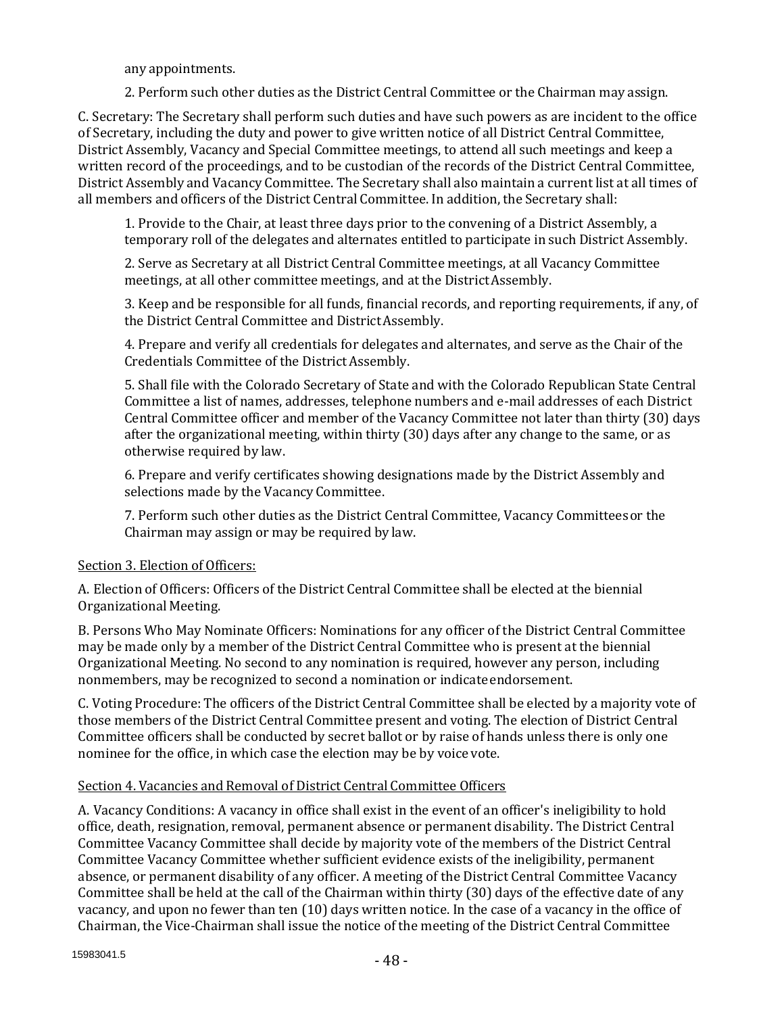any appointments.

2. Perform such other duties as the District Central Committee or the Chairman may assign.

C. Secretary: The Secretary shall perform such duties and have such powers as are incident to the office of Secretary, including the duty and power to give written notice of all District Central Committee, District Assembly, Vacancy and Special Committee meetings, to attend all such meetings and keep a written record of the proceedings, and to be custodian of the records of the District Central Committee, District Assembly and Vacancy Committee. The Secretary shall also maintain a current list at all times of all members and officers of the District Central Committee. In addition, the Secretary shall:

1. Provide to the Chair, at least three days prior to the convening of a District Assembly, a temporary roll of the delegates and alternates entitled to participate in such District Assembly.

2. Serve as Secretary at all District Central Committee meetings, at all Vacancy Committee meetings, at all other committee meetings, and at the DistrictAssembly.

3. Keep and be responsible for all funds, financial records, and reporting requirements, if any, of the District Central Committee and DistrictAssembly.

4. Prepare and verify all credentials for delegates and alternates, and serve as the Chair of the Credentials Committee of the DistrictAssembly.

5. Shall file with the Colorado Secretary of State and with the Colorado Republican State Central Committee a list of names, addresses, telephone numbers and e-mail addresses of each District Central Committee officer and member of the Vacancy Committee not later than thirty (30) days after the organizational meeting, within thirty (30) days after any change to the same, or as otherwise required by law.

6. Prepare and verify certificates showing designations made by the District Assembly and selections made by the Vacancy Committee.

7. Perform such other duties as the District Central Committee, Vacancy Committeesor the Chairman may assign or may be required by law.

# Section 3. Election of Officers:

A. Election of Officers: Officers of the District Central Committee shall be elected at the biennial Organizational Meeting.

B. Persons Who May Nominate Officers: Nominations for any officer of the District Central Committee may be made only by a member of the District Central Committee who is present at the biennial Organizational Meeting. No second to any nomination is required, however any person, including nonmembers, may be recognized to second a nomination or indicate endorsement.

C. Voting Procedure: The officers of the District Central Committee shall be elected by a majority vote of those members of the District Central Committee present and voting. The election of District Central Committee officers shall be conducted by secret ballot or by raise of hands unless there is only one nominee for the office, in which case the election may be by voice vote.

# Section 4. Vacancies and Removal of District Central Committee Officers

A. Vacancy Conditions: A vacancy in office shall exist in the event of an officer's ineligibility to hold office, death, resignation, removal, permanent absence or permanent disability. The District Central Committee Vacancy Committee shall decide by majority vote of the members of the District Central Committee Vacancy Committee whether sufficient evidence exists of the ineligibility, permanent absence, or permanent disability of any officer. A meeting of the District Central Committee Vacancy Committee shall be held at the call of the Chairman within thirty (30) days of the effective date of any vacancy, and upon no fewer than ten (10) days written notice. In the case of a vacancy in the office of Chairman, the Vice-Chairman shall issue the notice of the meeting of the District Central Committee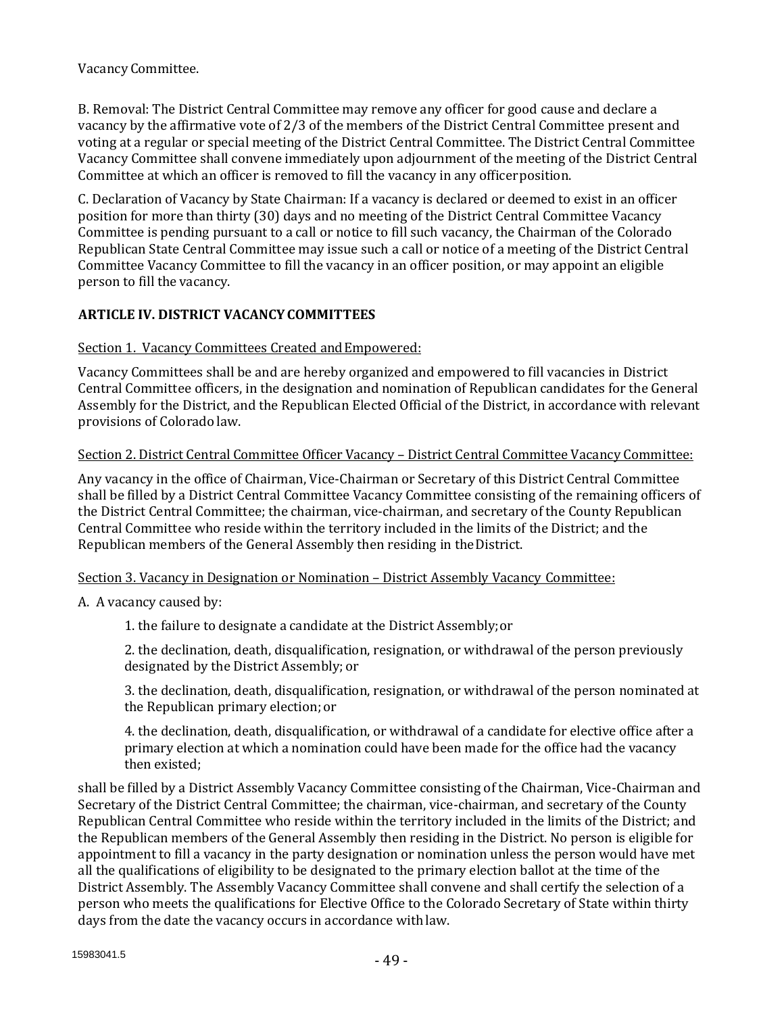Vacancy Committee.

B. Removal: The District Central Committee may remove any officer for good cause and declare a vacancy by the affirmative vote of 2/3 of the members of the District Central Committee present and voting at a regular or special meeting of the District Central Committee. The District Central Committee Vacancy Committee shall convene immediately upon adjournment of the meeting of the District Central Committee at which an officer is removed to fill the vacancy in any officer position.

C. Declaration of Vacancy by State Chairman: If a vacancy is declared or deemed to exist in an officer position for more than thirty (30) days and no meeting of the District Central Committee Vacancy Committee is pending pursuant to a call or notice to fill such vacancy, the Chairman of the Colorado Republican State Central Committee may issue such a call or notice of a meeting of the District Central Committee Vacancy Committee to fill the vacancy in an officer position, or may appoint an eligible person to fill the vacancy.

# **ARTICLE IV. DISTRICT VACANCYCOMMITTEES**

#### Section 1. Vacancy Committees Created and Empowered:

Vacancy Committees shall be and are hereby organized and empowered to fill vacancies in District Central Committee officers, in the designation and nomination of Republican candidates for the General Assembly for the District, and the Republican Elected Official of the District, in accordance with relevant provisions of Colorado law.

#### Section 2. District Central Committee Officer Vacancy – District Central Committee Vacancy Committee:

Any vacancy in the office of Chairman, Vice-Chairman or Secretary of this District Central Committee shall be filled by a District Central Committee Vacancy Committee consisting of the remaining officers of the District Central Committee; the chairman, vice-chairman, and secretary of the County Republican Central Committee who reside within the territory included in the limits of the District; and the Republican members of the General Assembly then residing in theDistrict.

#### Section 3. Vacancy in Designation or Nomination – District Assembly Vacancy Committee:

A. A vacancy caused by:

1. the failure to designate a candidate at the District Assembly;or

2. the declination, death, disqualification, resignation, or withdrawal of the person previously designated by the District Assembly; or

3. the declination, death, disqualification, resignation, or withdrawal of the person nominated at the Republican primary election; or

4. the declination, death, disqualification, or withdrawal of a candidate for elective office after a primary election at which a nomination could have been made for the office had the vacancy then existed;

shall be filled by a District Assembly Vacancy Committee consisting of the Chairman, Vice-Chairman and Secretary of the District Central Committee; the chairman, vice-chairman, and secretary of the County Republican Central Committee who reside within the territory included in the limits of the District; and the Republican members of the General Assembly then residing in the District. No person is eligible for appointment to fill a vacancy in the party designation or nomination unless the person would have met all the qualifications of eligibility to be designated to the primary election ballot at the time of the District Assembly. The Assembly Vacancy Committee shall convene and shall certify the selection of a person who meets the qualifications for Elective Office to the Colorado Secretary of State within thirty days from the date the vacancy occurs in accordance withlaw.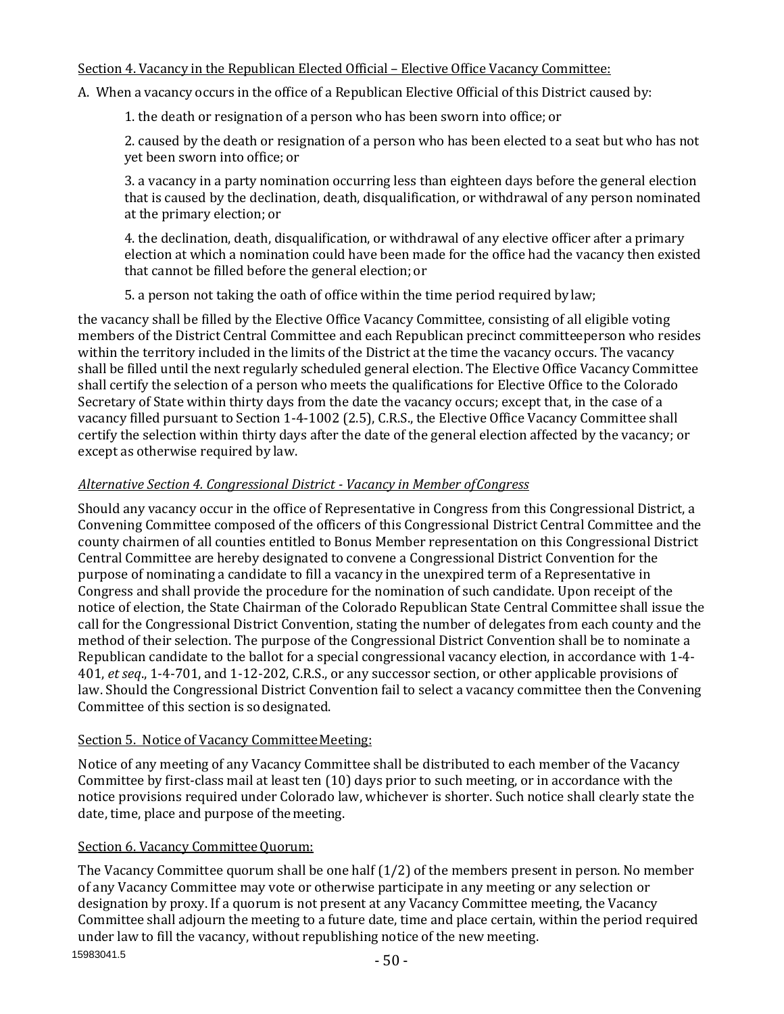# Section 4. Vacancy in the Republican Elected Official – Elective Office Vacancy Committee:

A. When a vacancy occurs in the office of a Republican Elective Official of this District caused by:

1. the death or resignation of a person who has been sworn into office; or

2. caused by the death or resignation of a person who has been elected to a seat but who has not yet been sworn into office; or

3. a vacancy in a party nomination occurring less than eighteen days before the general election that is caused by the declination, death, disqualification, or withdrawal of any person nominated at the primary election; or

4. the declination, death, disqualification, or withdrawal of any elective officer after a primary election at which a nomination could have been made for the office had the vacancy then existed that cannot be filled before the general election; or

5. a person not taking the oath of office within the time period required bylaw;

the vacancy shall be filled by the Elective Office Vacancy Committee, consisting of all eligible voting members of the District Central Committee and each Republican precinct committeeperson who resides within the territory included in the limits of the District at the time the vacancy occurs. The vacancy shall be filled until the next regularly scheduled general election. The Elective Office Vacancy Committee shall certify the selection of a person who meets the qualifications for Elective Office to the Colorado Secretary of State within thirty days from the date the vacancy occurs; except that, in the case of a vacancy filled pursuant to Section 1-4-1002 (2.5), C.R.S., the Elective Office Vacancy Committee shall certify the selection within thirty days after the date of the general election affected by the vacancy; or except as otherwise required by law.

# *Alternative Section 4. Congressional District - Vacancy in Member ofCongress*

Should any vacancy occur in the office of Representative in Congress from this Congressional District, a Convening Committee composed of the officers of this Congressional District Central Committee and the county chairmen of all counties entitled to Bonus Member representation on this Congressional District Central Committee are hereby designated to convene a Congressional District Convention for the purpose of nominating a candidate to fill a vacancy in the unexpired term of a Representative in Congress and shall provide the procedure for the nomination of such candidate. Upon receipt of the notice of election, the State Chairman of the Colorado Republican State Central Committee shall issue the call for the Congressional District Convention, stating the number of delegates from each county and the method of their selection. The purpose of the Congressional District Convention shall be to nominate a Republican candidate to the ballot for a special congressional vacancy election, in accordance with 1-4- 401, *et seq*., 1-4-701, and 1-12-202, C.R.S., or any successor section, or other applicable provisions of law. Should the Congressional District Convention fail to select a vacancy committee then the Convening Committee of this section is sodesignated.

# Section 5. Notice of Vacancy Committee Meeting:

Notice of any meeting of any Vacancy Committee shall be distributed to each member of the Vacancy Committee by first-class mail at least ten (10) days prior to such meeting, or in accordance with the notice provisions required under Colorado law, whichever is shorter. Such notice shall clearly state the date, time, place and purpose of themeeting.

# Section 6. Vacancy Committee Quorum:

15983041.5 The Vacancy Committee quorum shall be one half (1/2) of the members present in person. No member of any Vacancy Committee may vote or otherwise participate in any meeting or any selection or designation by proxy. If a quorum is not present at any Vacancy Committee meeting, the Vacancy Committee shall adjourn the meeting to a future date, time and place certain, within the period required under law to fill the vacancy, without republishing notice of the new meeting.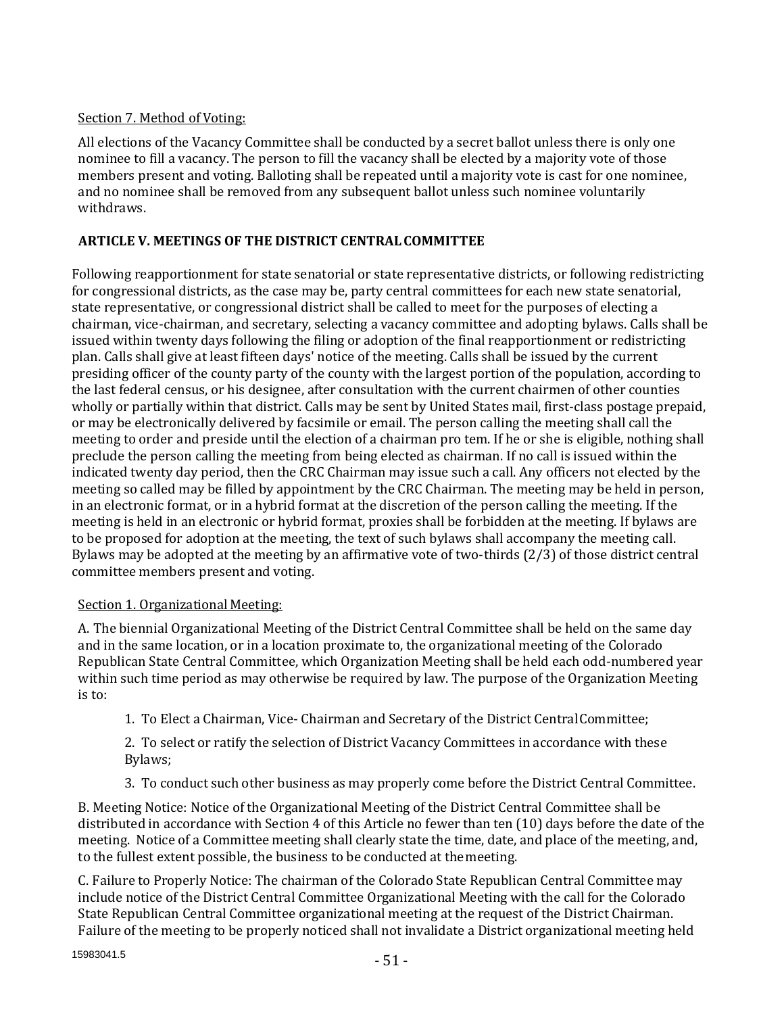# Section 7. Method of Voting:

All elections of the Vacancy Committee shall be conducted by a secret ballot unless there is only one nominee to fill a vacancy. The person to fill the vacancy shall be elected by a majority vote of those members present and voting. Balloting shall be repeated until a majority vote is cast for one nominee, and no nominee shall be removed from any subsequent ballot unless such nominee voluntarily withdraws.

# **ARTICLE V. MEETINGS OF THE DISTRICT CENTRALCOMMITTEE**

Following reapportionment for state senatorial or state representative districts, or following redistricting for congressional districts, as the case may be, party central committees for each new state senatorial, state representative, or congressional district shall be called to meet for the purposes of electing a chairman, vice-chairman, and secretary, selecting a vacancy committee and adopting bylaws. Calls shall be issued within twenty days following the filing or adoption of the final reapportionment or redistricting plan. Calls shall give at least fifteen days' notice of the meeting. Calls shall be issued by the current presiding officer of the county party of the county with the largest portion of the population, according to the last federal census, or his designee, after consultation with the current chairmen of other counties wholly or partially within that district. Calls may be sent by United States mail, first-class postage prepaid, or may be electronically delivered by facsimile or email. The person calling the meeting shall call the meeting to order and preside until the election of a chairman pro tem. If he or she is eligible, nothing shall preclude the person calling the meeting from being elected as chairman. If no call is issued within the indicated twenty day period, then the CRC Chairman may issue such a call. Any officers not elected by the meeting so called may be filled by appointment by the CRC Chairman. The meeting may be held in person, in an electronic format, or in a hybrid format at the discretion of the person calling the meeting. If the meeting is held in an electronic or hybrid format, proxies shall be forbidden at the meeting. If bylaws are to be proposed for adoption at the meeting, the text of such bylaws shall accompany the meeting call. Bylaws may be adopted at the meeting by an affirmative vote of two-thirds (2/3) of those district central committee members present and voting.

# Section 1. Organizational Meeting:

A. The biennial Organizational Meeting of the District Central Committee shall be held on the same day and in the same location, or in a location proximate to, the organizational meeting of the Colorado Republican State Central Committee, which Organization Meeting shall be held each odd-numbered year within such time period as may otherwise be required by law. The purpose of the Organization Meeting is to:

1. To Elect a Chairman, Vice- Chairman and Secretary of the District CentralCommittee;

2. To select or ratify the selection of District Vacancy Committees in accordance with these Bylaws;

3. To conduct such other business as may properly come before the District Central Committee.

B. Meeting Notice: Notice of the Organizational Meeting of the District Central Committee shall be distributed in accordance with Section 4 of this Article no fewer than ten (10) days before the date of the meeting. Notice of a Committee meeting shall clearly state the time, date, and place of the meeting, and, to the fullest extent possible, the business to be conducted at themeeting.

C. Failure to Properly Notice: The chairman of the Colorado State Republican Central Committee may include notice of the District Central Committee Organizational Meeting with the call for the Colorado State Republican Central Committee organizational meeting at the request of the District Chairman. Failure of the meeting to be properly noticed shall not invalidate a District organizational meeting held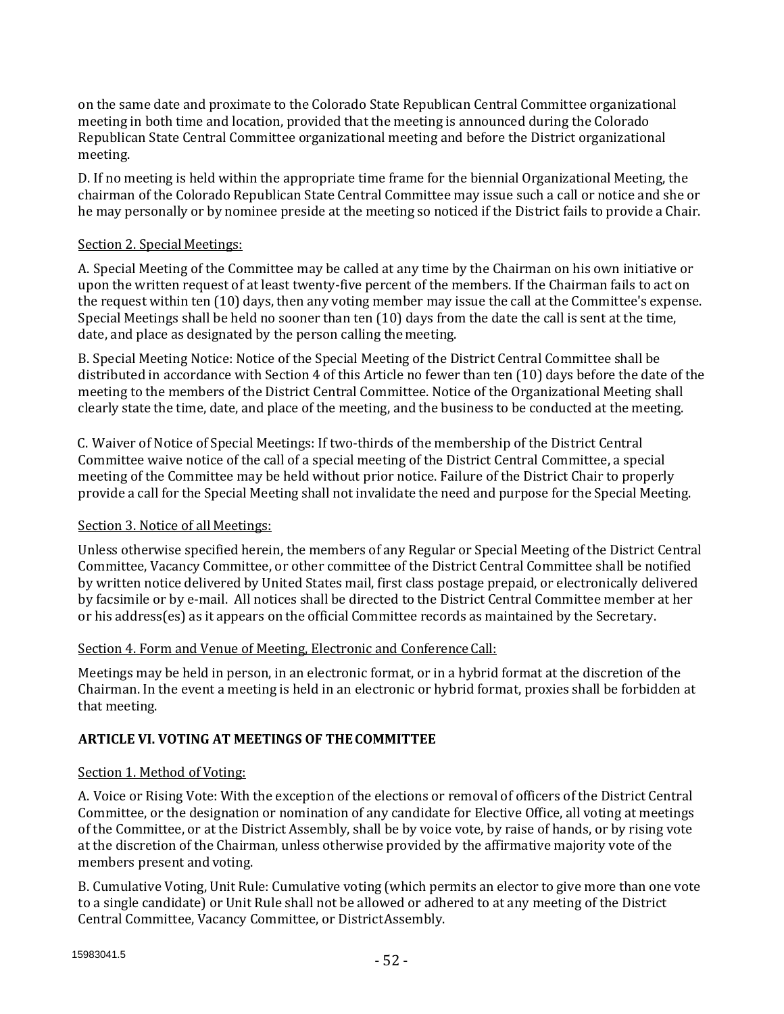on the same date and proximate to the Colorado State Republican Central Committee organizational meeting in both time and location, provided that the meeting is announced during the Colorado Republican State Central Committee organizational meeting and before the District organizational meeting.

D. If no meeting is held within the appropriate time frame for the biennial Organizational Meeting, the chairman of the Colorado Republican State Central Committee may issue such a call or notice and she or he may personally or by nominee preside at the meeting so noticed if the District fails to provide a Chair.

### Section 2. Special Meetings:

A. Special Meeting of the Committee may be called at any time by the Chairman on his own initiative or upon the written request of at least twenty-five percent of the members. If the Chairman fails to act on the request within ten (10) days, then any voting member may issue the call at the Committee's expense. Special Meetings shall be held no sooner than ten (10) days from the date the call is sent at the time, date, and place as designated by the person calling themeeting.

B. Special Meeting Notice: Notice of the Special Meeting of the District Central Committee shall be distributed in accordance with Section 4 of this Article no fewer than ten (10) days before the date of the meeting to the members of the District Central Committee. Notice of the Organizational Meeting shall clearly state the time, date, and place of the meeting, and the business to be conducted at the meeting.

C. Waiver of Notice of Special Meetings: If two-thirds of the membership of the District Central Committee waive notice of the call of a special meeting of the District Central Committee, a special meeting of the Committee may be held without prior notice. Failure of the District Chair to properly provide a call for the Special Meeting shall not invalidate the need and purpose for the Special Meeting.

# Section 3. Notice of all Meetings:

Unless otherwise specified herein, the members of any Regular or Special Meeting of the District Central Committee, Vacancy Committee, or other committee of the District Central Committee shall be notified by written notice delivered by United States mail, first class postage prepaid, or electronically delivered by facsimile or by e-mail. All notices shall be directed to the District Central Committee member at her or his address(es) as it appears on the official Committee records as maintained by the Secretary.

# Section 4. Form and Venue of Meeting, Electronic and Conference Call:

Meetings may be held in person, in an electronic format, or in a hybrid format at the discretion of the Chairman. In the event a meeting is held in an electronic or hybrid format, proxies shall be forbidden at that meeting.

# **ARTICLE VI. VOTING AT MEETINGS OF THECOMMITTEE**

# Section 1. Method of Voting:

A. Voice or Rising Vote: With the exception of the elections or removal of officers of the District Central Committee, or the designation or nomination of any candidate for Elective Office, all voting at meetings of the Committee, or at the District Assembly, shall be by voice vote, by raise of hands, or by rising vote at the discretion of the Chairman, unless otherwise provided by the affirmative majority vote of the members present and voting.

B. Cumulative Voting, Unit Rule: Cumulative voting (which permits an elector to give more than one vote to a single candidate) or Unit Rule shall not be allowed or adhered to at any meeting of the District Central Committee, Vacancy Committee, or DistrictAssembly.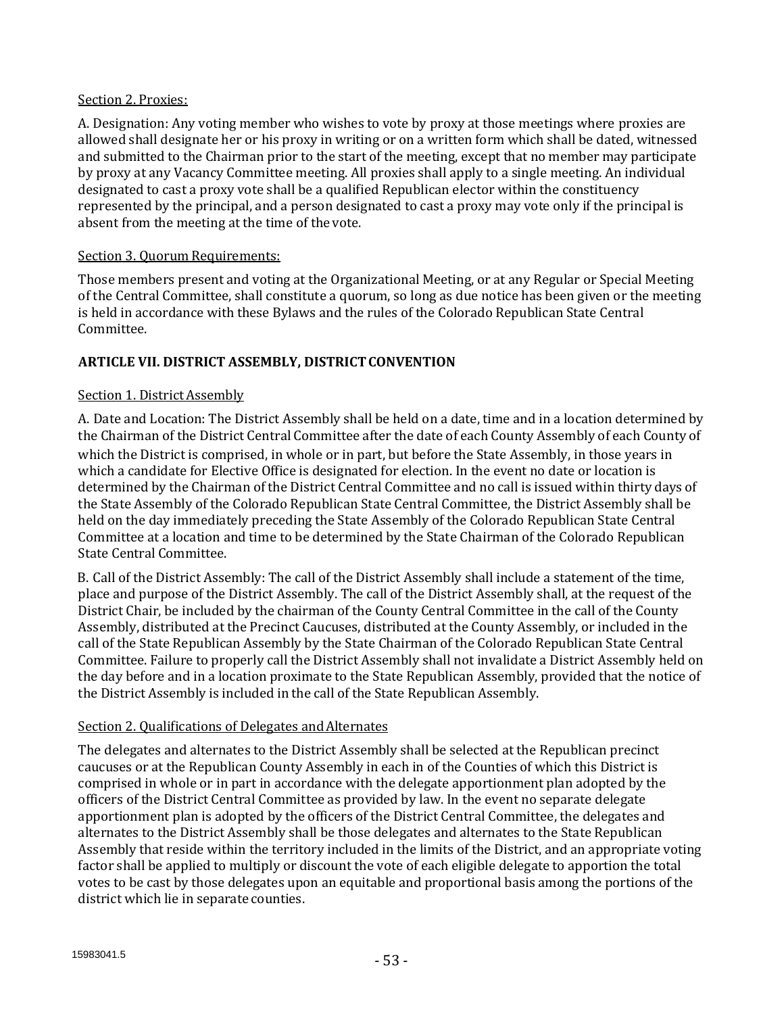#### Section 2. Proxies:

A. Designation: Any voting member who wishes to vote by proxy at those meetings where proxies are allowed shall designate her or his proxy in writing or on a written form which shall be dated, witnessed and submitted to the Chairman prior to the start of the meeting, except that no member may participate by proxy at any Vacancy Committee meeting. All proxies shall apply to a single meeting. An individual designated to cast a proxy vote shall be a qualified Republican elector within the constituency represented by the principal, and a person designated to cast a proxy may vote only if the principal is absent from the meeting at the time of the vote.

# Section 3. Ouorum Requirements:

Those members present and voting at the Organizational Meeting, or at any Regular or Special Meeting of the Central Committee, shall constitute a quorum, so long as due notice has been given or the meeting is held in accordance with these Bylaws and the rules of the Colorado Republican State Central Committee.

# **ARTICLE VII. DISTRICT ASSEMBLY, DISTRICTCONVENTION**

# Section 1. District Assembly

A. Date and Location: The District Assembly shall be held on a date, time and in a location determined by the Chairman of the District Central Committee after the date of each County Assembly of each County of which the District is comprised, in whole or in part, but before the State Assembly, in those years in which a candidate for Elective Office is designated for election. In the event no date or location is determined by the Chairman of the District Central Committee and no call is issued within thirty days of the State Assembly of the Colorado Republican State Central Committee, the District Assembly shall be held on the day immediately preceding the State Assembly of the Colorado Republican State Central Committee at a location and time to be determined by the State Chairman of the Colorado Republican State Central Committee.

B. Call of the District Assembly: The call of the District Assembly shall include a statement of the time, place and purpose of the District Assembly. The call of the District Assembly shall, at the request of the District Chair, be included by the chairman of the County Central Committee in the call of the County Assembly, distributed at the Precinct Caucuses, distributed at the County Assembly, or included in the call of the State Republican Assembly by the State Chairman of the Colorado Republican State Central Committee. Failure to properly call the District Assembly shall not invalidate a District Assembly held on the day before and in a location proximate to the State Republican Assembly, provided that the notice of the District Assembly is included in the call of the State Republican Assembly.

#### Section 2. Qualifications of Delegates and Alternates

The delegates and alternates to the District Assembly shall be selected at the Republican precinct caucuses or at the Republican County Assembly in each in of the Counties of which this District is comprised in whole or in part in accordance with the delegate apportionment plan adopted by the officers of the District Central Committee as provided by law. In the event no separate delegate apportionment plan is adopted by the officers of the District Central Committee, the delegates and alternates to the District Assembly shall be those delegates and alternates to the State Republican Assembly that reside within the territory included in the limits of the District, and an appropriate voting factor shall be applied to multiply or discount the vote of each eligible delegate to apportion the total votes to be cast by those delegates upon an equitable and proportional basis among the portions of the district which lie in separate counties.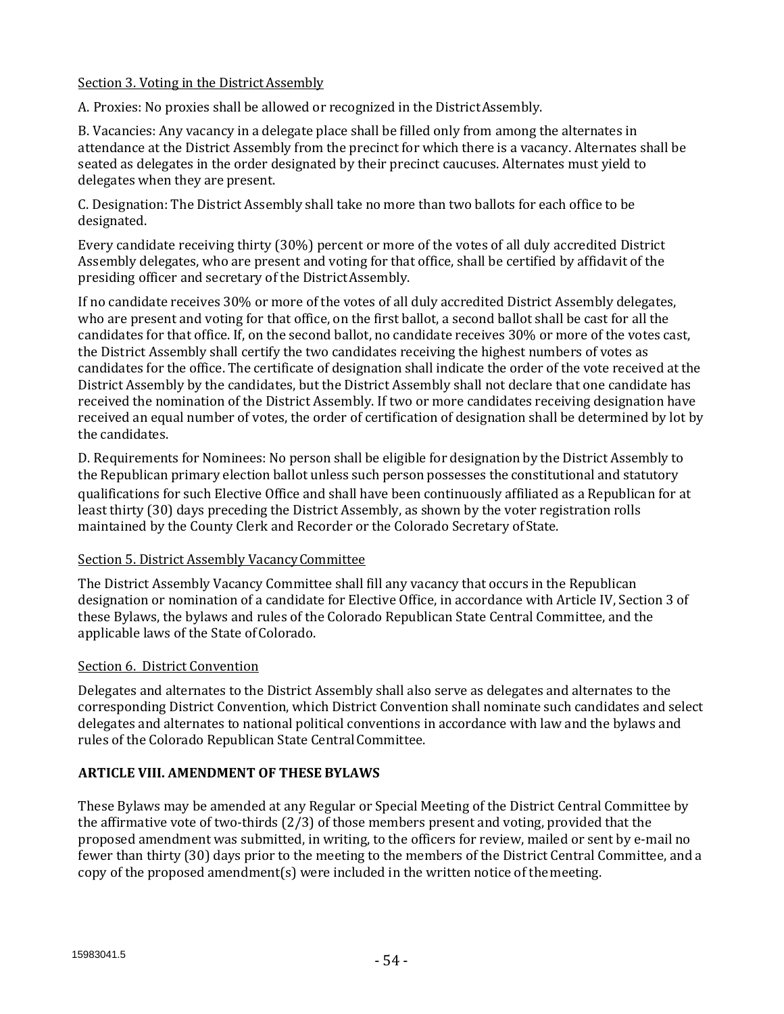## Section 3. Voting in the District Assembly

A. Proxies: No proxies shall be allowed or recognized in the DistrictAssembly.

B. Vacancies: Any vacancy in a delegate place shall be filled only from among the alternates in attendance at the District Assembly from the precinct for which there is a vacancy. Alternates shall be seated as delegates in the order designated by their precinct caucuses. Alternates must yield to delegates when they are present.

C. Designation: The District Assembly shall take no more than two ballots for each office to be designated.

Every candidate receiving thirty (30%) percent or more of the votes of all duly accredited District Assembly delegates, who are present and voting for that office, shall be certified by affidavit of the presiding officer and secretary of the DistrictAssembly.

If no candidate receives 30% or more of the votes of all duly accredited District Assembly delegates, who are present and voting for that office, on the first ballot, a second ballot shall be cast for all the candidates for that office. If, on the second ballot, no candidate receives 30% or more of the votes cast, the District Assembly shall certify the two candidates receiving the highest numbers of votes as candidates for the office. The certificate of designation shall indicate the order of the vote received at the District Assembly by the candidates, but the District Assembly shall not declare that one candidate has received the nomination of the District Assembly. If two or more candidates receiving designation have received an equal number of votes, the order of certification of designation shall be determined by lot by the candidates.

D. Requirements for Nominees: No person shall be eligible for designation by the District Assembly to the Republican primary election ballot unless such person possesses the constitutional and statutory qualifications for such Elective Office and shall have been continuously affiliated as a Republican for at least thirty (30) days preceding the District Assembly, as shown by the voter registration rolls maintained by the County Clerk and Recorder or the Colorado Secretary ofState.

#### Section 5. District Assembly Vacancy Committee

The District Assembly Vacancy Committee shall fill any vacancy that occurs in the Republican designation or nomination of a candidate for Elective Office, in accordance with Article IV, Section 3 of these Bylaws, the bylaws and rules of the Colorado Republican State Central Committee, and the applicable laws of the State of Colorado.

#### Section 6. District Convention

Delegates and alternates to the District Assembly shall also serve as delegates and alternates to the corresponding District Convention, which District Convention shall nominate such candidates and select delegates and alternates to national political conventions in accordance with law and the bylaws and rules of the Colorado Republican State CentralCommittee.

# **ARTICLE VIII. AMENDMENT OF THESE BYLAWS**

These Bylaws may be amended at any Regular or Special Meeting of the District Central Committee by the affirmative vote of two-thirds (2/3) of those members present and voting, provided that the proposed amendment was submitted, in writing, to the officers for review, mailed or sent by e-mail no fewer than thirty (30) days prior to the meeting to the members of the District Central Committee, and a copy of the proposed amendment(s) were included in the written notice of themeeting.